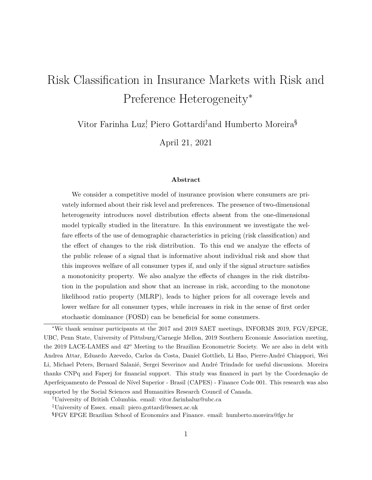# Risk Classification in Insurance Markets with Risk and Preference Heterogeneity<sup>∗</sup>

Vitor Farinha Luz<sup>†</sup> Piero Gottardi<sup>‡</sup>and Humberto Moreira<sup>§</sup>

April 21, 2021

#### **Abstract**

We consider a competitive model of insurance provision where consumers are privately informed about their risk level and preferences. The presence of two-dimensional heterogeneity introduces novel distribution effects absent from the one-dimensional model typically studied in the literature. In this environment we investigate the welfare effects of the use of demographic characteristics in pricing (risk classification) and the effect of changes to the risk distribution. To this end we analyze the effects of the public release of a signal that is informative about individual risk and show that this improves welfare of all consumer types if, and only if the signal structure satisfies a monotonicity property. We also analyze the effects of changes in the risk distribution in the population and show that an increase in risk, according to the monotone likelihood ratio property (MLRP), leads to higher prices for all coverage levels and lower welfare for all consumer types, while increases in risk in the sense of first order stochastic dominance (FOSD) can be beneficial for some consumers.

<sup>∗</sup>We thank seminar participants at the 2017 and 2019 SAET meetings, INFORMS 2019, FGV/EPGE, UBC, Penn State, University of Pittsburg/Carnegie Mellon, 2019 Southern Economic Association meeting, the 2019 LACE-LAMES and  $42^{\circ}$  Meeting to the Brazilian Econometric Society. We are also in debt with Andrea Attar, Eduardo Azevedo, Carlos da Costa, Daniel Gottlieb, Li Hao, Pierre-André Chiappori, Wei Li, Michael Peters, Bernard Salanié, Sergei Severinov and André Trindade for useful discussions. Moreira thanks CNPq and Faperj for financial support. This study was financed in part by the Coordenação de Aperfeiçoamento de Pessoal de Nível Superior - Brasil (CAPES) - Finance Code 001. This research was also supported by the Social Sciences and Humanities Research Council of Canada.

<sup>†</sup>University of British Columbia. email: vitor.farinhaluz@ubc.ca

<sup>‡</sup>University of Essex. email: piero.gottardi@essex.ac.uk

<sup>§</sup>FGV EPGE Brazilian School of Economics and Finance. email: humberto.moreira@fgv.br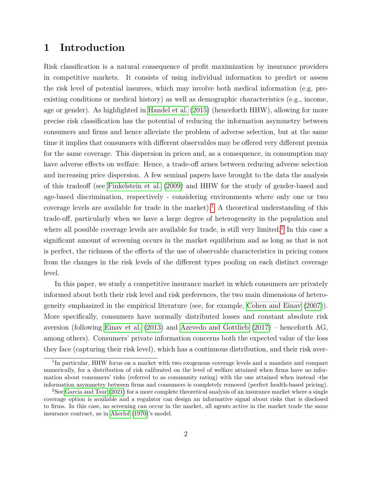# **1 Introduction**

Risk classification is a natural consequence of profit maximization by insurance providers in competitive markets. It consists of using individual information to predict or assess the risk level of potential insurees, which may involve both medical information (e.g, preexisting conditions or medical history) as well as demographic characteristics (e.g., income, age or gender). As highlighted in [Handel et al. \(2015\)](#page-70-0) (henceforth HHW), allowing for more precise risk classification has the potential of reducing the information asymmetry between consumers and firms and hence alleviate the problem of adverse selection, but at the same time it implies that consumers with different observables may be offered very different premia for the same coverage. This dispersion in prices and, as a consequence, in consumption may have adverse effects on welfare. Hence, a trade-off arises between reducing adverse selection and increasing price dispersion. A few seminal papers have brought to the data the analysis of this tradeoff (see [Finkelstein et al. \(2009\)](#page-70-1) and HHW for the study of gender-based and age-based discrimination, respectively - considering environments where only one or two coverage levels are available for trade in the market).<sup>[1](#page-71-0)</sup> A theoretical understanding of this trade-off, particularly when we have a large degree of heterogeneity in the population and where all possible coverage levels are available for trade, is still very limited.<sup>[2](#page-71-0)</sup> In this case a significant amount of screening occurs in the market equilibrium and as long as that is not is perfect, the richness of the effects of the use of observable characteristics in pricing comes from the changes in the risk levels of the different types pooling on each distinct coverage level.

In this paper, we study a competitive insurance market in which consumers are privately informed about both their risk level and risk preferences, the two main dimensions of heterogeneity emphasized in the empirical literature (see, for example, [Cohen and Einav \(2007\)](#page-69-0)). More specifically, consumers have normally distributed losses and constant absolute risk aversion (following [Einav et al. \(2013\)](#page-69-1) and [Azevedo and Gottlieb \(2017\)](#page-69-2) – henceforth AG, among others). Consumers' private information concerns both the expected value of the loss they face (capturing their risk level), which has a continuous distribution, and their risk aver-

<sup>&</sup>lt;sup>1</sup>In particular, HHW focus on a market with two exogenous coverage levels and a mandate and compare numerically, for a distribution of risk calibrated on the level of welfare attained when firms have no information about consumers' risks (referred to as community rating) with the one attained when instead -the information asymmetry between firms and consumers is completely removed (perfect health-based pricing).

<sup>&</sup>lt;sup>2</sup>See [Garcia and Tsur \(2021\)](#page-70-2) for a more complete theoretical analysis of an insurance market where a single coverage option is available and a regulator can design an informative signal about risks that is disclosed to firms. In this case, no screening can occur in the market, all agents active in the market trade the same insurance contract, as in [Akerlof \(1970\)](#page-69-3)'s model.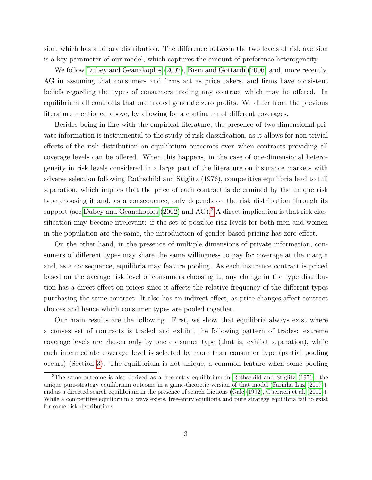sion, which has a binary distribution. The difference between the two levels of risk aversion is a key parameter of our model, which captures the amount of preference heterogeneity.

We follow [Dubey and Geanakoplos \(2002\)](#page-69-4), [Bisin and Gottardi \(2006\)](#page-69-5) and, more recently, AG in assuming that consumers and firms act as price takers, and firms have consistent beliefs regarding the types of consumers trading any contract which may be offered. In equilibrium all contracts that are traded generate zero profits. We differ from the previous literature mentioned above, by allowing for a continuum of different coverages.

Besides being in line with the empirical literature, the presence of two-dimensional private information is instrumental to the study of risk classification, as it allows for non-trivial effects of the risk distribution on equilibrium outcomes even when contracts providing all coverage levels can be offered. When this happens, in the case of one-dimensional heterogeneity in risk levels considered in a large part of the literature on insurance markets with adverse selection following Rothschild and Stiglitz (1976), competitive equilibria lead to full separation, which implies that the price of each contract is determined by the unique risk type choosing it and, as a consequence, only depends on the risk distribution through its support (see Dubey and Geanakoplos  $(2002)$  and AG).<sup>[3](#page-71-0)</sup> A direct implication is that risk classification may become irrelevant: if the set of possible risk levels for both men and women in the population are the same, the introduction of gender-based pricing has zero effect.

On the other hand, in the presence of multiple dimensions of private information, consumers of different types may share the same willingness to pay for coverage at the margin and, as a consequence, equilibria may feature pooling. As each insurance contract is priced based on the average risk level of consumers choosing it, any change in the type distribution has a direct effect on prices since it affects the relative frequency of the different types purchasing the same contract. It also has an indirect effect, as price changes affect contract choices and hence which consumer types are pooled together.

Our main results are the following. First, we show that equilibria always exist where a convex set of contracts is traded and exhibit the following pattern of trades: extreme coverage levels are chosen only by one consumer type (that is, exhibit separation), while each intermediate coverage level is selected by more than consumer type (partial pooling occurs) (Section [3\)](#page-11-0). The equilibrium is not unique, a common feature when some pooling

<sup>3</sup>The same outcome is also derived as a free-entry equilibrium in [Rothschild and Stiglitz \(1976\)](#page-71-1), the unique pure-strategy equilibrium outcome in a game-theoretic version of that model [\(Farinha Luz \(2017\)](#page-69-6)), and as a directed search equilibrium in the presence of search frictions [\(Gale \(1992\)](#page-70-3), [Guerrieri et al. \(2010\)](#page-70-4)). While a competitive equilibrium always exists, free-entry equilibria and pure strategy equilibria fail to exist for some risk distributions.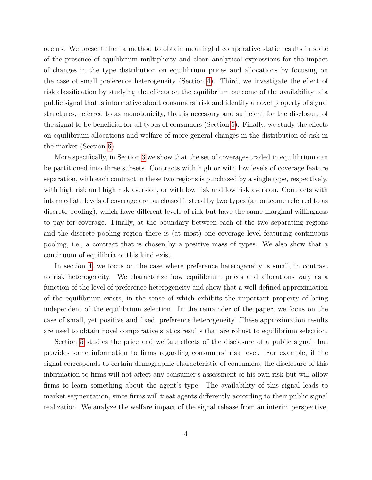occurs. We present then a method to obtain meaningful comparative static results in spite of the presence of equilibrium multiplicity and clean analytical expressions for the impact of changes in the type distribution on equilibrium prices and allocations by focusing on the case of small preference heterogeneity (Section [4\)](#page-17-0). Third, we investigate the effect of risk classification by studying the effects on the equilibrium outcome of the availability of a public signal that is informative about consumers' risk and identify a novel property of signal structures, referred to as monotonicity, that is necessary and sufficient for the disclosure of the signal to be beneficial for all types of consumers (Section [5\)](#page-24-0). Finally, we study the effects on equilibrium allocations and welfare of more general changes in the distribution of risk in the market (Section [6\)](#page-33-0).

More specifically, in Section [3](#page-11-0) we show that the set of coverages traded in equilibrium can be partitioned into three subsets. Contracts with high or with low levels of coverage feature separation, with each contract in these two regions is purchased by a single type, respectively, with high risk and high risk aversion, or with low risk and low risk aversion. Contracts with intermediate levels of coverage are purchased instead by two types (an outcome referred to as discrete pooling), which have different levels of risk but have the same marginal willingness to pay for coverage. Finally, at the boundary between each of the two separating regions and the discrete pooling region there is (at most) one coverage level featuring continuous pooling, i.e., a contract that is chosen by a positive mass of types. We also show that a continuum of equilibria of this kind exist.

In section [4,](#page-17-0) we focus on the case where preference heterogeneity is small, in contrast to risk heterogeneity. We characterize how equilibrium prices and allocations vary as a function of the level of preference heterogeneity and show that a well defined approximation of the equilibrium exists, in the sense of which exhibits the important property of being independent of the equilibrium selection. In the remainder of the paper, we focus on the case of small, yet positive and fixed, preference heterogeneity. These approximation results are used to obtain novel comparative statics results that are robust to equilibrium selection.

Section [5](#page-24-0) studies the price and welfare effects of the disclosure of a public signal that provides some information to firms regarding consumers' risk level. For example, if the signal corresponds to certain demographic characteristic of consumers, the disclosure of this information to firms will not affect any consumer's assessment of his own risk but will allow firms to learn something about the agent's type. The availability of this signal leads to market segmentation, since firms will treat agents differently according to their public signal realization. We analyze the welfare impact of the signal release from an interim perspective,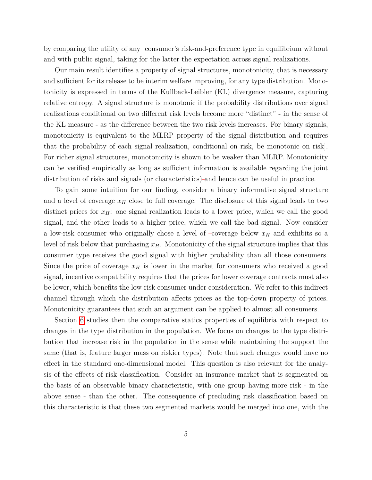by comparing the utility of any consumer's risk-and-preference type in equilibrium without and with public signal, taking for the latter the expectation across signal realizations.

Our main result identifies a property of signal structures, monotonicity, that is necessary and sufficient for its release to be interim welfare improving, for any type distribution. Monotonicity is expressed in terms of the Kullback-Leibler (KL) divergence measure, capturing relative entropy. A signal structure is monotonic if the probability distributions over signal realizations conditional on two different risk levels become more "distinct" - in the sense of the KL measure - as the difference between the two risk levels increases. For binary signals, monotonicity is equivalent to the MLRP property of the signal distribution and requires that the probability of each signal realization, conditional on risk, be monotonic on risk]. For richer signal structures, monotonicity is shown to be weaker than MLRP. Monotonicity can be verified empirically as long as sufficient information is available regarding the joint distribution of risks and signals (or characteristics) and hence can be useful in practice.

To gain some intuition for our finding, consider a binary informative signal structure and a level of coverage  $x_H$  close to full coverage. The disclosure of this signal leads to two distinct prices for  $x_H$ : one signal realization leads to a lower price, which we call the good signal, and the other leads to a higher price, which we call the bad signal. Now consider a low-risk consumer who originally chose a level of -coverage below  $x_H$  and exhibits so a level of risk below that purchasing  $x_H$ . Monotonicity of the signal structure implies that this consumer type receives the good signal with higher probability than all those consumers. Since the price of coverage  $x_H$  is lower in the market for consumers who received a good signal, incentive compatibility requires that the prices for lower coverage contracts must also be lower, which benefits the low-risk consumer under consideration. We refer to this indirect channel through which the distribution affects prices as the top-down property of prices. Monotonicity guarantees that such an argument can be applied to almost all consumers.

Section [6](#page-33-0) studies then the comparative statics properties of equilibria with respect to changes in the type distribution in the population. We focus on changes to the type distribution that increase risk in the population in the sense while maintaining the support the same (that is, feature larger mass on riskier types). Note that such changes would have no effect in the standard one-dimensional model. This question is also relevant for the analysis of the effects of risk classification. Consider an insurance market that is segmented on the basis of an observable binary characteristic, with one group having more risk - in the above sense - than the other. The consequence of precluding risk classification based on this characteristic is that these two segmented markets would be merged into one, with the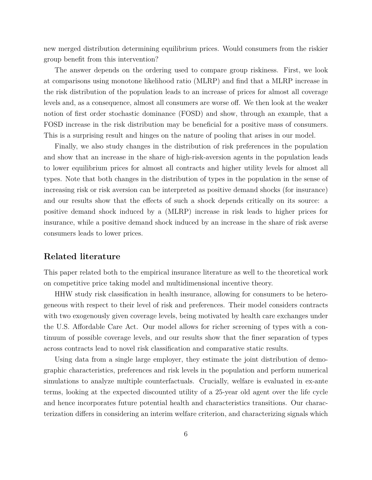new merged distribution determining equilibrium prices. Would consumers from the riskier group benefit from this intervention?

The answer depends on the ordering used to compare group riskiness. First, we look at comparisons using monotone likelihood ratio (MLRP) and find that a MLRP increase in the risk distribution of the population leads to an increase of prices for almost all coverage levels and, as a consequence, almost all consumers are worse off. We then look at the weaker notion of first order stochastic dominance (FOSD) and show, through an example, that a FOSD increase in the risk distribution may be beneficial for a positive mass of consumers. This is a surprising result and hinges on the nature of pooling that arises in our model.

Finally, we also study changes in the distribution of risk preferences in the population and show that an increase in the share of high-risk-aversion agents in the population leads to lower equilibrium prices for almost all contracts and higher utility levels for almost all types. Note that both changes in the distribution of types in the population in the sense of increasing risk or risk aversion can be interpreted as positive demand shocks (for insurance) and our results show that the effects of such a shock depends critically on its source: a positive demand shock induced by a (MLRP) increase in risk leads to higher prices for insurance, while a positive demand shock induced by an increase in the share of risk averse consumers leads to lower prices.

## **Related literature**

This paper related both to the empirical insurance literature as well to the theoretical work on competitive price taking model and multidimensional incentive theory.

HHW study risk classification in health insurance, allowing for consumers to be heterogeneous with respect to their level of risk and preferences. Their model considers contracts with two exogenously given coverage levels, being motivated by health care exchanges under the U.S. Affordable Care Act. Our model allows for richer screening of types with a continuum of possible coverage levels, and our results show that the finer separation of types across contracts lead to novel risk classification and comparative static results.

Using data from a single large employer, they estimate the joint distribution of demographic characteristics, preferences and risk levels in the population and perform numerical simulations to analyze multiple counterfactuals. Crucially, welfare is evaluated in ex-ante terms, looking at the expected discounted utility of a 25-year old agent over the life cycle and hence incorporates future potential health and characteristics transitions. Our characterization differs in considering an interim welfare criterion, and characterizing signals which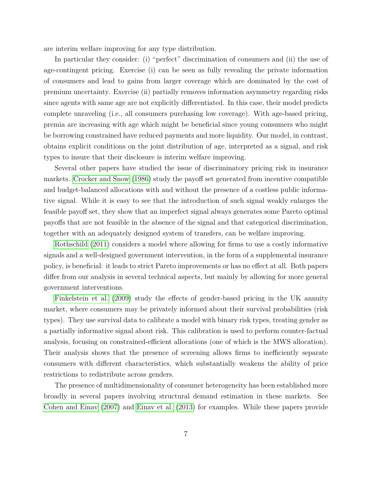are interim welfare improving for any type distribution.

In particular they consider: (i) "perfect" discrimination of consumers and (ii) the use of age-contingent pricing. Exercise (i) can be seen as fully revealing the private information of consumers and lead to gains from larger coverage which are dominated by the cost of premium uncertainty. Exercise (ii) partially removes information asymmetry regarding risks since agents with same age are not explicitly differentiated. In this case, their model predicts complete unraveling (i.e., all consumers purchasing low coverage). With age-based pricing, premia are increasing with age which might be beneficial since young consumers who might be borrowing constrained have reduced payments and more liquidity. Our model, in contrast, obtains explicit conditions on the joint distribution of age, interpreted as a signal, and risk types to insure that their disclosure is interim welfare improving.

Several other papers have studied the issue of discriminatory pricing risk in insurance markets. [Crocker and Snow \(1986\)](#page-69-7) study the payoff set generated from incentive compatible and budget-balanced allocations with and without the presence of a costless public informative signal. While it is easy to see that the introduction of such signal weakly enlarges the feasible payoff set, they show that an imperfect signal always generates some Pareto optimal payoffs that are not feasible in the absence of the signal and that categorical discrimination, together with an adequately designed system of transfers, can be welfare improving.

[Rothschild \(2011\)](#page-71-2) considers a model where allowing for firms to use a costly informative signals and a well-designed government intervention, in the form of a supplemental insurance policy, is beneficial: it leads to strict Pareto improvements or has no effect at all. Both papers differ from our analysis in several technical aspects, but mainly by allowing for more general government interventions.

[Finkelstein et al. \(2009\)](#page-70-1) study the effects of gender-based pricing in the UK annuity market, where consumers may be privately informed about their survival probabilities (risk types). They use survival data to calibrate a model with binary risk types, treating gender as a partially informative signal about risk. This calibration is used to perform counter-factual analysis, focusing on constrained-efficient allocations (one of which is the MWS allocation). Their analysis shows that the presence of screening allows firms to inefficiently separate consumers with different characteristics, which substantially weakens the ability of price restrictions to redistribute across genders.

The presence of multidimensionality of consumer heterogeneity has been established more broadly in several papers involving structural demand estimation in these markets. See [Cohen and Einav \(2007\)](#page-69-0) and [Einav et al. \(2013\)](#page-69-1) for examples. While these papers provide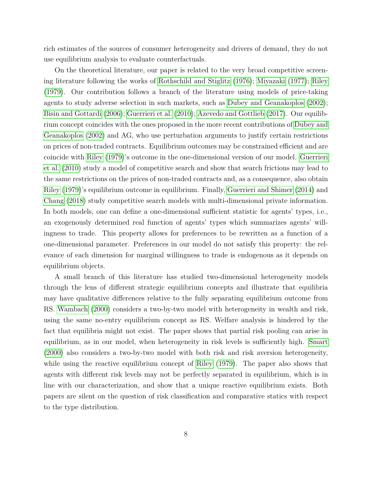rich estimates of the sources of consumer heterogeneity and drivers of demand, they do not use equilibrium analysis to evaluate counterfactuals.

On the theoretical literature, our paper is related to the very broad competitive screening literature following the works of [Rothschild and Stiglitz \(1976\)](#page-71-1); [Miyazaki \(1977\)](#page-71-3); [Riley](#page-71-4) [\(1979\)](#page-71-4). Our contribution follows a branch of the literature using models of price-taking agents to study adverse selection in such markets, such as [Dubey and Geanakoplos \(2002\)](#page-69-4); [Bisin and Gottardi \(2006\)](#page-69-5); [Guerrieri et al. \(2010\)](#page-70-4); [Azevedo and Gottlieb \(2017\)](#page-69-2). Our equilibrium concept coincides with the ones proposed in the more recent contributionsof [Dubey and](#page-69-4) [Geanakoplos \(2002\)](#page-69-4) and AG, who use perturbation arguments to justify certain restrictions on prices of non-traded contracts. Equilibrium outcomes may be constrained efficient and are coincide with [Riley \(1979\)](#page-71-4)'s outcome in the one-dimensional version of our model. [Guerrieri](#page-70-4) [et al. \(2010\)](#page-70-4) study a model of competitive search and show that search frictions may lead to the same restrictions on the prices of non-traded contracts and, as a consequence, also obtain [Riley \(1979\)](#page-71-4)'s equilibrium outcome in equilibrium. Finally, [Guerrieri and Shimer \(2014\)](#page-70-5) and [Chang \(2018\)](#page-69-8) study competitive search models with multi-dimensional private information. In both models, one can define a one-dimensional sufficient statistic for agents' types, i.e., an exogenously determined real function of agents' types which summarizes agents' willingness to trade. This property allows for preferences to be rewritten as a function of a one-dimensional parameter. Preferences in our model do not satisfy this property: the relevance of each dimension for marginal willingness to trade is endogenous as it depends on equilibrium objects.

A small branch of this literature has studied two-dimensional heterogeneity models through the lens of different strategic equilibrium concepts and illustrate that equilibria may have qualitative differences relative to the fully separating equilibrium outcome from RS. [Wambach \(2000\)](#page-71-5) considers a two-by-two model with heterogeneity in wealth and risk, using the same no-entry equilibrium concept as RS. Welfare analysis is hindered by the fact that equilibria might not exist. The paper shows that partial risk pooling can arise in equilibrium, as in our model, when heterogeneity in risk levels is sufficiently high. [Smart](#page-71-6) [\(2000\)](#page-71-6) also considers a two-by-two model with both risk and risk aversion heterogeneity, while using the reactive equilibrium concept of [Riley \(1979\)](#page-71-4). The paper also shows that agents with different risk levels may not be perfectly separated in equilibrium, which is in line with our characterization, and show that a unique reactive equilibrium exists. Both papers are silent on the question of risk classification and comparative statics with respect to the type distribution.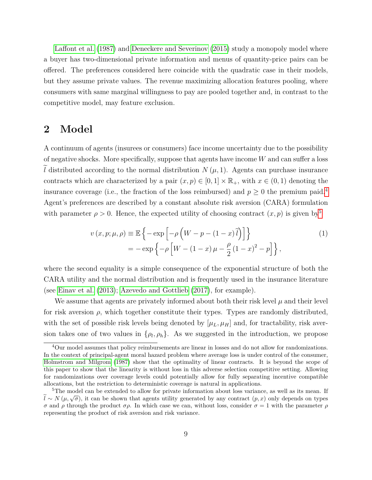[Laffont et al. \(1987\)](#page-70-6) and [Deneckere and Severinov \(2015\)](#page-69-9) study a monopoly model where a buyer has two-dimensional private information and menus of quantity-price pairs can be offered. The preferences considered here coincide with the quadratic case in their models, but they assume private values. The revenue maximizing allocation features pooling, where consumers with same marginal willingness to pay are pooled together and, in contrast to the competitive model, may feature exclusion.

# **2 Model**

A continuum of agents (insurees or consumers) face income uncertainty due to the possibility of negative shocks. More specifically, suppose that agents have income  $W$  and can suffer a loss l distributed according to the normal distribution  $N(\mu, 1)$ . Agents can purchase insurance contracts which are characterized by a pair  $(x, p) \in [0, 1] \times \mathbb{R}_+$ , with  $x \in (0, 1)$  denoting the insurance coverage (i.e., the fraction of the loss reimbursed) and  $p \geq 0$  the premium paid.<sup>[4](#page-71-0)</sup> Agent's preferences are described by a constant absolute risk aversion (CARA) formulation with parameter  $\rho > 0$ . Hence, the expected utility of choosing contract  $(x, p)$  is given by<sup>[5](#page-71-0)</sup>

<span id="page-8-0"></span>
$$
v(x, p; \mu, \rho) \equiv \mathbb{E}\left\{-\exp\left[-\rho\left(W - p - (1 - x)\tilde{l}\right)\right]\right\}
$$
  
=  $-\exp\left\{-\rho\left[W - (1 - x)\mu - \frac{\rho}{2}(1 - x)^2 - p\right]\right\},$  (1)

where the second equality is a simple consequence of the exponential structure of both the CARA utility and the normal distribution and is frequently used in the insurance literature (see [Einav et al. \(2013\)](#page-69-1); [Azevedo and Gottlieb \(2017\)](#page-69-2), for example).

We assume that agents are privately informed about both their risk level  $\mu$  and their level for risk aversion  $\rho$ , which together constitute their types. Types are randomly distributed, with the set of possible risk levels being denoted by  $[\mu_L, \mu_H]$  and, for tractability, risk aversion takes one of two values in  $\{\rho_l, \rho_h\}$ . As we suggested in the introduction, we propose

<sup>4</sup>Our model assumes that policy reimbursements are linear in losses and do not allow for randomizations. In the context of principal-agent moral hazard problem where average loss is under control of the consumer, [Holmstrom and Milgrom \(1987\)](#page-70-7) show that the optimality of linear contracts. It is beyond the scope of this paper to show that the linearity is without loss in this adverse selection competitive setting. Allowing for randomizations over coverage levels could potentially allow for fully separating incentive compatible allocations, but the restriction to deterministic coverage is natural in applications.

<sup>&</sup>lt;sup>5</sup>The model can be extended to allow for private information about loss variance, as well as its mean. If The model can be extended to allow for private information about loss variance, as well as its mean. If  $\tilde{l} \sim N(\mu, \sqrt{\sigma})$ , it can be shown that agents utility generated by any contract  $(p, x)$  only depends on types σ and ρ through the product  $\sigma\rho$ . In which case we can, without loss, consider  $\sigma = 1$  with the parameter ρ representing the product of risk aversion and risk variance.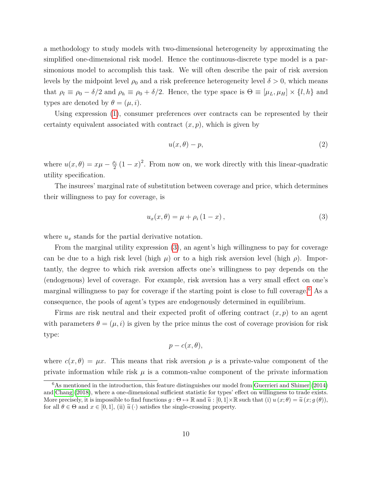a methodology to study models with two-dimensional heterogeneity by approximating the simplified one-dimensional risk model. Hence the continuous-discrete type model is a parsimonious model to accomplish this task. We will often describe the pair of risk aversion levels by the midpoint level  $\rho_0$  and a risk preference heterogeneity level  $\delta > 0$ , which means that  $\rho_l \equiv \rho_0 - \delta/2$  and  $\rho_h \equiv \rho_0 + \delta/2$ . Hence, the type space is  $\Theta \equiv [\mu_L, \mu_H] \times \{l, h\}$  and types are denoted by  $\theta = (\mu, i)$ .

Using expression [\(1\)](#page-8-0), consumer preferences over contracts can be represented by their certainty equivalent associated with contract  $(x, p)$ , which is given by

$$
u(x,\theta) - p,\tag{2}
$$

where  $u(x, \theta) = x\mu - \frac{\rho_i}{2}$  $\frac{\omega_i}{2}(1-x)^2$ . From now on, we work directly with this linear-quadratic utility specification.

The insurees' marginal rate of substitution between coverage and price, which determines their willingness to pay for coverage, is

<span id="page-9-0"></span>
$$
u_x(x,\theta) = \mu + \rho_i (1-x), \qquad (3)
$$

where  $u_x$  stands for the partial derivative notation.

From the marginal utility expression [\(3\)](#page-9-0), an agent's high willingness to pay for coverage can be due to a high risk level (high  $\mu$ ) or to a high risk aversion level (high  $\rho$ ). Importantly, the degree to which risk aversion affects one's willingness to pay depends on the (endogenous) level of coverage. For example, risk aversion has a very small effect on one's marginal willingness to pay for coverage if the starting point is close to full coverage.<sup>[6](#page-71-0)</sup> As a consequence, the pools of agent's types are endogenously determined in equilibrium.

Firms are risk neutral and their expected profit of offering contract  $(x, p)$  to an agent with parameters  $\theta = (\mu, i)$  is given by the price minus the cost of coverage provision for risk type:

$$
p - c(x, \theta),
$$

where  $c(x, \theta) = \mu x$ . This means that risk aversion  $\rho$  is a private-value component of the private information while risk  $\mu$  is a common-value component of the private information

 $6$ As mentioned in the introduction, this feature distinguishes our model from [Guerrieri and Shimer \(2014\)](#page-70-5) and [Chang \(2018\)](#page-69-8), where a one-dimensional sufficient statistic for types' effect on willingness to trade exists. More precisely, it is impossible to find functions  $g : \Theta \mapsto \mathbb{R}$  and  $\tilde{u} : [0, 1] \times \mathbb{R}$  such that (i)  $u (x; \theta) = \tilde{u} (x; g (\theta))$ , for all  $\theta \in \Theta$  and  $x \in [0, 1]$ , (ii)  $\tilde{u}(\cdot)$  satisfies the single-crossing property.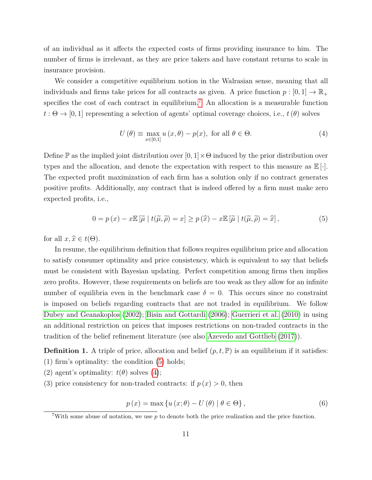of an individual as it affects the expected costs of firms providing insurance to him. The number of firms is irrelevant, as they are price takers and have constant returns to scale in insurance provision.

We consider a competitive equilibrium notion in the Walrasian sense, meaning that all individuals and firms take prices for all contracts as given. A price function  $p : [0,1] \to \mathbb{R}_+$ specifies the cost of each contract in equilibrium.<sup>[7](#page-71-0)</sup> An allocation is a measurable function  $t : \Theta \to [0, 1]$  representing a selection of agents' optimal coverage choices, i.e.,  $t(\theta)$  solves

<span id="page-10-1"></span>
$$
U(\theta) \equiv \max_{x \in [0,1]} u(x,\theta) - p(x), \text{ for all } \theta \in \Theta.
$$
 (4)

Define  $\mathbb P$  as the implied joint distribution over  $[0,1] \times \Theta$  induced by the prior distribution over types and the allocation, and denote the expectation with respect to this measure as  $\mathbb{E}[\cdot]$ . The expected profit maximization of each firm has a solution only if no contract generates positive profits. Additionally, any contract that is indeed offered by a firm must make zero expected profits, i.e.,

<span id="page-10-0"></span>
$$
0 = p(x) - x \mathbb{E}[\widetilde{\mu} | t(\widetilde{\mu}, \widetilde{\rho}) = x] \ge p(\widehat{x}) - x \mathbb{E}[\widetilde{\mu} | t(\widetilde{\mu}, \widetilde{\rho}) = \widehat{x}], \tag{5}
$$

for all  $x, \hat{x} \in t(\Theta)$ .

In resume, the equilibrium definition that follows requires equilibrium price and allocation to satisfy consumer optimality and price consistency, which is equivalent to say that beliefs must be consistent with Bayesian updating. Perfect competition among firms then implies zero profits. However, these requirements on beliefs are too weak as they allow for an infinite number of equilibria even in the benchmark case  $\delta = 0$ . This occurs since no constraint is imposed on beliefs regarding contracts that are not traded in equilibrium. We follow [Dubey and Geanakoplos \(2002\)](#page-69-4); [Bisin and Gottardi \(2006\)](#page-69-5); [Guerrieri et al. \(2010\)](#page-70-4) in using an additional restriction on prices that imposes restrictions on non-traded contracts in the tradition of the belief refinement literature (see also [Azevedo and Gottlieb \(2017\)](#page-69-2)).

<span id="page-10-3"></span>**Definition 1.** A triple of price, allocation and belief  $(p, t, \mathbb{P})$  is an equilibrium if it satisfies: (1) firm's optimality: the condition [\(5\)](#page-10-0) holds;

- (2) agent's optimality:  $t(\theta)$  solves [\(4\)](#page-10-1);
- (3) price consistency for non-traded contracts: if  $p(x) > 0$ , then

<span id="page-10-2"></span>
$$
p(x) = \max\left\{u\left(x;\theta\right) - U\left(\theta\right) \mid \theta \in \Theta\right\},\tag{6}
$$

<sup>&</sup>lt;sup>7</sup>With some abuse of notation, we use  $p$  to denote both the price realization and the price function.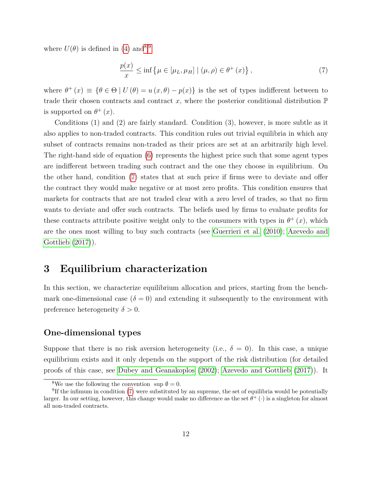where  $U(\theta)$  is defined in [\(4\)](#page-10-1) and<sup>[8](#page-71-0),[9](#page-71-0)</sup>

<span id="page-11-1"></span>
$$
\frac{p(x)}{x} \le \inf \left\{ \mu \in [\mu_L, \mu_H] \mid (\mu, \rho) \in \theta^+(x) \right\},\tag{7}
$$

where  $\theta^+(x) \equiv {\theta \in \Theta \mid U(\theta) = u(x, \theta) - p(x)}$  is the set of types indifferent between to trade their chosen contracts and contract x, where the posterior conditional distribution  $\mathbb P$ is supported on  $\theta^+(x)$ .

Conditions (1) and (2) are fairly standard. Condition (3), however, is more subtle as it also applies to non-traded contracts. This condition rules out trivial equilibria in which any subset of contracts remains non-traded as their prices are set at an arbitrarily high level. The right-hand side of equation [\(6\)](#page-10-2) represents the highest price such that some agent types are indifferent between trading such contract and the one they choose in equilibrium. On the other hand, condition [\(7\)](#page-11-1) states that at such price if firms were to deviate and offer the contract they would make negative or at most zero profits. This condition ensures that markets for contracts that are not traded clear with a zero level of trades, so that no firm wants to deviate and offer such contracts. The beliefs used by firms to evaluate profits for these contracts attribute positive weight only to the consumers with types in  $\theta^+(x)$ , which are the ones most willing to buy such contracts (see [Guerrieri et al. \(2010\)](#page-70-4); [Azevedo and](#page-69-2) [Gottlieb \(2017\)](#page-69-2)).

# <span id="page-11-0"></span>**3 Equilibrium characterization**

In this section, we characterize equilibrium allocation and prices, starting from the benchmark one-dimensional case  $(\delta = 0)$  and extending it subsequently to the environment with preference heterogeneity  $\delta > 0$ .

## **One-dimensional types**

Suppose that there is no risk aversion heterogeneity (i.e.,  $\delta = 0$ ). In this case, a unique equilibrium exists and it only depends on the support of the risk distribution (for detailed proofs of this case, see [Dubey and Geanakoplos \(2002\)](#page-69-4); [Azevedo and Gottlieb \(2017\)](#page-69-2)). It

<sup>&</sup>lt;sup>8</sup>We use the following the convention sup  $\emptyset = 0$ .

<sup>&</sup>lt;sup>9</sup>If the infimum in condition  $(7)$  were substituted by an supreme, the set of equilibria would be potentially larger. In our setting, however, this change would make no difference as the set  $\theta^+$  ( $\cdot$ ) is a singleton for almost all non-traded contracts.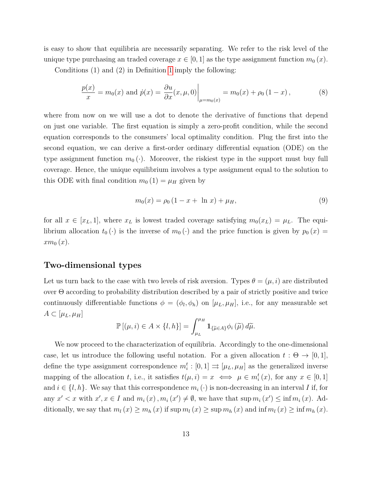is easy to show that equilibria are necessarily separating. We refer to the risk level of the unique type purchasing an traded coverage  $x \in [0, 1]$  as the type assignment function  $m_0(x)$ .

Conditions (1) and (2) in Definition [1](#page-10-3) imply the following:

<span id="page-12-0"></span>
$$
\frac{p(x)}{x} = m_0(x) \text{ and } \dot{p}(x) = \frac{\partial u}{\partial x}(x, \mu, 0) \Big|_{\mu = m_0(x)} = m_0(x) + \rho_0 (1 - x), \tag{8}
$$

where from now on we will use a dot to denote the derivative of functions that depend on just one variable. The first equation is simply a zero-profit condition, while the second equation corresponds to the consumers' local optimality condition. Plug the first into the second equation, we can derive a first-order ordinary differential equation (ODE) on the type assignment function  $m_0(\cdot)$ . Moreover, the riskiest type in the support must buy full coverage. Hence, the unique equilibrium involves a type assignment equal to the solution to this ODE with final condition  $m_0 (1) = \mu_H$  given by

<span id="page-12-1"></span>
$$
m_0(x) = \rho_0 \left( 1 - x + \ln x \right) + \mu_H,\tag{9}
$$

for all  $x \in [x_L, 1]$ , where  $x_L$  is lowest traded coverage satisfying  $m_0(x_L) = \mu_L$ . The equilibrium allocation  $t_0(\cdot)$  is the inverse of  $m_0(\cdot)$  and the price function is given by  $p_0(x)$  =  $xm_0(x)$ .

#### **Two-dimensional types**

Let us turn back to the case with two levels of risk aversion. Types  $\theta = (\mu, i)$  are distributed over Θ according to probability distribution described by a pair of strictly positive and twice continuously differentiable functions  $\phi = (\phi_l, \phi_h)$  on  $[\mu_L, \mu_H]$ , i.e., for any measurable set  $A \subset [\mu_L, \mu_H]$ 

$$
\mathbb{P}\left[ (\mu, i) \in A \times \{l, h\} \right] = \int_{\mu_L}^{\mu_H} \mathbf{1}_{\{\widetilde{\mu} \in A\}} \phi_i \left(\widetilde{\mu}\right) d\widetilde{\mu}.
$$

We now proceed to the characterization of equilibria. Accordingly to the one-dimensional case, let us introduce the following useful notation. For a given allocation  $t : \Theta \to [0,1],$ define the type assignment correspondence  $m_i^t : [0,1] \Rightarrow [\mu_L, \mu_H]$  as the generalized inverse mapping of the allocation t, i.e., it satisfies  $t(\mu, i) = x \iff \mu \in m_i^t(x)$ , for any  $x \in [0, 1]$ and  $i \in \{l, h\}$ . We say that this correspondence  $m_i(\cdot)$  is non-decreasing in an interval I if, for any  $x' < x$  with  $x', x \in I$  and  $m_i(x), m_i(x') \neq \emptyset$ , we have that  $\sup m_i(x') \leq \inf m_i(x)$ . Additionally, we say that  $m_l (x) \geq m_h (x)$  if sup  $m_l (x) \geq \sup m_h (x)$  and  $\inf m_l (x) \geq \inf m_h (x)$ .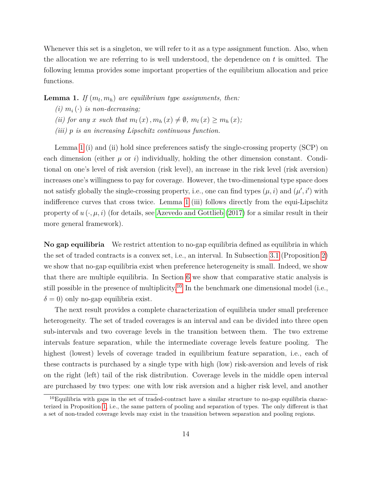Whenever this set is a singleton, we will refer to it as a type assignment function. Also, when the allocation we are referring to is well understood, the dependence on  $t$  is omitted. The following lemma provides some important properties of the equilibrium allocation and price functions.

<span id="page-13-0"></span>**Lemma 1.** *If*  $(m_l, m_h)$  *are equilibrium type assignments, then:* 

*(i)*  $m_i(\cdot)$  *is non-decreasing; (ii)* for any x such that  $m_l(x), m_h(x) \neq \emptyset$ ,  $m_l(x) \geq m_h(x)$ ; *(iii)* p *is an increasing Lipschitz continuous function.*

Lemma [1](#page-13-0) (i) and (ii) hold since preferences satisfy the single-crossing property (SCP) on each dimension (either  $\mu$  or i) individually, holding the other dimension constant. Conditional on one's level of risk aversion (risk level), an increase in the risk level (risk aversion) increases one's willingness to pay for coverage. However, the two-dimensional type space does not satisfy globally the single-crossing property, i.e., one can find types  $(\mu, i)$  and  $(\mu', i')$  with indifference curves that cross twice. Lemma [1](#page-13-0) (iii) follows directly from the equi-Lipschitz property of  $u(\cdot,\mu,i)$  (for details, see [Azevedo and Gottlieb \(2017\)](#page-69-2) for a similar result in their more general framework).

**No gap equilibria** We restrict attention to no-gap equilibria defined as equilibria in which the set of traded contracts is a convex set, i.e., an interval. In Subsection [3.1](#page-16-0) (Proposition [2\)](#page-16-1) we show that no-gap equilibria exist when preference heterogeneity is small. Indeed, we show that there are multiple equilibria. In Section [6](#page-33-0) we show that comparative static analysis is still possible in the presence of multiplicity.<sup>[10](#page-71-0)</sup> In the benchmark one dimensional model (i.e.,  $\delta = 0$ ) only no-gap equilibria exist.

The next result provides a complete characterization of equilibria under small preference heterogeneity. The set of traded coverages is an interval and can be divided into three open sub-intervals and two coverage levels in the transition between them. The two extreme intervals feature separation, while the intermediate coverage levels feature pooling. The highest (lowest) levels of coverage traded in equilibrium feature separation, i.e., each of these contracts is purchased by a single type with high (low) risk-aversion and levels of risk on the right (left) tail of the risk distribution. Coverage levels in the middle open interval are purchased by two types: one with low risk aversion and a higher risk level, and another

 $10E$ quilibria with gaps in the set of traded-contract have a similar structure to no-gap equilibria characterized in Proposition [1,](#page-14-0) i.e., the same pattern of pooling and separation of types. The only different is that a set of non-traded coverage levels may exist in the transition between separation and pooling regions.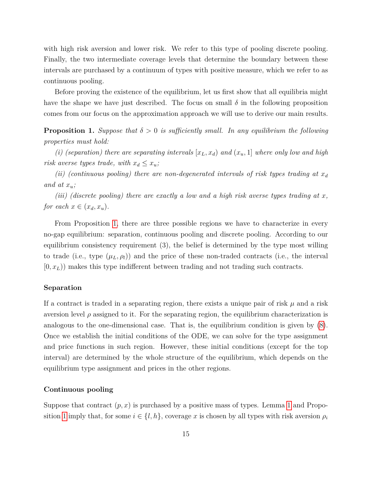with high risk aversion and lower risk. We refer to this type of pooling discrete pooling. Finally, the two intermediate coverage levels that determine the boundary between these intervals are purchased by a continuum of types with positive measure, which we refer to as continuous pooling.

Before proving the existence of the equilibrium, let us first show that all equilibria might have the shape we have just described. The focus on small  $\delta$  in the following proposition comes from our focus on the approximation approach we will use to derive our main results.

<span id="page-14-0"></span>**Proposition 1.** *Suppose that*  $\delta > 0$  *is sufficiently small. In any equilibrium the following properties must hold:*

*(i) (separation) there are separating intervals*  $[x_L, x_d)$  *and*  $(x_u, 1]$  *where only low and high risk averse types trade, with*  $x_d \leq x_u$ *;* 

*(ii) (continuous pooling) there are non-degenerated intervals of risk types trading at*  $x_d$ and at  $x_u$ ;

*(iii) (discrete pooling) there are exactly a low and a high risk averse types trading at* x*, for each*  $x \in (x_d, x_u)$ .

From Proposition [1,](#page-14-0) there are three possible regions we have to characterize in every no-gap equilibrium: separation, continuous pooling and discrete pooling. According to our equilibrium consistency requirement (3), the belief is determined by the type most willing to trade (i.e., type  $(\mu_L, \rho_l)$ ) and the price of these non-traded contracts (i.e., the interval  $(0, x<sub>L</sub>)$ ) makes this type indifferent between trading and not trading such contracts.

#### **Separation**

If a contract is traded in a separating region, there exists a unique pair of risk  $\mu$  and a risk aversion level  $\rho$  assigned to it. For the separating region, the equilibrium characterization is analogous to the one-dimensional case. That is, the equilibrium condition is given by [\(8\)](#page-12-0). Once we establish the initial conditions of the ODE, we can solve for the type assignment and price functions in such region. However, these initial conditions (except for the top interval) are determined by the whole structure of the equilibrium, which depends on the equilibrium type assignment and prices in the other regions.

#### **Continuous pooling**

Suppose that contract  $(p, x)$  is purchased by a positive mass of types. Lemma [1](#page-13-0) and Propo-sition [1](#page-14-0) imply that, for some  $i \in \{l, h\}$ , coverage x is chosen by all types with risk aversion  $\rho_i$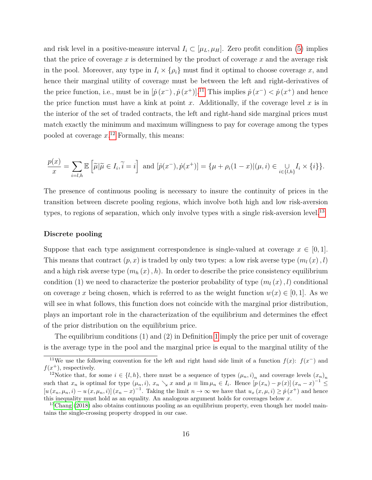and risk level in a positive-measure interval  $I_i \subset [\mu_L, \mu_H]$ . Zero profit condition [\(5\)](#page-10-0) implies that the price of coverage  $x$  is determined by the product of coverage  $x$  and the average risk in the pool. Moreover, any type in  $I_i \times \{\rho_i\}$  must find it optimal to choose coverage x, and hence their marginal utility of coverage must be between the left and right-derivatives of the price function, i.e., must be in  $[\dot{p}(x^-), \dot{p}(x^+)]$ .<sup>[11](#page-71-0)</sup> This implies  $\dot{p}(x^-) < \dot{p}(x^+)$  and hence the price function must have a kink at point x. Additionally, if the coverage level x is in the interior of the set of traded contracts, the left and right-hand side marginal prices must match exactly the minimum and maximum willingness to pay for coverage among the types pooled at coverage  $x^{12}$  $x^{12}$  $x^{12}$  Formally, this means:

$$
\frac{p(x)}{x} = \sum_{i=l,h} \mathbb{E}\left[\widetilde{\mu}|\widetilde{\mu} \in I_i, \widetilde{i} = i\right] \text{ and } [\dot{p}(x^-), \dot{p}(x^+)] = \{\mu + \rho_i(1-x)|(\mu, i) \in \bigcup_{i \in \{l,h\}} I_i \times \{i\}\}.
$$

The presence of continuous pooling is necessary to insure the continuity of prices in the transition between discrete pooling regions, which involve both high and low risk-aversion types, to regions of separation, which only involve types with a single risk-aversion level.<sup>[13](#page-71-0)</sup>

#### **Discrete pooling**

Suppose that each type assignment correspondence is single-valued at coverage  $x \in [0,1]$ . This means that contract  $(p, x)$  is traded by only two types: a low risk averse type  $(m_l (x), l)$ and a high risk averse type  $(m_h(x), h)$ . In order to describe the price consistency equilibrium condition (1) we need to characterize the posterior probability of type  $(m_l (x), l)$  conditional on coverage x being chosen, which is referred to as the weight function  $w(x) \in [0, 1]$ . As we will see in what follows, this function does not coincide with the marginal prior distribution, plays an important role in the characterization of the equilibrium and determines the effect of the prior distribution on the equilibrium price.

The equilibrium conditions (1) and (2) in Definition [1](#page-10-3) imply the price per unit of coverage is the average type in the pool and the marginal price is equal to the marginal utility of the

<sup>&</sup>lt;sup>11</sup>We use the following convention for the left and right hand side limit of a function  $f(x)$ :  $f(x^-)$  and  $f(x^+)$ , respectively.

<sup>&</sup>lt;sup>12</sup>Notice that, for some  $i \in \{l, h\}$ , there must be a sequence of types  $(\mu_n, i)_n$  and coverage levels  $(x_n)_n$ such that  $x_n$  is optimal for type  $(\mu_n, i)$ ,  $x_n \searrow x$  and  $\mu \equiv \lim \mu_n \in I_i$ . Hence  $[p(x_n) - p(x)] (x_n - x)^{-1} \leq$  $[u(x_n,\mu_n,i)-u(x,\mu_n,i)](x_n-x)^{-1}$ . Taking the limit  $n\to\infty$  we have that  $u_x(x,\mu,i)\geq p(x^+)$  and hence this inequality must hold as an equality. An analogous argument holds for coverages below  $x$ .

 $13Chang (2018)$  $13Chang (2018)$  also obtains continuous pooling as an equilibrium property, even though her model maintains the single-crossing property dropped in our case.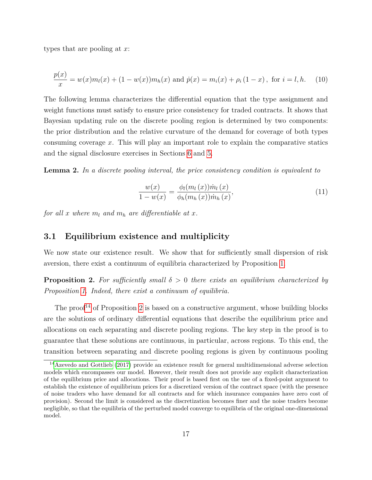types that are pooling at x:

<span id="page-16-2"></span>
$$
\frac{p(x)}{x} = w(x)m_l(x) + (1 - w(x))m_h(x) \text{ and } \dot{p}(x) = m_i(x) + \rho_i(1 - x), \text{ for } i = l, h. \tag{10}
$$

The following lemma characterizes the differential equation that the type assignment and weight functions must satisfy to ensure price consistency for traded contracts. It shows that Bayesian updating rule on the discrete pooling region is determined by two components: the prior distribution and the relative curvature of the demand for coverage of both types consuming coverage  $x$ . This will play an important role to explain the comparative statics and the signal disclosure exercises in Sections [6](#page-33-0) and [5.](#page-24-0)

**Lemma 2.** *In a discrete pooling interval, the price consistency condition is equivalent to*

<span id="page-16-3"></span>
$$
\frac{w(x)}{1 - w(x)} = \frac{\phi_l(m_l(x))\dot{m}_l(x)}{\phi_h(m_h(x))\dot{m}_h(x)},
$$
\n(11)

*for all* x where  $m_l$  and  $m_h$  are differentiable at x.

#### <span id="page-16-0"></span>**3.1 Equilibrium existence and multiplicity**

We now state our existence result. We show that for sufficiently small dispersion of risk aversion, there exist a continuum of equilibria characterized by Proposition [1.](#page-14-0)

<span id="page-16-1"></span>**Proposition 2.** For sufficiently small  $\delta > 0$  there exists an equilibrium characterized by *Proposition [1.](#page-14-0) Indeed, there exist a continuum of equilibria.*

The proof<sup>[14](#page-71-0)</sup> of Proposition [2](#page-16-1) is based on a constructive argument, whose building blocks are the solutions of ordinary differential equations that describe the equilibrium price and allocations on each separating and discrete pooling regions. The key step in the proof is to guarantee that these solutions are continuous, in particular, across regions. To this end, the transition between separating and discrete pooling regions is given by continuous pooling

<sup>&</sup>lt;sup>14</sup>[Azevedo and Gottlieb \(2017\)](#page-69-2) provide an existence result for general multidimensional adverse selection models which encompasses our model. However, their result does not provide any explicit characterization of the equilibrium price and allocations. Their proof is based first on the use of a fixed-point argument to establish the existence of equilibrium prices for a discretized version of the contract space (with the presence of noise traders who have demand for all contracts and for which insurance companies have zero cost of provision). Second the limit is considered as the discretization becomes finer and the noise traders become negligible, so that the equilibria of the perturbed model converge to equilibria of the original one-dimensional model.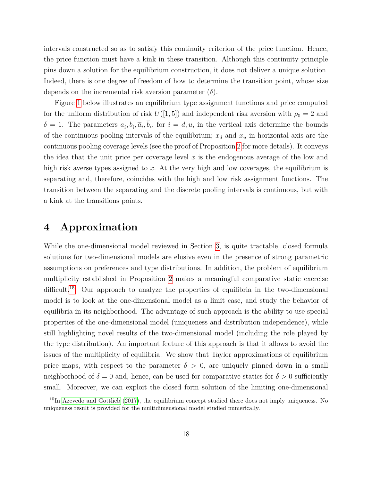intervals constructed so as to satisfy this continuity criterion of the price function. Hence, the price function must have a kink in these transition. Although this continuity principle pins down a solution for the equilibrium construction, it does not deliver a unique solution. Indeed, there is one degree of freedom of how to determine the transition point, whose size depends on the incremental risk aversion parameter  $(\delta)$ .

Figure [1](#page-18-0) below illustrates an equilibrium type assignment functions and price computed for the uniform distribution of risk  $U([1,5])$  and independent risk aversion with  $\rho_0 = 2$  and  $\delta = 1$ . The parameters  $\underline{a}_i, \underline{b}_i, \overline{a}_i, \overline{b}_i$ , for  $i = d, u$ , in the vertical axis determine the bounds of the continuous pooling intervals of the equilibrium;  $x_d$  and  $x_u$  in horizontal axis are the continuous pooling coverage levels (see the proof of Proposition [2](#page-16-1) for more details). It conveys the idea that the unit price per coverage level  $x$  is the endogenous average of the low and high risk averse types assigned to x. At the very high and low coverages, the equilibrium is separating and, therefore, coincides with the high and low risk assignment functions. The transition between the separating and the discrete pooling intervals is continuous, but with a kink at the transitions points.

# <span id="page-17-0"></span>**4 Approximation**

While the one-dimensional model reviewed in Section [3,](#page-11-0) is quite tractable, closed formula solutions for two-dimensional models are elusive even in the presence of strong parametric assumptions on preferences and type distributions. In addition, the problem of equilibrium multiplicity established in Proposition [2](#page-16-1) makes a meaningful comparative static exercise difficult.<sup>[15](#page-71-0)</sup> Our approach to analyze the properties of equilibria in the two-dimensional model is to look at the one-dimensional model as a limit case, and study the behavior of equilibria in its neighborhood. The advantage of such approach is the ability to use special properties of the one-dimensional model (uniqueness and distribution independence), while still highlighting novel results of the two-dimensional model (including the role played by the type distribution). An important feature of this approach is that it allows to avoid the issues of the multiplicity of equilibria. We show that Taylor approximations of equilibrium price maps, with respect to the parameter  $\delta > 0$ , are uniquely pinned down in a small neighborhood of  $\delta = 0$  and, hence, can be used for comparative statics for  $\delta > 0$  sufficiently small. Moreover, we can exploit the closed form solution of the limiting one-dimensional

 $^{15}$ In [Azevedo and Gottlieb \(2017\)](#page-69-2), the equilibrium concept studied there does not imply uniqueness. No uniqueness result is provided for the multidimensional model studied numerically.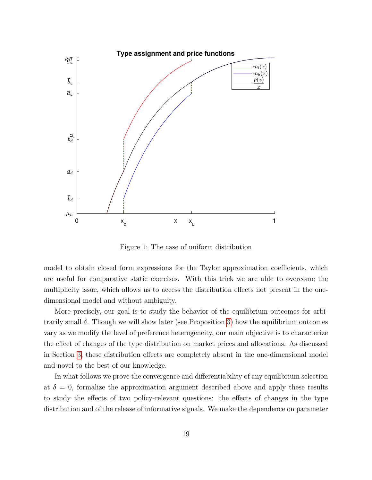

<span id="page-18-0"></span>Figure 1: The case of uniform distribution

model to obtain closed form expressions for the Taylor approximation coefficients, which are useful for comparative static exercises. With this trick we are able to overcome the multiplicity issue, which allows us to access the distribution effects not present in the onedimensional model and without ambiguity.

More precisely, our goal is to study the behavior of the equilibrium outcomes for arbitrarily small  $\delta$ . Though we will show later (see Proposition [3\)](#page-22-0) how the equilibrium outcomes vary as we modify the level of preference heterogeneity, our main objective is to characterize the effect of changes of the type distribution on market prices and allocations. As discussed in Section [3,](#page-11-0) these distribution effects are completely absent in the one-dimensional model and novel to the best of our knowledge.

In what follows we prove the convergence and differentiability of any equilibrium selection at  $\delta = 0$ , formalize the approximation argument described above and apply these results to study the effects of two policy-relevant questions: the effects of changes in the type distribution and of the release of informative signals. We make the dependence on parameter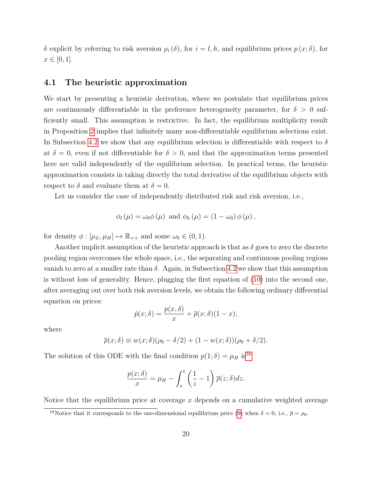δ explicit by referring to risk aversion  $ρ<sub>i</sub> (δ)$ , for  $i = l, h$ , and equilibrium prices  $p(x; δ)$ , for  $x \in [0, 1].$ 

#### <span id="page-19-0"></span>**4.1 The heuristic approximation**

We start by presenting a heuristic derivation, where we postulate that equilibrium prices are continuously differentiable in the preference heterogeneity parameter, for  $\delta > 0$  sufficiently small. This assumption is restrictive. In fact, the equilibrium multiplicity result in Proposition [2](#page-16-1) implies that infinitely many non-differentiable equilibrium selections exist. In Subsection [4.2](#page-21-0) we show that any equilibrium selection is differentiable with respect to  $\delta$ at  $\delta = 0$ , even if not differentiable for  $\delta > 0$ , and that the approximation terms presented here are valid independently of the equilibrium selection. In practical terms, the heuristic approximation consists in taking directly the total derivative of the equilibrium objects with respect to  $\delta$  and evaluate them at  $\delta = 0$ .

Let us consider the case of independently distributed risk and risk aversion, i.e.,

$$
\phi_l(\mu) = \omega_0 \phi(\mu)
$$
 and  $\phi_h(\mu) = (1 - \omega_0) \phi(\mu)$ ,

for density  $\phi : [\mu_L, \mu_H] \mapsto \mathbb{R}_{++}$  and some  $\omega_0 \in (0, 1)$ .

Another implicit assumption of the heuristic approach is that as  $\delta$  goes to zero the discrete pooling region overcomes the whole space, i.e., the separating and continuous pooling regions vanish to zero at a smaller rate than  $\delta$ . Again, in Subsection [4.2](#page-21-0) we show that this assumption is without loss of generality. Hence, plugging the first equation of [\(10\)](#page-16-2) into the second one, after averaging out over both risk aversion levels, we obtain the following ordinary differential equation on prices:

$$
\dot{p}(x;\delta) = \frac{p(x,\delta)}{x} + \overline{\rho}(x;\delta)(1-x),
$$

where

$$
\overline{\rho}(x;\delta) \equiv w(x;\delta)(\rho_0 - \delta/2) + (1 - w(x;\delta))(\rho_0 + \delta/2).
$$

The solution of this ODE with the final condition  $p(1; \delta) = \mu_H$  is<sup>[16](#page-71-0)</sup>

$$
\frac{p(x;\delta)}{x} = \mu_H - \int_x^1 \left(\frac{1}{z} - 1\right) \overline{\rho}(z;\delta) dz.
$$

Notice that the equilibrium price at coverage  $x$  depends on a cumulative weighted average

<sup>&</sup>lt;sup>16</sup>Notice that it corresponds to the one-dimensional equilibrium price [\(9\)](#page-12-1) when  $\delta = 0$ , i.e.,  $\bar{\rho} = \rho_0$ .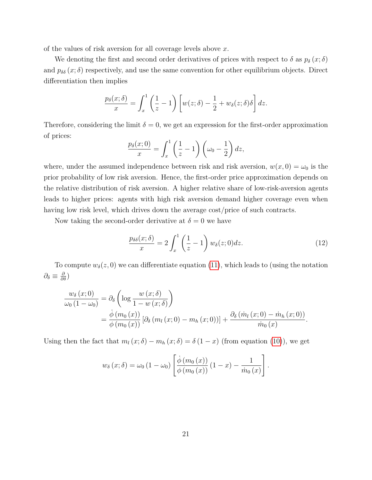of the values of risk aversion for all coverage levels above x.

We denoting the first and second order derivatives of prices with respect to  $\delta$  as  $p_{\delta}(x; \delta)$ and  $p_{\delta\delta}(x;\delta)$  respectively, and use the same convention for other equilibrium objects. Direct differentiation then implies

$$
\frac{p_{\delta}(x;\delta)}{x} = \int_{x}^{1} \left(\frac{1}{z} - 1\right) \left[w(z;\delta) - \frac{1}{2} + w_{\delta}(z;\delta)\delta\right] dz.
$$

Therefore, considering the limit  $\delta = 0$ , we get an expression for the first-order approximation of prices:

$$
\frac{p_{\delta}(x;0)}{x} = \int_{x}^{1} \left(\frac{1}{z} - 1\right) \left(\omega_0 - \frac{1}{2}\right) dz,
$$

where, under the assumed independence between risk and risk aversion,  $w(x, 0) = \omega_0$  is the prior probability of low risk aversion. Hence, the first-order price approximation depends on the relative distribution of risk aversion. A higher relative share of low-risk-aversion agents leads to higher prices: agents with high risk aversion demand higher coverage even when having low risk level, which drives down the average cost/price of such contracts.

Now taking the second-order derivative at  $\delta = 0$  we have

<span id="page-20-0"></span>
$$
\frac{p_{\delta\delta}(x;\delta)}{x} = 2\int_x^1 \left(\frac{1}{z} - 1\right) w_\delta(z;0) dz.
$$
 (12)

To compute  $w_{\delta}(z, 0)$  we can differentiate equation [\(11\)](#page-16-3), which leads to (using the notation  $\partial_{\delta} \equiv \frac{\partial}{\partial \delta})$ 

$$
\frac{w_{\delta}(x;0)}{\omega_0(1-\omega_0)} = \partial_{\delta} \left( \log \frac{w(x;\delta)}{1-w(x;\delta)} \right)
$$
  
= 
$$
\frac{\dot{\phi}(m_0(x))}{\phi(m_0(x))} [\partial_{\delta} (m_l(x;0) - m_h(x;0))] + \frac{\partial_{\delta} (m_l(x;0) - m_h(x;0))}{m_0(x)}.
$$

Using then the fact that  $m_l (x; \delta) - m_h (x; \delta) = \delta (1 - x)$  (from equation [\(10\)](#page-16-2)), we get

$$
w_{\delta}\left(x;\delta\right)=\omega_{0}\left(1-\omega_{0}\right)\left[\frac{\dot{\phi}\left(m_{0}\left(x\right)\right)}{\phi\left(m_{0}\left(x\right)\right)}\left(1-x\right)-\frac{1}{\dot{m}_{0}\left(x\right)}\right].
$$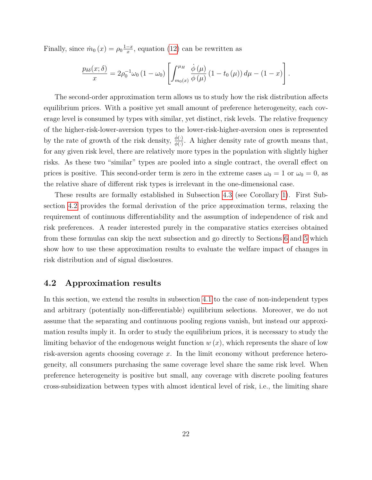Finally, since  $\dot{m}_0(x) = \rho_0 \frac{1-x}{x}$  $\frac{-x}{x}$ , equation [\(12\)](#page-20-0) can be rewritten as

$$
\frac{p_{\delta\delta}(x;\delta)}{x} = 2\rho_0^{-1}\omega_0 (1-\omega_0) \left[ \int_{m_0(x)}^{\mu_H} \frac{\dot{\phi}(\mu)}{\phi(\mu)} (1-t_0(\mu)) d\mu - (1-x) \right].
$$

The second-order approximation term allows us to study how the risk distribution affects equilibrium prices. With a positive yet small amount of preference heterogeneity, each coverage level is consumed by types with similar, yet distinct, risk levels. The relative frequency of the higher-risk-lower-aversion types to the lower-risk-higher-aversion ones is represented by the rate of growth of the risk density,  $\frac{\dot{\phi}(\cdot)}{\phi(\cdot)}$ . A higher density rate of growth means that, for any given risk level, there are relatively more types in the population with slightly higher risks. As these two "similar" types are pooled into a single contract, the overall effect on prices is positive. This second-order term is zero in the extreme cases  $\omega_0 = 1$  or  $\omega_0 = 0$ , as the relative share of different risk types is irrelevant in the one-dimensional case.

These results are formally established in Subsection [4.3](#page-24-1) (see Corollary [1\)](#page-24-2). First Subsection [4.2](#page-21-0) provides the formal derivation of the price approximation terms, relaxing the requirement of continuous differentiability and the assumption of independence of risk and risk preferences. A reader interested purely in the comparative statics exercises obtained from these formulas can skip the next subsection and go directly to Sections [6](#page-33-0) and [5](#page-24-0) which show how to use these approximation results to evaluate the welfare impact of changes in risk distribution and of signal disclosures.

### <span id="page-21-0"></span>**4.2 Approximation results**

In this section, we extend the results in subsection [4.1](#page-19-0) to the case of non-independent types and arbitrary (potentially non-differentiable) equilibrium selections. Moreover, we do not assume that the separating and continuous pooling regions vanish, but instead our approximation results imply it. In order to study the equilibrium prices, it is necessary to study the limiting behavior of the endogenous weight function  $w(x)$ , which represents the share of low risk-aversion agents choosing coverage  $x$ . In the limit economy without preference heterogeneity, all consumers purchasing the same coverage level share the same risk level. When preference heterogeneity is positive but small, any coverage with discrete pooling features cross-subsidization between types with almost identical level of risk, i.e., the limiting share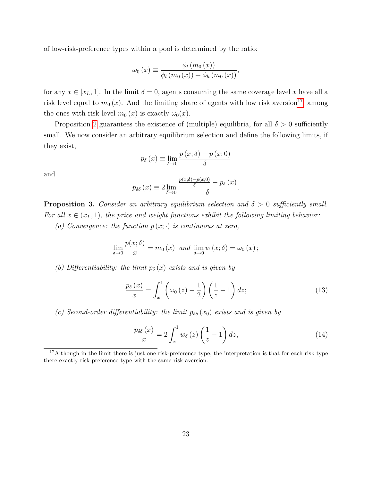of low-risk-preference types within a pool is determined by the ratio:

$$
\omega_0(x) \equiv \frac{\phi_l(m_0(x))}{\phi_l(m_0(x)) + \phi_h(m_0(x))},
$$

for any  $x \in [x_L, 1]$ . In the limit  $\delta = 0$ , agents consuming the same coverage level x have all a risk level equal to  $m_0(x)$ . And the limiting share of agents with low risk aversion<sup>[17](#page-71-0)</sup>, among the ones with risk level  $m_0(x)$  is exactly  $\omega_0(x)$ .

Proposition [2](#page-16-1) guarantees the existence of (multiple) equilibria, for all  $\delta > 0$  sufficiently small. We now consider an arbitrary equilibrium selection and define the following limits, if they exist,

$$
p_{\delta}\left(x\right) \equiv \lim_{\delta \to 0} \frac{p\left(x;\delta\right) - p\left(x;0\right)}{\delta}
$$

and

$$
p_{\delta\delta}\left(x\right) \equiv 2\lim_{\delta \to 0} \frac{\frac{p(x;\delta)-p(x;0)}{\delta}-p_{\delta}\left(x\right)}{\delta}.
$$

<span id="page-22-0"></span>**Proposition 3.** *Consider an arbitrary equilibrium selection and*  $\delta > 0$  *sufficiently small. For all*  $x \in (x_L, 1)$ *, the price and weight functions exhibit the following limiting behavior:* 

(a) Convergence: the function  $p(x; \cdot)$  *is continuous at zero,* 

$$
\lim_{\delta \to 0} \frac{p(x;\delta)}{x} = m_0(x) \text{ and } \lim_{\delta \to 0} w(x;\delta) = \omega_0(x);
$$

*(b) Differentiability: the limit*  $p_{\delta}(x)$  *exists and is given by* 

$$
\frac{p_{\delta}\left(x\right)}{x} = \int_{x}^{1} \left(\omega_{0}\left(z\right) - \frac{1}{2}\right) \left(\frac{1}{z} - 1\right) dz; \tag{13}
$$

*(c) Second-order differentiability: the limit*  $p_{\delta\delta}(x_0)$  *exists and is given by* 

<span id="page-22-1"></span>
$$
\frac{p_{\delta\delta}(x)}{x} = 2\int_x^1 w_\delta(z) \left(\frac{1}{z} - 1\right) dz,\tag{14}
$$

<sup>&</sup>lt;sup>17</sup>Although in the limit there is just one risk-preference type, the interpretation is that for each risk type there exactly risk-preference type with the same risk aversion.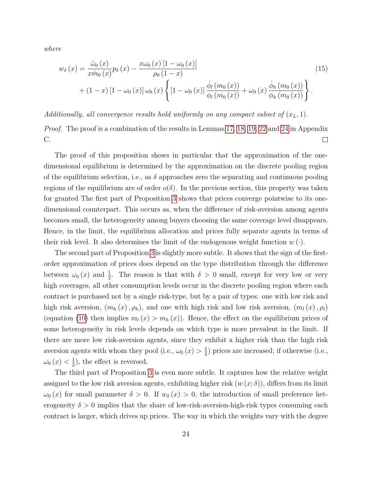*where*

<span id="page-23-0"></span>
$$
w_{\delta}(x) = \frac{\dot{\omega}_{0}(x)}{x\dot{m}_{0}(x)}p_{\delta}(x) - \frac{x\omega_{0}(x)[1-\omega_{0}(x)]}{\rho_{0}(1-x)} + (1-x)[1-\omega_{0}(x)]\omega_{0}(x)\left\{ [1-\omega_{0}(x)]\frac{\dot{\phi}_{l}(m_{0}(x))}{\phi_{l}(m_{0}(x))} + \omega_{0}(x)\frac{\dot{\phi}_{h}(m_{0}(x))}{\phi_{h}(m_{0}(x))} \right\}.
$$
\n(15)

*Additionally, all convergence results hold uniformly on any compact subset of*  $(x_L, 1)$ *.* 

*Proof.* The proof is a combination of the results in Lemmas [17,](#page-56-0) [18,](#page-56-1) [19,](#page-57-0) [22](#page-58-0) and [24](#page-60-0) in Appendix C.  $\Box$ 

The proof of this proposition shows in particular that the approximation of the onedimensional equilibrium is determined by the approximation on the discrete pooling region of the equilibrium selection, i.e., as  $\delta$  approaches zero the separating and continuous pooling regions of the equilibrium are of order  $o(\delta)$ . In the previous section, this property was taken for granted The first part of Proposition [3](#page-22-0) shows that prices converge pointwise to its onedimensional counterpart. This occurs as, when the difference of risk-aversion among agents becomes small, the heterogeneity among buyers choosing the same coverage level disappears. Hence, in the limit, the equilibrium allocation and prices fully separate agents in terms of their risk level. It also determines the limit of the endogenous weight function  $w(\cdot)$ .

The second part of Proposition [3](#page-22-0) is slightly more subtle. It shows that the sign of the firstorder approximation of prices does depend on the type distribution through the difference between  $\omega_0(x)$  and  $\frac{1}{2}$ . The reason is that with  $\delta > 0$  small, except for very low or very high coverages, all other consumption levels occur in the discrete pooling region where each contract is purchased not by a single risk-type, but by a pair of types: one with low risk and high risk aversion,  $(m_h(x), \rho_h)$ , and one with high risk and low risk aversion,  $(m_l(x), \rho_l)$ (equation [\(10\)](#page-16-2) then implies  $m_l (x) > m_h (x)$ ). Hence, the effect on the equilibrium prices of some heterogeneity in risk levels depends on which type is more prevalent in the limit. If there are more low risk-aversion agents, since they exhibit a higher risk than the high risk aversion agents with whom they pool (i.e.,  $\omega_0(x) > \frac{1}{2}$  $\frac{1}{2}$ ) prices are increased; if otherwise (i.e.,  $\omega_0(x) < \frac{1}{2}$  $(\frac{1}{2})$ , the effect is reversed.

The third part of Proposition [3](#page-22-0) is even more subtle. It captures how the relative weight assigned to the low risk aversion agents, exhibiting higher risk  $(w(x;\delta))$ , differs from its limit  $\omega_0(x)$  for small parameter  $\delta > 0$ . If  $w_\delta(x) > 0$ , the introduction of small preference heterogeneity  $\delta > 0$  implies that the share of low-risk-aversion-high-risk types consuming each contract is larger, which drives up prices. The way in which the weights vary with the degree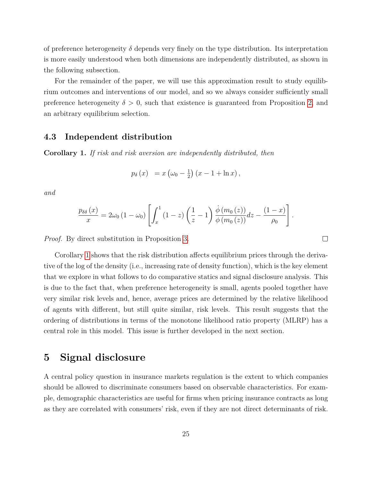of preference heterogeneity  $\delta$  depends very finely on the type distribution. Its interpretation is more easily understood when both dimensions are independently distributed, as shown in the following subsection.

For the remainder of the paper, we will use this approximation result to study equilibrium outcomes and interventions of our model, and so we always consider sufficiently small preference heterogeneity  $\delta > 0$ , such that existence is guaranteed from Proposition [2,](#page-16-1) and an arbitrary equilibrium selection.

#### <span id="page-24-1"></span>**4.3 Independent distribution**

<span id="page-24-2"></span>**Corollary 1.** *If risk and risk aversion are independently distributed, then*

$$
p_{\delta}(x) = x \left(\omega_0 - \frac{1}{2}\right) \left(x - 1 + \ln x\right),
$$

*and*

$$
\frac{p_{\delta\delta}(x)}{x} = 2\omega_0 (1 - \omega_0) \left[ \int_x^1 (1 - z) \left( \frac{1}{z} - 1 \right) \frac{\dot{\phi}(m_0(z))}{\phi(m_0(z))} dz - \frac{(1 - x)}{\rho_0} \right].
$$

*Proof.* By direct substitution in Proposition [3.](#page-22-0)

Corollary [1](#page-24-2) shows that the risk distribution affects equilibrium prices through the derivative of the log of the density (i.e., increasing rate of density function), which is the key element that we explore in what follows to do comparative statics and signal disclosure analysis. This is due to the fact that, when preference heterogeneity is small, agents pooled together have very similar risk levels and, hence, average prices are determined by the relative likelihood of agents with different, but still quite similar, risk levels. This result suggests that the ordering of distributions in terms of the monotone likelihood ratio property (MLRP) has a central role in this model. This issue is further developed in the next section.

# <span id="page-24-0"></span>**5 Signal disclosure**

A central policy question in insurance markets regulation is the extent to which companies should be allowed to discriminate consumers based on observable characteristics. For example, demographic characteristics are useful for firms when pricing insurance contracts as long as they are correlated with consumers' risk, even if they are not direct determinants of risk.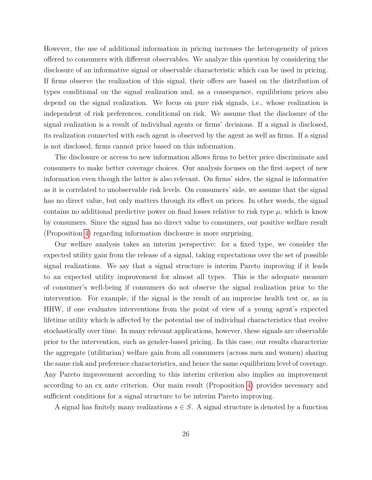However, the use of additional information in pricing increases the heterogeneity of prices offered to consumers with different observables. We analyze this question by considering the disclosure of an informative signal or observable characteristic which can be used in pricing. If firms observe the realization of this signal, their offers are based on the distribution of types conditional on the signal realization and, as a consequence, equilibrium prices also depend on the signal realization. We focus on pure risk signals, i.e., whose realization is independent of risk preferences, conditional on risk. We assume that the disclosure of the signal realization is a result of individual agents or firms' decisions. If a signal is disclosed, its realization connected with each agent is observed by the agent as well as firms. If a signal is not disclosed, firms cannot price based on this information.

The disclosure or access to new information allows firms to better price discriminate and consumers to make better coverage choices. Our analysis focuses on the first aspect of new information even though the latter is also relevant. On firms' sides, the signal is informative as it is correlated to unobservable risk levels. On consumers' side, we assume that the signal has no direct value, but only matters through its effect on prices. In other words, the signal contains no additional predictive power on final losses relative to risk type  $\mu$ , which is know by consumers. Since the signal has no direct value to consumers, our positive welfare result (Proposition [4\)](#page-29-0) regarding information disclosure is more surprising.

Our welfare analysis takes an interim perspective: for a fixed type, we consider the expected utility gain from the release of a signal, taking expectations over the set of possible signal realizations. We say that a signal structure is interim Pareto improving if it leads to an expected utility improvement for almost all types. This is the adequate measure of consumer's well-being if consumers do not observe the signal realization prior to the intervention. For example, if the signal is the result of an imprecise health test or, as in HHW, if one evaluates interventions from the point of view of a young agent's expected lifetime utility which is affected by the potential use of individual characteristics that evolve stochastically over time. In many relevant applications, however, these signals are observable prior to the intervention, such as gender-based pricing. In this case, our results characterize the aggregate (utilitarian) welfare gain from all consumers (across men and women) sharing the same risk and preference characteristics, and hence the same equilibrium level of coverage. Any Pareto improvement according to this interim criterion also implies an improvement according to an ex ante criterion. Our main result (Proposition [4\)](#page-29-0) provides necessary and sufficient conditions for a signal structure to be interim Pareto improving.

A signal has finitely many realizations  $s \in S$ . A signal structure is denoted by a function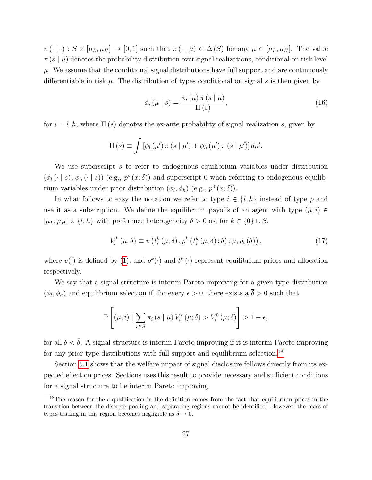$\pi(\cdot \mid \cdot) : S \times [\mu_L, \mu_H] \mapsto [0, 1]$  such that  $\pi(\cdot \mid \mu) \in \Delta(S)$  for any  $\mu \in [\mu_L, \mu_H]$ . The value  $\pi(s | \mu)$  denotes the probability distribution over signal realizations, conditional on risk level  $\mu$ . We assume that the conditional signal distributions have full support and are continuously differentiable in risk  $\mu$ . The distribution of types conditional on signal s is then given by

<span id="page-26-0"></span>
$$
\phi_i(\mu \mid s) = \frac{\phi_i(\mu) \pi (s \mid \mu)}{\Pi(s)},\tag{16}
$$

for  $i = l, h$ , where  $\Pi(s)$  denotes the ex-ante probability of signal realization s, given by

$$
\Pi(s) \equiv \int \left[ \phi_l \left( \mu' \right) \pi \left( s \mid \mu' \right) + \phi_h \left( \mu' \right) \pi \left( s \mid \mu' \right) \right] d\mu'.
$$

We use superscript s to refer to endogenous equilibrium variables under distribution  $(\phi_l(\cdot | s), \phi_h(\cdot | s))$  (e.g.,  $p^s(x; \delta)$ ) and superscript 0 when referring to endogenous equilibrium variables under prior distribution  $(\phi_l, \phi_h)$  (e.g.,  $p^0(x; \delta)$ ).

In what follows to easy the notation we refer to type  $i \in \{l, h\}$  instead of type  $\rho$  and use it as a subscription. We define the equilibrium payoffs of an agent with type  $(\mu, i) \in$  $[\mu_L, \mu_H] \times \{l, h\}$  with preference heterogeneity  $\delta > 0$  as, for  $k \in \{0\} \cup S$ ,

$$
V_i^k(\mu;\delta) \equiv v(t_i^k(\mu;\delta), p^k(t_i^k(\mu;\delta);\delta); \mu, \rho_i(\delta)), \qquad (17)
$$

where  $v(\cdot)$  is defined by [\(1\)](#page-8-0), and  $p^k(\cdot)$  and  $t^k(\cdot)$  represent equilibrium prices and allocation respectively.

We say that a signal structure is interim Pareto improving for a given type distribution  $(\phi_l, \phi_h)$  and equilibrium selection if, for every  $\epsilon > 0$ , there exists a  $\delta > 0$  such that

$$
\mathbb{P}\left[\left(\mu,i\right) \mid \sum_{s\in S}\pi_{i}\left(s\mid\mu\right)V_{i}^{s}\left(\mu;\delta\right) > V_{i}^{0}\left(\mu;\delta\right)\right] > 1-\epsilon,
$$

for all  $\delta < \overline{\delta}$ . A signal structure is interim Pareto improving if it is interim Pareto improving for any prior type distributions with full support and equilibrium selection.<sup>[18](#page-71-0)</sup>

Section [5.1](#page-27-0) shows that the welfare impact of signal disclosure follows directly from its expected effect on prices. Sections uses this result to provide necessary and sufficient conditions for a signal structure to be interim Pareto improving.

<sup>&</sup>lt;sup>18</sup>The reason for the  $\epsilon$  qualification in the definition comes from the fact that equilibrium prices in the transition between the discrete pooling and separating regions cannot be identified. However, the mass of types trading in this region becomes negligible as  $\delta \to 0$ .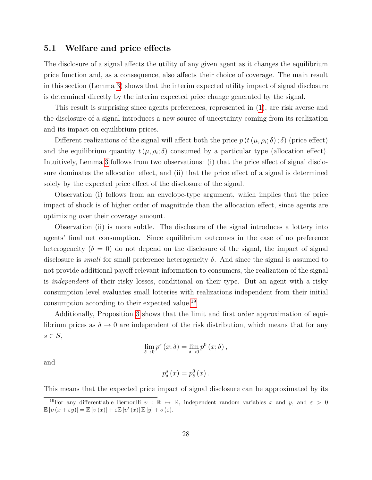### <span id="page-27-0"></span>**5.1 Welfare and price effects**

The disclosure of a signal affects the utility of any given agent as it changes the equilibrium price function and, as a consequence, also affects their choice of coverage. The main result in this section (Lemma [3\)](#page-28-0) shows that the interim expected utility impact of signal disclosure is determined directly by the interim expected price change generated by the signal.

This result is surprising since agents preferences, represented in [\(1\)](#page-8-0), are risk averse and the disclosure of a signal introduces a new source of uncertainty coming from its realization and its impact on equilibrium prices.

Different realizations of the signal will affect both the price  $p(t(\mu, \rho_i; \delta); \delta)$  (price effect) and the equilibrium quantity  $t(\mu, \rho_i; \delta)$  consumed by a particular type (allocation effect). Intuitively, Lemma [3](#page-28-0) follows from two observations: (i) that the price effect of signal disclosure dominates the allocation effect, and (ii) that the price effect of a signal is determined solely by the expected price effect of the disclosure of the signal.

Observation (i) follows from an envelope-type argument, which implies that the price impact of shock is of higher order of magnitude than the allocation effect, since agents are optimizing over their coverage amount.

Observation (ii) is more subtle. The disclosure of the signal introduces a lottery into agents' final net consumption. Since equilibrium outcomes in the case of no preference heterogeneity ( $\delta = 0$ ) do not depend on the disclosure of the signal, the impact of signal disclosure is *small* for small preference heterogeneity  $\delta$ . And since the signal is assumed to not provide additional payoff relevant information to consumers, the realization of the signal is *independent* of their risky losses, conditional on their type. But an agent with a risky consumption level evaluates small lotteries with realizations independent from their initial consumption according to their expected value.[19](#page-71-0)

Additionally, Proposition [3](#page-22-0) shows that the limit and first order approximation of equilibrium prices as  $\delta \to 0$  are independent of the risk distribution, which means that for any  $s \in S$ ,

$$
\lim_{\delta \to 0} p^s(x;\delta) = \lim_{\delta \to 0} p^0(x;\delta),
$$

and

$$
p_{\delta}^{s}(x)=p_{\delta}^{0}(x).
$$

This means that the expected price impact of signal disclosure can be approximated by its

<sup>&</sup>lt;sup>19</sup>For any differentiable Bernoulli  $v : \mathbb{R} \mapsto \mathbb{R}$ , independent random variables x and y, and  $\varepsilon > 0$  $\mathbb{E}[v(x+\varepsilon y)] = \mathbb{E}[v(x)] + \varepsilon \mathbb{E}[v'(x)] \mathbb{E}[y] + o(\varepsilon).$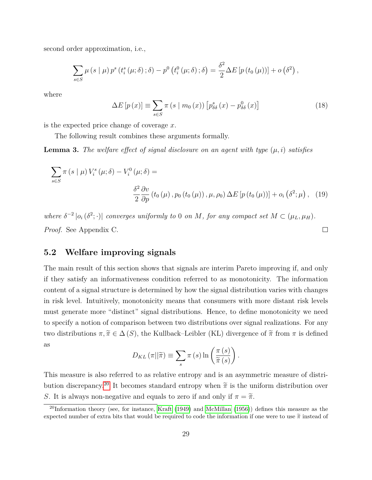second order approximation, i.e.,

$$
\sum_{s\in S}\mu\left(s\mid\mu\right)p^{s}\left(t_{i}^{s}\left(\mu;\delta\right);\delta\right)-p^{0}\left(t_{i}^{0}\left(\mu;\delta\right);\delta\right)=\frac{\delta^{2}}{2}\Delta E\left[p\left(t_{0}\left(\mu\right)\right)\right]+o\left(\delta^{2}\right),
$$

where

<span id="page-28-1"></span>
$$
\Delta E\left[p\left(x\right)\right] \equiv \sum_{s \in S} \pi\left(s \mid m_0\left(x\right)\right) \left[p_{\delta\delta}^s\left(x\right) - p_{\delta\delta}^0\left(x\right)\right] \tag{18}
$$

is the expected price change of coverage  $x$ .

The following result combines these arguments formally.

<span id="page-28-0"></span>**Lemma 3.** The welfare effect of signal disclosure on an agent with type  $(\mu, i)$  satisfies

$$
\sum_{s \in S} \pi (s | \mu) V_i^s (\mu; \delta) - V_i^0 (\mu; \delta) =
$$
  

$$
\frac{\delta^2}{2} \frac{\partial v}{\partial p} (t_0 (\mu), p_0 (t_0 (\mu)), \mu, \rho_0) \Delta E [p (t_0 (\mu))] + o_i (\delta^2; \mu), \quad (19)
$$

where  $\delta^{-2}$  | $o_i$  ( $\delta^2$ ; ·)| *converges uniformly to* 0 *on* M, for any compact set  $M \subset (\mu_L, \mu_H)$ . *Proof.* See Appendix C.  $\Box$ 

## **5.2 Welfare improving signals**

The main result of this section shows that signals are interim Pareto improving if, and only if they satisfy an informativeness condition referred to as monotonicity. The information content of a signal structure is determined by how the signal distribution varies with changes in risk level. Intuitively, monotonicity means that consumers with more distant risk levels must generate more "distinct" signal distributions. Hence, to define monotonicity we need to specify a notion of comparison between two distributions over signal realizations. For any two distributions  $\pi, \tilde{\pi} \in \Delta(S)$ , the Kullback–Leibler (KL) divergence of  $\tilde{\pi}$  from  $\pi$  is defined as

$$
D_{KL}(\pi||\widetilde{\pi}) \equiv \sum_{s} \pi(s) \ln\left(\frac{\pi(s)}{\widetilde{\pi}(s)}\right).
$$

This measure is also referred to as relative entropy and is an asymmetric measure of distri-bution discrepancy.<sup>[20](#page-71-0)</sup> It becomes standard entropy when  $\tilde{\pi}$  is the uniform distribution over S. It is always non-negative and equals to zero if and only if  $\pi = \tilde{\pi}$ .

<sup>&</sup>lt;sup>20</sup>Information theory (see, for instance, [Kraft \(1949\)](#page-70-8) and [McMillan \(1956\)](#page-70-9)) defines this measure as the expected number of extra bits that would be required to code the information if one were to use  $\tilde{\pi}$  instead of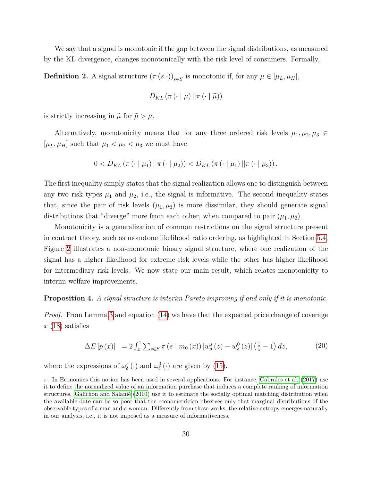We say that a signal is monotonic if the gap between the signal distributions, as measured by the KL divergence, changes monotonically with the risk level of consumers. Formally,

**Definition 2.** A signal structure  $(\pi(s|\cdot))_{s\in S}$  is monotonic if, for any  $\mu \in [\mu_L, \mu_H]$ ,

$$
D_{KL}(\pi(\cdot \mid \mu) || \pi(\cdot \mid \widetilde{\mu}))
$$

is strictly increasing in  $\tilde{\mu}$  for  $\tilde{\mu} > \mu$ .

Alternatively, monotonicity means that for any three ordered risk levels  $\mu_1, \mu_2, \mu_3 \in$  $[\mu_L, \mu_H]$  such that  $\mu_1 < \mu_2 < \mu_3$  we must have

$$
0 < D_{KL}(\pi(\cdot | \mu_1) || \pi(\cdot | \mu_2)) < D_{KL}(\pi(\cdot | \mu_1) || \pi(\cdot | \mu_3)).
$$

The first inequality simply states that the signal realization allows one to distinguish between any two risk types  $\mu_1$  and  $\mu_2$ , i.e., the signal is informative. The second inequality states that, since the pair of risk levels  $(\mu_1, \mu_3)$  is more dissimilar, they should generate signal distributions that "diverge" more from each other, when compared to pair  $(\mu_1, \mu_2)$ .

Monotonicity is a generalization of common restrictions on the signal structure present in contract theory, such as monotone likelihood ratio ordering, as highlighted in Section [5.4.](#page-32-0) Figure [2](#page-30-0) illustrates a non-monotonic binary signal structure, where one realization of the signal has a higher likelihood for extreme risk levels while the other has higher likelihood for intermediary risk levels. We now state our main result, which relates monotonicity to interim welfare improvements.

#### <span id="page-29-0"></span>**Proposition 4.** *A signal structure is interim Pareto improving if and only if it is monotonic.*

*Proof.* From Lemma [3](#page-28-0) and equation [\(14\)](#page-22-1) we have that the expected price change of coverage  $x(18)$  $x(18)$  satisfies

<span id="page-29-1"></span>
$$
\Delta E\left[p\left(x\right)\right] = 2\int_x^1 \sum_{s \in S} \pi\left(s \mid m_0\left(x\right)\right) \left[w_\delta^s\left(z\right) - w_\delta^0\left(z\right)\right] \left(\frac{1}{z} - 1\right) dz, \tag{20}
$$

where the expressions of  $\omega_{\delta}^{s}(\cdot)$  and  $\omega_{\delta}^{0}(\cdot)$  are given by [\(15\)](#page-23-0).

 $\pi$ . In Economics this notion has been used in several applications. For instance, [Cabrales et al. \(2017\)](#page-69-10) use it to define the normalized value of an information purchase that induces a complete ranking of information structures. [Galichon and Salanié \(2010\)](#page-70-10) use it to estimate the socially optimal matching distribution when the available date can be so poor that the econometrician observes only that marginal distributions of the observable types of a man and a woman. Differently from these works, the relative entropy emerges naturally in our analysis, i.e., it is not imposed as a measure of informativeness.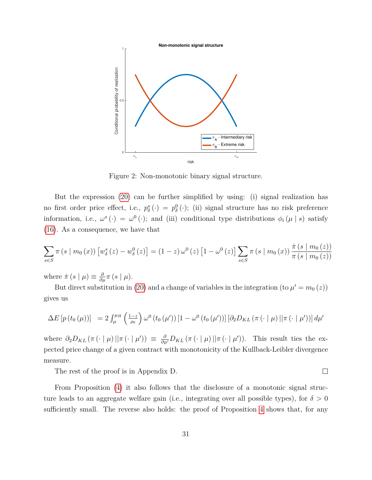

<span id="page-30-0"></span>Figure 2: Non-monotonic binary signal structure.

But the expression [\(20\)](#page-29-1) can be further simplified by using: (i) signal realization has no first order price effect, i.e.,  $p_{\delta}^{s}(\cdot) = p_{\delta}^{0}(\cdot);$  (ii) signal structure has no risk preference information, i.e.,  $\omega^s(\cdot) = \omega^0(\cdot)$ ; and (iii) conditional type distributions  $\phi_i(\mu \mid s)$  satisfy [\(16\)](#page-26-0). As a consequence, we have that

$$
\sum_{s \in S} \pi (s \mid m_0(x)) [w_\delta^s(z) - w_\delta^0(z)] = (1 - z) \omega^0(z) [1 - \omega^0(z)] \sum_{s \in S} \pi (s \mid m_0(x)) \frac{\pi (s \mid m_0(z))}{\pi (s \mid m_0(z))}
$$

where  $\dot{\pi}(s | \mu) \equiv \frac{\partial}{\partial \mu} \pi (s | \mu)$ .

But direct substitution in [\(20\)](#page-29-1) and a change of variables in the integration (to  $\mu' = m_0(z)$ ) gives us

$$
\Delta E \left[ p(t_0(\mu)) \right] = 2 \int_{\mu}^{\mu} \left( \frac{1-z}{\rho_0} \right) \omega^0 \left( t_0(\mu') \right) \left[ 1 - \omega^0 \left( t_0(\mu') \right) \right] \left[ \partial_2 D_{KL} \left( \pi \left( \cdot \mid \mu \right) \right) \right] d\mu'
$$

where  $\partial_2 D_{KL}(\pi(\cdot | \mu) || \pi(\cdot | \mu')) \equiv \frac{\partial}{\partial \mu'} D_{KL}(\pi(\cdot | \mu) || \pi(\cdot | \mu'))$ . This result ties the expected price change of a given contract with monotonicity of the Kullback-Leibler divergence measure.

The rest of the proof is in Appendix D.

From Proposition [\(4\)](#page-29-0) it also follows that the disclosure of a monotonic signal structure leads to an aggregate welfare gain (i.e., integrating over all possible types), for  $\delta > 0$ sufficiently small. The reverse also holds: the proof of Proposition [4](#page-29-0) shows that, for any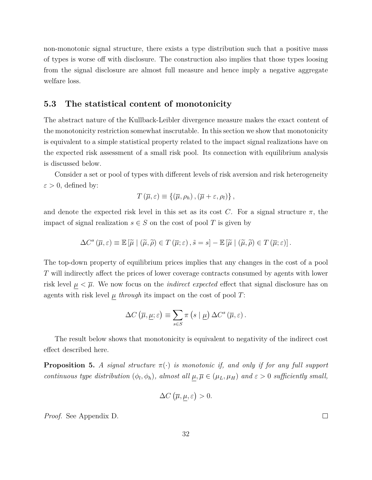non-monotonic signal structure, there exists a type distribution such that a positive mass of types is worse off with disclosure. The construction also implies that those types loosing from the signal disclosure are almost full measure and hence imply a negative aggregate welfare loss.

### **5.3 The statistical content of monotonicity**

The abstract nature of the Kullback-Leibler divergence measure makes the exact content of the monotonicity restriction somewhat inscrutable. In this section we show that monotonicity is equivalent to a simple statistical property related to the impact signal realizations have on the expected risk assessment of a small risk pool. Its connection with equilibrium analysis is discussed below.

Consider a set or pool of types with different levels of risk aversion and risk heterogeneity  $\varepsilon > 0$ , defined by:

$$
T(\overline{\mu}, \varepsilon) \equiv \{(\overline{\mu}, \rho_h), (\overline{\mu} + \varepsilon, \rho_l)\},\
$$

and denote the expected risk level in this set as its cost C. For a signal structure  $\pi$ , the impact of signal realization  $s \in S$  on the cost of pool T is given by

$$
\Delta C^{s}(\overline{\mu},\varepsilon) \equiv \mathbb{E}[\widetilde{\mu} | (\widetilde{\mu},\widetilde{\rho}) \in T(\overline{\mu};\varepsilon), \widetilde{s} = s] - \mathbb{E}[\widetilde{\mu} | (\widetilde{\mu},\widetilde{\rho}) \in T(\overline{\mu};\varepsilon)].
$$

The top-down property of equilibrium prices implies that any changes in the cost of a pool T will indirectly affect the prices of lower coverage contracts consumed by agents with lower risk level  $\mu < \overline{\mu}$ . We now focus on the *indirect expected* effect that signal disclosure has on agents with risk level  $\mu$  *through* its impact on the cost of pool  $T$ :

$$
\Delta C\left(\overline{\mu}, \underline{\mu}; \varepsilon\right) \equiv \sum_{s \in S} \pi\left(s \mid \underline{\mu}\right) \Delta C^s\left(\overline{\mu}, \varepsilon\right).
$$

The result below shows that monotonicity is equivalent to negativity of the indirect cost effect described here.

<span id="page-31-0"></span>**Proposition 5.** *A signal structure*  $\pi(\cdot)$  *is monotonic if, and only if for any full support continuous type distribution*  $(\phi_l, \phi_h)$ *, almost all*  $\mu, \overline{\mu} \in (\mu_L, \mu_H)$  and  $\varepsilon > 0$  sufficiently small,

$$
\Delta C\left(\overline{\mu}, \mu, \varepsilon\right) > 0.
$$

*Proof.* See Appendix D.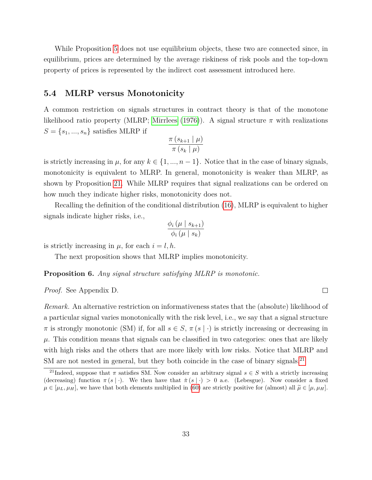While Proposition [5](#page-31-0) does not use equilibrium objects, these two are connected since, in equilibrium, prices are determined by the average riskiness of risk pools and the top-down property of prices is represented by the indirect cost assessment introduced here.

## <span id="page-32-0"></span>**5.4 MLRP versus Monotonicity**

A common restriction on signals structures in contract theory is that of the monotone likelihood ratio property (MLRP; [Mirrlees \(1976\)](#page-70-11)). A signal structure  $\pi$  with realizations  $S = \{s_1, ..., s_n\}$  satisfies MLRP if

$$
\frac{\pi (s_{k+1} | \mu)}{\pi (s_k | \mu)}
$$

is strictly increasing in  $\mu$ , for any  $k \in \{1, ..., n-1\}$ . Notice that in the case of binary signals, monotonicity is equivalent to MLRP. In general, monotonicity is weaker than MLRP, as shown by Proposition [21.](#page-34-0) While MLRP requires that signal realizations can be ordered on how much they indicate higher risks, monotonicity does not.

Recalling the definition of the conditional distribution [\(16\)](#page-26-0), MLRP is equivalent to higher signals indicate higher risks, i.e.,

$$
\frac{\phi_i(\mu \mid s_{k+1})}{\phi_i(\mu \mid s_k)}
$$

is strictly increasing in  $\mu$ , for each  $i = l, h$ .

The next proposition shows that MLRP implies monotonicity.

**Proposition 6.** *Any signal structure satisfying MLRP is monotonic.*

*Proof.* See Appendix D.

*Remark.* An alternative restriction on informativeness states that the (absolute) likelihood of a particular signal varies monotonically with the risk level, i.e., we say that a signal structure  $\pi$  is strongly monotonic (SM) if, for all  $s \in S$ ,  $\pi(s | \cdot)$  is strictly increasing or decreasing in  $\mu$ . This condition means that signals can be classified in two categories: ones that are likely with high risks and the others that are more likely with low risks. Notice that MLRP and SM are not nested in general, but they both coincide in the case of binary signals.<sup>[21](#page-71-0)</sup>

<sup>&</sup>lt;sup>21</sup>Indeed, suppose that  $\pi$  satisfies SM. Now consider an arbitrary signal  $s \in S$  with a strictly increasing (decreasing) function  $\pi(s \mid \cdot)$ . We then have that  $\pi(s \mid \cdot) > 0$  a.e. (Lebesgue). Now consider a fixed  $\mu \in [\mu_L, \mu_H]$ , we have that both elements multiplied in [\(60\)](#page-67-0) are strictly positive for (almost) all  $\tilde{\mu} \in [\mu, \mu_H]$ .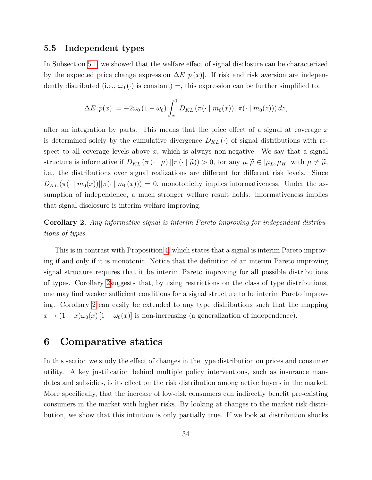#### **5.5 Independent types**

In Subsection [5.1,](#page-27-0) we showed that the welfare effect of signal disclosure can be characterized by the expected price change expression  $\Delta E |p(x)|$ . If risk and risk aversion are independently distributed (i.e.,  $\omega_0(\cdot)$  is constant) =, this expression can be further simplified to:

$$
\Delta E\left[p(x)\right] = -2\omega_0 \left(1 - \omega_0\right) \int_x^1 D_{KL}\left(\pi\left(\cdot \mid m_0(x)\right)\middle||\pi\left(\cdot \mid m_0(z)\right)\right) dz,
$$

after an integration by parts. This means that the price effect of a signal at coverage  $x$ is determined solely by the cumulative divergence  $D_{KL}(\cdot)$  of signal distributions with respect to all coverage levels above  $x$ , which is always non-negative. We say that a signal structure is informative if  $D_{KL}(\pi(\cdot | \mu) || \pi(\cdot | \widetilde{\mu})) > 0$ , for any  $\mu, \widetilde{\mu} \in [\mu_L, \mu_H]$  with  $\mu \neq \widetilde{\mu}$ , i.e., the distributions over signal realizations are different for different risk levels. Since  $D_{KL}(\pi(\cdot | m_0(x))||\pi(\cdot | m_0(x))) = 0$ , monotonicity implies informativeness. Under the assumption of independence, a much stronger welfare result holds: informativeness implies that signal disclosure is interim welfare improving.

<span id="page-33-1"></span>**Corollary 2.** *Any informative signal is interim Pareto improving for independent distributions of types.*

This is in contrast with Proposition [4,](#page-29-0) which states that a signal is interim Pareto improving if and only if it is monotonic. Notice that the definition of an interim Pareto improving signal structure requires that it be interim Pareto improving for all possible distributions of types. Corollary [2s](#page-33-1)uggests that, by using restrictions on the class of type distributions, one may find weaker sufficient conditions for a signal structure to be interim Pareto improving. Corollary [2](#page-33-1) can easily be extended to any type distributions such that the mapping  $x \to (1-x)\omega_0(x)$  [1 –  $\omega_0(x)$ ] is non-increasing (a generalization of independence).

## <span id="page-33-0"></span>**6 Comparative statics**

In this section we study the effect of changes in the type distribution on prices and consumer utility. A key justification behind multiple policy interventions, such as insurance mandates and subsidies, is its effect on the risk distribution among active buyers in the market. More specifically, that the increase of low-risk consumers can indirectly benefit pre-existing consumers in the market with higher risks. By looking at changes to the market risk distribution, we show that this intuition is only partially true. If we look at distribution shocks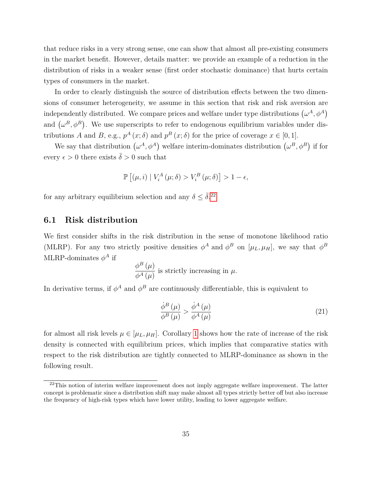that reduce risks in a very strong sense, one can show that almost all pre-existing consumers in the market benefit. However, details matter: we provide an example of a reduction in the distribution of risks in a weaker sense (first order stochastic dominance) that hurts certain types of consumers in the market.

In order to clearly distinguish the source of distribution effects between the two dimensions of consumer heterogeneity, we assume in this section that risk and risk aversion are independently distributed. We compare prices and welfare under type distributions  $(\omega^A, \phi^A)$ and  $(\omega^B, \phi^B)$ . We use superscripts to refer to endogenous equilibrium variables under distributions A and B, e.g.,  $p^A(x;\delta)$  and  $p^B(x;\delta)$  for the price of coverage  $x \in [0,1]$ .

We say that distribution  $(\omega^A, \phi^A)$  welfare interim-dominates distribution  $(\omega^B, \phi^B)$  if for every  $\epsilon > 0$  there exists  $\overline{\delta} > 0$  such that

$$
\mathbb{P}\left[\left(\mu,i\right) \mid V_i^A\left(\mu;\delta\right) > V_i^B\left(\mu;\delta\right)\right] > 1-\epsilon,
$$

for any arbitrary equilibrium selection and any  $\delta \leq \bar{\delta}$ .<sup>[22](#page-71-0)</sup>

#### **6.1 Risk distribution**

We first consider shifts in the risk distribution in the sense of monotone likelihood ratio (MLRP). For any two strictly positive densities  $\phi^A$  and  $\phi^B$  on  $[\mu_L, \mu_H]$ , we say that  $\phi^B$ MLRP-dominates  $\phi^A$  if

$$
\frac{\phi^{B}(\mu)}{\phi^{A}(\mu)}
$$
 is strictly increasing in  $\mu$ .

In derivative terms, if  $\phi^A$  and  $\phi^B$  are continuously differentiable, this is equivalent to

<span id="page-34-0"></span>
$$
\frac{\dot{\phi}^{B}(\mu)}{\phi^{B}(\mu)} > \frac{\dot{\phi}^{A}(\mu)}{\phi^{A}(\mu)}
$$
\n(21)

for almost all risk levels  $\mu \in [\mu_L, \mu_H]$ . Corollary [1](#page-24-2) shows how the rate of increase of the risk density is connected with equilibrium prices, which implies that comparative statics with respect to the risk distribution are tightly connected to MLRP-dominance as shown in the following result.

 $^{22}$ This notion of interim welfare improvement does not imply aggregate welfare improvement. The latter concept is problematic since a distribution shift may make almost all types strictly better off but also increase the frequency of high-risk types which have lower utility, leading to lower aggregate welfare.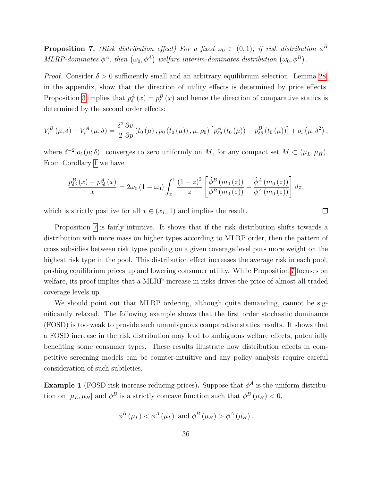<span id="page-35-0"></span>**Proposition 7.** *(Risk distribution effect) For a fixed*  $\omega_0 \in (0,1)$ *, if risk distribution*  $\phi^B$  $MLRP$ -dominates  $\phi^A$ , then  $(\omega_0, \phi^A)$  welfare interim-dominates distribution  $(\omega_0, \phi^B)$ .

*Proof.* Consider  $\delta > 0$  sufficiently small and an arbitrary equilibrium selection. Lemma [28,](#page-64-0) in the appendix, show that the direction of utility effects is determined by price effects. Proposition [3](#page-22-0) implies that  $p_{\delta}^{A}(x) = p_{\delta}^{B}(x)$  and hence the direction of comparative statics is determined by the second order effects:

$$
V_i^B(\mu;\delta) - V_i^A(\mu;\delta) = \frac{\delta^2}{2} \frac{\partial v}{\partial p}(t_0(\mu), p_0(t_0(\mu)), \mu, \rho_0) \left[ p_{\delta\delta}^A(t_0(\mu)) - p_{\delta\delta}^B(t_0(\mu)) \right] + o_i(\mu;\delta^2),
$$

where  $\delta^{-2} |o_i(\mu;\delta)|$  converges to zero uniformly on M, for any compact set  $M \subset (\mu_L, \mu_H)$ . From Corollary [1](#page-24-2) we have

$$
\frac{p_{\delta\delta}^{B}(x) - p_{\delta\delta}^{A}(x)}{x} = 2\omega_{0} (1 - \omega_{0}) \int_{x}^{1} \frac{(1 - z)^{2}}{z} \left[ \frac{\dot{\phi}^{B}(m_{0}(z))}{\phi^{B}(m_{0}(z))} - \frac{\dot{\phi}^{A}(m_{0}(z))}{\phi^{A}(m_{0}(z))} \right] dz,
$$

 $\Box$ 

which is strictly positive for all  $x \in (x_L, 1)$  and implies the result.

Proposition [7](#page-35-0) is fairly intuitive. It shows that if the risk distribution shifts towards a distribution with more mass on higher types according to MLRP order, then the pattern of cross subsidies between risk types pooling on a given coverage level puts more weight on the highest risk type in the pool. This distribution effect increases the average risk in each pool, pushing equilibrium prices up and lowering consumer utility. While Proposition [7](#page-35-0) focuses on welfare, its proof implies that a MLRP-increase in risks drives the price of almost all traded coverage levels up.

We should point out that MLRP ordering, although quite demanding, cannot be significantly relaxed. The following example shows that the first order stochastic dominance (FOSD) is too weak to provide such unambiguous comparative statics results. It shows that a FOSD increase in the risk distribution may lead to ambiguous welfare effects, potentially benefiting some consumer types. These results illustrate how distribution effects in competitive screening models can be counter-intuitive and any policy analysis require careful consideration of such subtleties.

**Example 1** (FOSD risk increase reducing prices). Suppose that  $\phi^A$  is the uniform distribution on  $[\mu_L, \mu_H]$  and  $\phi^B$  is a strictly concave function such that  $\dot{\phi}^B(\mu_H) < 0$ ,

$$
\phi^B(\mu_L) < \phi^A(\mu_L)
$$
 and  $\phi^B(\mu_H) > \phi^A(\mu_H)$ .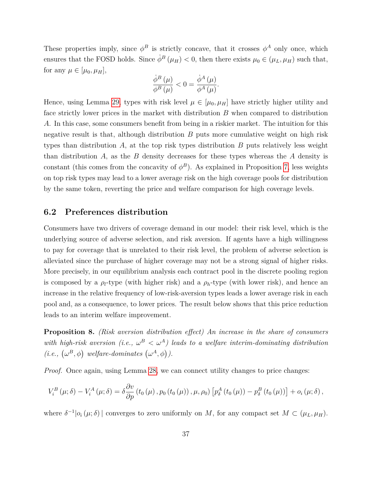These properties imply, since  $\phi^B$  is strictly concave, that it crosses  $\phi^A$  only once, which ensures that the FOSD holds. Since  $\dot{\phi}^B(\mu_H) < 0$ , then there exists  $\mu_0 \in (\mu_L, \mu_H)$  such that, for any  $\mu \in [\mu_0, \mu_H]$ ,

$$
\frac{\dot{\phi}^{B}\left(\mu\right)}{\phi^{B}\left(\mu\right)}<0=\frac{\dot{\phi}^{A}\left(\mu\right)}{\phi^{A}\left(\mu\right)}.
$$

Hence, using Lemma [29,](#page-68-0) types with risk level  $\mu \in [\mu_0, \mu_H]$  have strictly higher utility and face strictly lower prices in the market with distribution  $B$  when compared to distribution A. In this case, some consumers benefit from being in a riskier market. The intuition for this negative result is that, although distribution  $B$  puts more cumulative weight on high risk types than distribution  $A$ , at the top risk types distribution  $B$  puts relatively less weight than distribution  $A$ , as the  $B$  density decreases for these types whereas the  $A$  density is constant (this comes from the concavity of  $\phi^B$ ). As explained in Proposition [7,](#page-35-0) less weights on top risk types may lead to a lower average risk on the high coverage pools for distribution by the same token, reverting the price and welfare comparison for high coverage levels.

#### **6.2 Preferences distribution**

Consumers have two drivers of coverage demand in our model: their risk level, which is the underlying source of adverse selection, and risk aversion. If agents have a high willingness to pay for coverage that is unrelated to their risk level, the problem of adverse selection is alleviated since the purchase of higher coverage may not be a strong signal of higher risks. More precisely, in our equilibrium analysis each contract pool in the discrete pooling region is composed by a  $\rho_l$ -type (with higher risk) and a  $\rho_h$ -type (with lower risk), and hence an increase in the relative frequency of low-risk-aversion types leads a lower average risk in each pool and, as a consequence, to lower prices. The result below shows that this price reduction leads to an interim welfare improvement.

**Proposition 8.** *(Risk aversion distribution effect) An increase in the share of consumers* with high-risk aversion (i.e.,  $\omega^B < \omega^A$ ) leads to a welfare interim-dominating distribution  $(i.e., (\omega^B, \phi) \text{ welfare-dominates } (\omega^A, \phi)).$ 

*Proof.* Once again, using Lemma [28,](#page-64-0) we can connect utility changes to price changes:

$$
V_{i}^{B}(\mu;\delta) - V_{i}^{A}(\mu;\delta) = \delta \frac{\partial v}{\partial p}(t_{0}(\mu), p_{0}(t_{0}(\mu)), \mu, \rho_{0}) \left[ p_{\delta}^{A}(t_{0}(\mu)) - p_{\delta}^{B}(t_{0}(\mu)) \right] + o_{i}(\mu;\delta),
$$

where  $\delta^{-1}|o_i(\mu;\delta)|$  converges to zero uniformly on M, for any compact set  $M \subset (\mu_L, \mu_H)$ .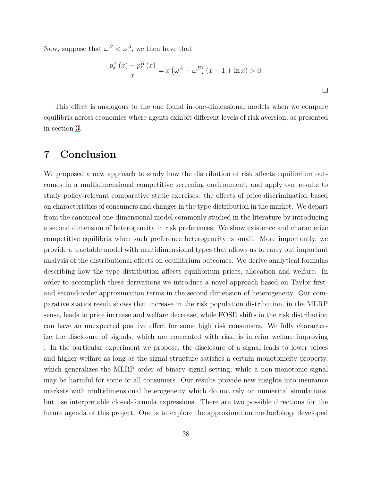Now, suppose that  $\omega^B < \omega^A$ , we then have that

$$
\frac{p_{\delta}^{A}(x) - p_{\delta}^{B}(x)}{x} = x \left(\omega^{A} - \omega^{B}\right)(x - 1 + \ln x) > 0.
$$

This effect is analogous to the one found in one-dimensional models when we compare equilibria across economies where agents exhibit different levels of risk aversion, as presented in section [3.](#page-11-0)

## **7 Conclusion**

We proposed a new approach to study how the distribution of risk affects equilibrium outcomes in a multidimensional competitive screening environment, and apply our results to study policy-relevant comparative static exercises: the effects of price discrimination based on characteristics of consumers and changes in the type distribution in the market. We depart from the canonical one-dimensional model commonly studied in the literature by introducing a second dimension of heterogeneity in risk preferences. We show existence and characterize competitive equilibria when such preference heterogeneity is small. More importantly, we provide a tractable model with multidimensional types that allows us to carry out important analysis of the distributional effects on equilibrium outcomes. We derive analytical formulas describing how the type distribution affects equilibrium prices, allocation and welfare. In order to accomplish these derivations we introduce a novel approach based on Taylor firstand second-order approximation terms in the second dimension of heterogeneity. Our comparative statics result shows that increase in the risk population distribution, in the MLRP sense, leads to price increase and welfare decrease, while FOSD shifts in the risk distribution can have an unexpected positive effect for some high risk consumers. We fully characterize the disclosure of signals, which are correlated with risk, is interim welfare improving . In the particular experiment we propose, the disclosure of a signal leads to lower prices and higher welfare as long as the signal structure satisfies a certain monotonicity property, which generalizes the MLRP order of binary signal setting; while a non-monotonic signal may be harmful for some or all consumers. Our results provide new insights into insurance markets with multidimensional heterogeneity which do not rely on numerical simulations, but use interpretable closed-formula expressions. There are two possible directions for the future agenda of this project. One is to explore the approximation methodology developed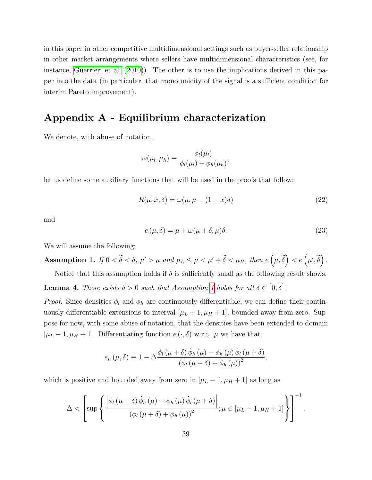in this paper in other competitive multidimensional settings such as buyer-seller relationship in other market arrangements where sellers have multidimensional characteristics (see, for instance, [Guerrieri et al. \(2010\)](#page-70-0)). The other is to use the implications derived in this paper into the data (in particular, that monotonicity of the signal is a sufficient condition for interim Pareto improvement).

# **Appendix A - Equilibrium characterization**

We denote, with abuse of notation,

$$
\omega(\mu_l, \mu_h) \equiv \frac{\phi_l(\mu_l)}{\phi_l(\mu_l) + \phi_h(\mu_h)},
$$

let us define some auxiliary functions that will be used in the proofs that follow:

<span id="page-38-1"></span>
$$
R(\mu, x, \delta) = \omega(\mu, \mu - (1 - x)\delta)
$$
\n(22)

and

<span id="page-38-2"></span>
$$
e(\mu, \delta) = \mu + \omega(\mu + \delta, \mu)\delta. \tag{23}
$$

We will assume the following:

<span id="page-38-0"></span>**Assumption 1.** *If*  $0 < \tilde{\delta} < \delta$ ,  $\mu' > \mu$  and  $\mu_L \leq \mu < \mu' + \tilde{\delta} < \mu_H$ , then  $e\left(\mu, \tilde{\delta}\right) < e\left(\mu', \tilde{\delta}\right)$ .

Notice that this assumption holds if  $\delta$  is sufficiently small as the following result shows.

**Lemma 4.** *There exists*  $\overline{\delta} > 0$  *such that Assumption [1](#page-38-0) holds for all*  $\delta \in [0, \overline{\delta}]$ .

*Proof.* Since densities  $\phi_l$  and  $\phi_h$  are continuously differentiable, we can define their continuously differentiable extensions to interval  $[\mu_L - 1, \mu_H + 1]$ , bounded away from zero. Suppose for now, with some abuse of notation, that the densities have been extended to domain  $[\mu_L - 1, \mu_H + 1]$ . Differentiating function  $e(\cdot, \delta)$  w.r.t.  $\mu$  we have that

$$
e_{\mu}(\mu,\delta) \equiv 1 - \Delta \frac{\phi_l(\mu+\delta) \dot{\phi}_h(\mu) - \phi_h(\mu) \dot{\phi}_l(\mu+\delta)}{(\phi_l(\mu+\delta) + \phi_h(\mu))^2},
$$

which is positive and bounded away from zero in  $[\mu_L - 1, \mu_H + 1]$  as long as

$$
\Delta < \left[\sup \left\{\frac{\left|\phi_l\left(\mu + \delta\right) \dot{\phi}_h\left(\mu\right) - \phi_h\left(\mu\right) \dot{\phi}_l\left(\mu + \delta\right)\right|}{\left(\phi_l\left(\mu + \delta\right) + \phi_h\left(\mu\right)\right)^2}; \mu \in \left[\mu_L - 1, \mu_H + 1\right]\right\}\right]^{-1}.
$$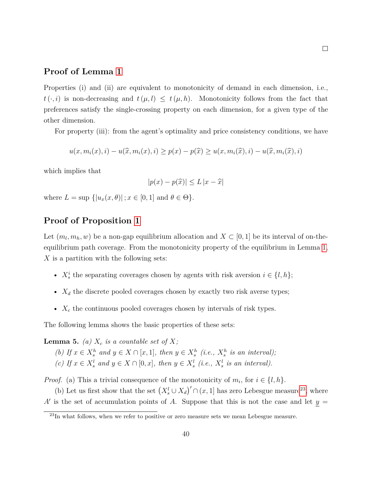## **Proof of Lemma [1](#page-13-0)**

Properties (i) and (ii) are equivalent to monotonicity of demand in each dimension, i.e.,  $t(\cdot, i)$  is non-decreasing and  $t(\mu, l) \leq t(\mu, h)$ . Monotonicity follows from the fact that preferences satisfy the single-crossing property on each dimension, for a given type of the other dimension.

For property (iii): from the agent's optimality and price consistency conditions, we have

$$
u(x, m_i(x), i) - u(\widehat{x}, m_i(x), i) \ge p(x) - p(\widehat{x}) \ge u(x, m_i(\widehat{x}), i) - u(\widehat{x}, m_i(\widehat{x}), i)
$$

which implies that

$$
|p(x) - p(\widehat{x})| \le L |x - \widehat{x}|
$$

where  $L = \sup \{ |u_x(x, \theta)| \, ; x \in [0, 1] \text{ and } \theta \in \Theta \}.$ 

## **Proof of Proposition [1](#page-14-0)**

Let  $(m_l, m_h, w)$  be a non-gap equilibrium allocation and  $X \subset [0, 1]$  be its interval of on-theequilibrium path coverage. From the monotonicity property of the equilibrium in Lemma [1,](#page-13-0)  $X$  is a partition with the following sets:

- $X_s^i$  the separating coverages chosen by agents with risk aversion  $i \in \{l, h\}$ ;
- $X_d$  the discrete pooled coverages chosen by exactly two risk averse types;
- $X_c$  the continuous pooled coverages chosen by intervals of risk types.

The following lemma shows the basic properties of these sets:

<span id="page-39-0"></span>**Lemma 5.** *(a)*  $X_c$  *is a countable set of*  $X$ *;* 

- *(b)* If  $x \in X_s^h$  and  $y \in X \cap [x, 1]$ , then  $y \in X_s^h$  (i.e.,  $X_s^h$  is an interval);
- (c) If  $x \in X_s^l$  and  $y \in X \cap [0, x]$ , then  $y \in X_s^l$  (i.e.,  $X_s^l$  is an interval).

*Proof.* (a) This a trivial consequence of the monotonicity of  $m_i$ , for  $i \in \{l, h\}$ .

(b) Let us first show that the set  $(X_s^l \cup X_d)' \cap (x, 1]$  has zero Lebesgue measure<sup>[23](#page-71-0)</sup>, where A' is the set of accumulation points of A. Suppose that this is not the case and let  $y =$ 

 $^{23}$ In what follows, when we refer to positive or zero measure sets we mean Lebesgue measure.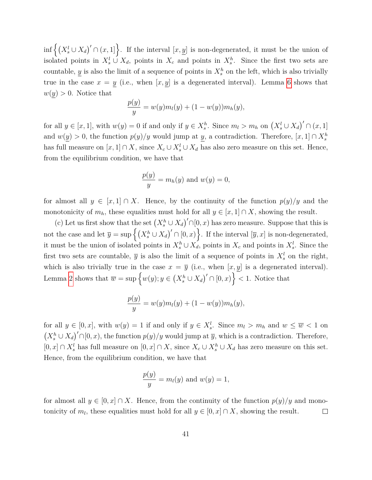$\inf \{(X_s^l \cup X_d)'\cap (x, 1]\}\.$  If the interval  $[x, y]$  is non-degenerated, it must be the union of isolated points in  $X_s^l \cup X_d$ , points in  $X_c$  and points in  $X_s^h$ . Since the first two sets are countable,  $\underline{y}$  is also the limit of a sequence of points in  $X_s^h$  on the left, which is also trivially true in the case  $x = y$  (i.e., when  $[x, y]$  is a degenerated interval). Lemma [6](#page-41-0) shows that  $w(y) > 0$ . Notice that

$$
\frac{p(y)}{y} = w(y)m_l(y) + (1 - w(y))m_h(y),
$$

for all  $y \in [x, 1]$ , with  $w(y) = 0$  if and only if  $y \in X_s^h$ . Since  $m_l > m_h$  on  $(X_s^l \cup X_d)' \cap (x, 1]$ and  $w(y) > 0$ , the function  $p(y)/y$  would jump at y, a contradiction. Therefore,  $[x, 1] \cap X_s^h$ has full measure on  $[x,1] \cap X$ , since  $X_c \cup X_s^l \cup X_d$  has also zero measure on this set. Hence, from the equilibrium condition, we have that

$$
\frac{p(y)}{y} = m_h(y) \text{ and } w(y) = 0,
$$

for almost all  $y \in [x, 1] \cap X$ . Hence, by the continuity of the function  $p(y)/y$  and the monotonicity of  $m_h$ , these equalities must hold for all  $y \in [x, 1] \cap X$ , showing the result.

(c) Let us first show that the set  $(X_s^h \cup X_d)' \cap [0, x)$  has zero measure. Suppose that this is not the case and let  $\overline{y} = \sup \{ (X_s^h \cup X_d)^\prime \cap [0, x) \}$ . If the interval  $[\overline{y}, x]$  is non-degenerated, it must be the union of isolated points in  $X_s^h \cup X_d$ , points in  $X_c$  and points in  $X_s^l$ . Since the first two sets are countable,  $\bar{y}$  is also the limit of a sequence of points in  $X_s^l$  on the right, which is also trivially true in the case  $x = \overline{y}$  (i.e., when  $[x, y]$  is a degenerated interval). Lemma [2](#page-16-0) shows that  $\overline{w} = \sup \{w(y); y \in (X_s^h \cup X_d)' \cap [0, x)\} < 1$ . Notice that

$$
\frac{p(y)}{y} = w(y)m_l(y) + (1 - w(y))m_h(y),
$$

for all  $y \in [0, x]$ , with  $w(y) = 1$  if and only if  $y \in X_s^l$ . Since  $m_l > m_h$  and  $w \leq \overline{w} < 1$  on  $(X_s^h \cup X_d)' \cap [0, x)$ , the function  $p(y)/y$  would jump at  $\overline{y}$ , which is a contradiction. Therefore,  $[0, x] \cap X_s^l$  has full measure on  $[0, x] \cap X$ , since  $X_c \cup X_s^h \cup X_d$  has zero measure on this set. Hence, from the equilibrium condition, we have that

$$
\frac{p(y)}{y} = m_l(y) \text{ and } w(y) = 1,
$$

for almost all  $y \in [0, x] \cap X$ . Hence, from the continuity of the function  $p(y)/y$  and monotonicity of  $m_l$ , these equalities must hold for all  $y \in [0, x] \cap X$ , showing the result.  $\Box$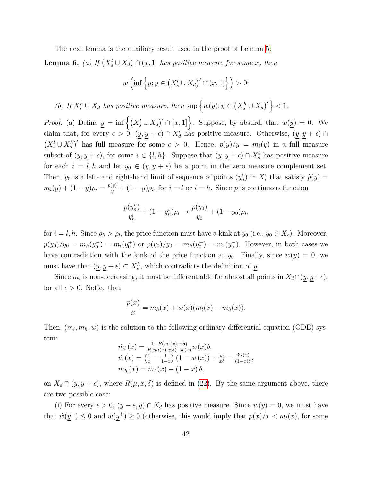The next lemma is the auxiliary result used in the proof of Lemma [5:](#page-39-0)

<span id="page-41-0"></span>**Lemma 6.** *(a)* If  $(X_s^l \cup X_d) \cap (x, 1]$  has positive measure for some x, then

$$
w\left(\inf\left\{y; y \in \left(X_s^l \cup X_d\right)' \cap (x, 1]\right\}\right) > 0;
$$

*(b)* If  $X_s^h \cup X_d$  has positive measure, then  $\text{sup}\left\{w(y); y \in (X_s^h \cup X_d)'\right\} < 1$ .

*Proof.* (a) Define  $\underline{y} = \inf \{ (X_s^l \cup X_d)' \cap (x, 1] \}$ . Suppose, by absurd, that  $w(\underline{y}) = 0$ . We claim that, for every  $\epsilon > 0$ ,  $(\underline{y}, \underline{y} + \epsilon) \cap X'_d$  has positive measure. Otherwise,  $(\underline{y}, \underline{y} + \epsilon) \cap$  $(X_s^l \cup X_s^h)'$  has full measure for some  $\epsilon > 0$ . Hence,  $p(y)/y = m_i(y)$  in a full measure subset of  $(\underline{y}, \underline{y} + \epsilon)$ , for some  $i \in \{l, h\}$ . Suppose that  $(\underline{y}, \underline{y} + \epsilon) \cap X_s^i$  has positive measure for each  $i = l, h$  and let  $y_0 \in (y, y + \epsilon)$  be a point in the zero measure complement set. Then,  $y_0$  is a left- and right-hand limit of sequence of points  $(y_n^i)$  in  $X_s^i$  that satisfy  $\dot{p}(y)$  =  $m_i(y) + (1-y)\rho_i = \frac{p(y)}{y} + (1-y)\rho_i$ , for  $i = l$  or  $i = h$ . Since p is continuous function

$$
\frac{p(y_n^i)}{y_n^i} + (1 - y_n^i)\rho_i \to \frac{p(y_0)}{y_0} + (1 - y_0)\rho_i,
$$

for  $i = l, h$ . Since  $\rho_h > \rho_l$ , the price function must have a kink at  $y_0$  (i.e.,  $y_0 \in X_c$ ). Moreover,  $p(y_0)/y_0 = m_h(y_0^-) = m_l(y_0^+)$  or  $p(y_0)/y_0 = m_h(y_0^+) = m_l(y_0^-)$ . However, in both cases we have contradiction with the kink of the price function at  $y_0$ . Finally, since  $w(y) = 0$ , we must have that  $(\underline{y}, \underline{y} + \epsilon) \subset X_s^h$ , which contradicts the definition of  $\underline{y}$ .

Since  $m_i$  is non-decreasing, it must be differentiable for almost all points in  $X_d \cap (y, y + \epsilon)$ , for all  $\epsilon > 0$ . Notice that

$$
\frac{p(x)}{x} = m_h(x) + w(x)(m_l(x) - m_h(x)).
$$

Then,  $(m_l, m_h, w)$  is the solution to the following ordinary differential equation (ODE) system:

$$
\dot{m}_l(x) = \frac{1 - R(m_l(x), x, \delta)}{R(m_l(x), x, \delta) - w(x)} w(x) \delta,
$$
  
\n
$$
\dot{w}(x) = \left(\frac{1}{x} - \frac{1}{1-x}\right) (1 - w(x)) + \frac{\rho_l}{x\delta} - \frac{\dot{m}_l(x)}{(1-x)\delta},
$$
  
\n
$$
m_h(x) = m_l(x) - (1-x)\delta,
$$

on  $X_d \cap (y, y + \epsilon)$ , where  $R(\mu, x, \delta)$  is defined in [\(22\)](#page-38-1). By the same argument above, there are two possible case:

(i) For every  $\epsilon > 0$ ,  $(\underline{y} - \epsilon, \underline{y}) \cap X_d$  has positive measure. Since  $w(\underline{y}) = 0$ , we must have that  $\dot{w}(y^-) \leq 0$  and  $\dot{w}(y^+) \geq 0$  (otherwise, this would imply that  $p(x)/x < m_l(x)$ , for some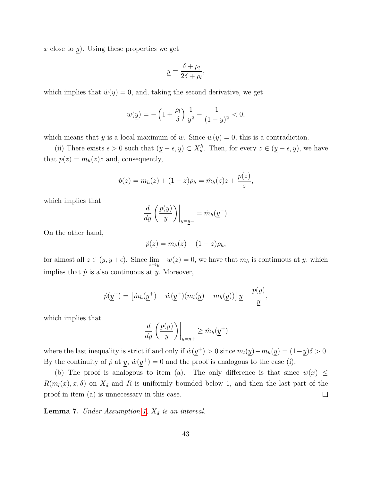x close to y). Using these properties we get

$$
\underline{y} = \frac{\delta + \rho_l}{2\delta + \rho_l},
$$

which implies that  $\dot{w}(y) = 0$ , and, taking the second derivative, we get

$$
\ddot{w}(\underline{y}) = -\left(1 + \frac{\rho_l}{\delta}\right) \frac{1}{\underline{y}^2} - \frac{1}{(1 - \underline{y})^2} < 0,
$$

which means that y is a local maximum of w. Since  $w(y) = 0$ , this is a contradiction.

(ii) There exists  $\epsilon > 0$  such that  $(\underline{y} - \epsilon, \underline{y}) \subset X_s^h$ . Then, for every  $z \in (\underline{y} - \epsilon, \underline{y})$ , we have that  $p(z) = m_h(z)z$  and, consequently,

$$
\dot{p}(z) = m_h(z) + (1 - z)\rho_h = \dot{m}_h(z)z + \frac{p(z)}{z},
$$

which implies that

$$
\frac{d}{dy}\left(\frac{p(y)}{y}\right)\bigg|_{y=\underline{y}-} = \dot{m}_h(\underline{y}^-).
$$

On the other hand,

$$
\dot{p}(z) = m_h(z) + (1 - z)\rho_h,
$$

for almost all  $z \in (\underline{y}, \underline{y} + \epsilon)$ . Since  $\lim_{z \to y} w(z) = 0$ , we have that  $m_h$  is continuous at  $\underline{y}$ , which implies that  $\dot{p}$  is also continuous at  $y$ . Moreover,

$$
\dot{p}(\underline{y}^+) = \left[ \dot{m}_h(\underline{y}^+) + \dot{w}(\underline{y}^+) (m_l(\underline{y}) - m_h(\underline{y})) \right] \underline{y} + \frac{p(\underline{y})}{\underline{y}},
$$

which implies that

$$
\frac{d}{dy}\left(\frac{p(y)}{y}\right)\Big|_{y=\underline{y}+} \ge \dot{m}_h(\underline{y}^+)
$$

where the last inequality is strict if and only if  $\dot{w}(y^+) > 0$  since  $m_l(y) - m_h(y) = (1 - y)\delta > 0$ . By the continuity of  $\dot{p}$  at  $y, \dot{w}(y^+) = 0$  and the proof is analogous to the case (i).

(b) The proof is analogous to item (a). The only difference is that since  $w(x) \leq$  $R(m_l(x), x, \delta)$  on  $X_d$  and R is uniformly bounded below 1, and then the last part of the proof in item (a) is unnecessary in this case.  $\Box$ 

<span id="page-42-0"></span>**Lemma 7.** *Under Assumption [1,](#page-38-0)*  $X_d$  *is an interval.*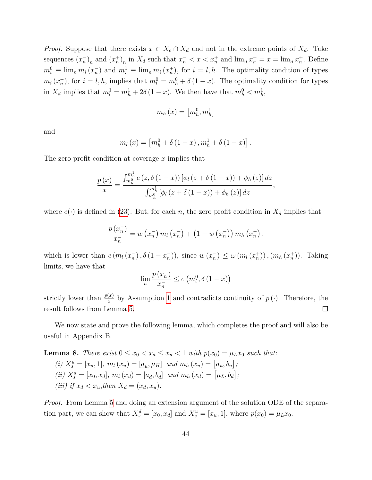*Proof.* Suppose that there exists  $x \in X_c \cap X_d$  and not in the extreme points of  $X_d$ . Take sequences  $(x_n^-)_n$  and  $(x_n^+)_n$  in  $X_d$  such that  $x_n^- < x < x_n^+$  and  $\lim_n x_n^- = x = \lim_n x_n^+$ . Define  $m_i^0 \equiv \lim_n m_i(x_n^-)$  and  $m_i^1 \equiv \lim_n m_i(x_n^+)$ , for  $i = l, h$ . The optimality condition of types  $m_i(x_n^{-})$ , for  $i = l, h$ , implies that  $m_l^0 = m_h^0 + \delta(1-x)$ . The optimality condition for types in  $X_d$  implies that  $m_l^1 = m_h^1 + 2\delta(1-x)$ . We then have that  $m_h^0 < m_h^1$ ,

$$
m_h(x) = \left[m_h^0, m_h^1\right]
$$

and

$$
m_l(x) = [m_h^0 + \delta (1 - x), m_h^1 + \delta (1 - x)].
$$

The zero profit condition at coverage  $x$  implies that

$$
\frac{p(x)}{x} = \frac{\int_{m_h^0}^{m_h^1} e(z, \delta(1-x)) [\phi_l(z + \delta(1-x)) + \phi_h(z)] dz}{\int_{m_h^0}^{m_h^1} [\phi_l(z + \delta(1-x)) + \phi_h(z)] dz},
$$

where  $e(\cdot)$  is defined in [\(23\)](#page-38-2). But, for each n, the zero profit condition in  $X_d$  implies that

$$
\frac{p(x_{n}^{-})}{x_{n}^{-}} = w(x_{n}^{-}) m_{l}(x_{n}^{-}) + (1 - w(x_{n}^{-})) m_{h}(x_{n}^{-}),
$$

which is lower than  $e(m_l(x_n^{-}), \delta(1-x_n^{-})),$  since  $w(x_n^{-}) \leq \omega(m_l(x_n^{+}))$ ,  $(m_h(x_n^{+}))$ . Taking limits, we have that

$$
\lim_{n} \frac{p(x_{n}^{-})}{x_{n}^{-}} \le e\left(m_{l}^{0}, \delta\left(1-x\right)\right)
$$

strictly lower than  $\frac{p(x)}{x}$  by Assumption [1](#page-38-0) and contradicts continuity of  $p(\cdot)$ . Therefore, the result follows from Lemma [5.](#page-39-0)  $\Box$ 

We now state and prove the following lemma, which completes the proof and will also be useful in Appendix B.

**Lemma 8.** There exist 
$$
0 \leq x_0 < x_d \leq x_u < 1
$$
 with  $p(x_0) = \mu_L x_0$  such that: (i)  $X_s^u = [x_u, 1], m_l(x_u) = [\underline{a}_u, \mu_H]$  and  $m_h(x_u) = [\overline{a}_u, \overline{b}_u]$ ; (ii)  $X_s^d = [x_0, x_d], m_l(x_d) = [\underline{a}_d, \underline{b}_d]$  and  $m_h(x_d) = [\mu_L, \overline{b}_d]$ ; (iii) if  $x_d < x_u$ , then  $X_d = (x_d, x_u)$ .

*Proof.* From Lemma [5](#page-39-0) and doing an extension argument of the solution ODE of the separation part, we can show that  $X_s^d = [x_0, x_d]$  and  $X_s^u = [x_u, 1]$ , where  $p(x_0) = \mu_L x_0$ .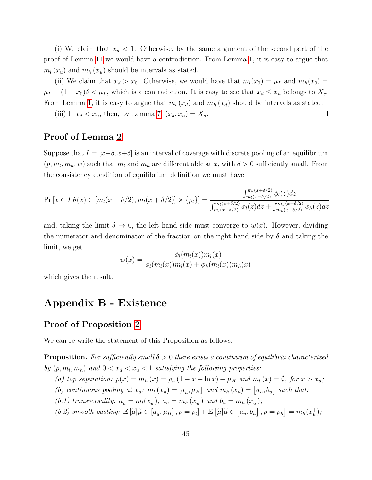(i) We claim that  $x_u < 1$ . Otherwise, by the same argument of the second part of the proof of Lemma [11](#page-49-0) we would have a contradiction. From Lemma [1,](#page-13-0) it is easy to argue that  $m_l(x_u)$  and  $m_h(x_u)$  should be intervals as stated.

(ii) We claim that  $x_d > x_0$ . Otherwise, we would have that  $m_l(x_0) = \mu_L$  and  $m_h(x_0) =$  $\mu_L - (1 - x_0)\delta < \mu_L$ , which is a contradiction. It is easy to see that  $x_d \leq x_u$  belongs to  $X_c$ . From Lemma [1,](#page-13-0) it is easy to argue that  $m_l (x_d)$  and  $m_h (x_d)$  should be intervals as stated.

(iii) If  $x_d < x_u$ , then, by Lemma [7,](#page-42-0)  $(x_d, x_u) = X_d$ .  $\Box$ 

## **Proof of Lemma [2](#page-16-1)**

Suppose that  $I = [x-\delta, x+\delta]$  is an interval of coverage with discrete pooling of an equilibrium  $(p, m_l, m_h, w)$  such that  $m_l$  and  $m_h$  are differentiable at x, with  $\delta > 0$  sufficiently small. From the consistency condition of equilibrium definition we must have

$$
\Pr\left[x \in I | \theta(x) \in [m_l(x - \delta/2), m_l(x + \delta/2)] \times \{\rho_l\}\right] = \frac{\int_{m_l(x + \delta/2)}^{m_l(x + \delta/2)} \phi_l(z) dz}{\int_{m_l(x - \delta/2)}^{m_l(x + \delta/2)} \phi_l(z) dz + \int_{m_h(x - \delta/2)}^{m_h(x + \delta/2)} \phi_h(z) dz}
$$

and, taking the limit  $\delta \to 0$ , the left hand side must converge to  $w(x)$ . However, dividing the numerator and denominator of the fraction on the right hand side by  $\delta$  and taking the limit, we get

$$
w(x) = \frac{\phi_l(m_l(x))\dot{m}_l(x)}{\phi_l(m_l(x))\dot{m}_l(x) + \phi_h(m_l(x))\dot{m}_h(x)}
$$

which gives the result.

## **Appendix B - Existence**

#### **Proof of Proposition [2](#page-16-0)**

We can re-write the statement of this Proposition as follows:

**Proposition.** For sufficiently small  $\delta > 0$  there exists a continuum of equilibria characterized *by*  $(p, m_l, m_h)$  and  $0 < x_d < x_u < 1$  *satisfying the following properties:* 

*(a) top separation:*  $p(x) = m_h(x) = \rho_h(1 - x + \ln x) + \mu_H$  *and*  $m_l(x) = \emptyset$ *, for*  $x > x_u$ *;* 

*(b) continuous pooling at*  $x_u$ :  $m_l(x_u) = [a_u, \mu_H]$  *and*  $m_h(x_u) = [\overline{a}_u, \overline{b}_u]$  *such that:* 

(b.1) transversality:  $\underline{a}_u = m_l(x_u^-), \overline{a}_u = m_h(x_u^-)$  and  $\overline{b}_u = m_h(x_u^+);$ 

(b.2) smooth pasting:  $\mathbb{E}[\widetilde{\mu}|\widetilde{\mu} \in [\underline{a}_u, \mu_H], \rho = \rho_l] + \mathbb{E}[\widetilde{\mu}|\widetilde{\mu} \in [\overline{a}_u, \overline{b}_u], \rho = \rho_h] = m_h(x_u^+);$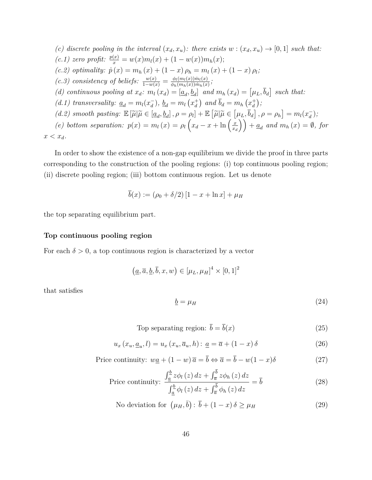\n- (c) discrete pooling in the interval 
$$
(x_d, x_u)
$$
: there exists  $w : (x_d, x_u) \to [0, 1]$  such that:
\n- (c.1) zero profit:  $\frac{p(x)}{x} = w(x)m_l(x) + (1 - w(x))m_h(x);$
\n- (c.2) optimality:  $\dot{p}(x) = m_h(x) + (1 - x)\rho_h = m_l(x) + (1 - x)\rho_l;$
\n- (c.3) consistency of beliefs:  $\frac{w(x)}{1 - w(x)} = \frac{\phi_l(m_l(x))\dot{m}_l(x)}{\phi_h(m_h(x))\dot{m}_h(x)};$
\n- (d) continuous pooling at  $x_d$ :  $m_l(x_d) = [a_d, b_d]$  and  $m_h(x_d) = [\mu_L, \bar{b}_d]$  such that:
\n- (d.1) transversality:  $\underline{a}_d = m_l(x_d^-), \underline{b}_d = m_l(x_d^+)$  and  $\bar{b}_d = m_h(x_d^+);$
\n- (d.2) smooth pasting:  $\mathbb{E}[\tilde{\mu}|\tilde{\mu} \in [\underline{a}_d, \underline{b}_d], \rho = \rho_l] + \mathbb{E}[\tilde{\mu}|\tilde{\mu} \in [\mu_L, \bar{b}_d], \rho = \rho_h] = m_l(x_d^-);$
\n- (e) bottom separation:  $p(x) = m_l(x) = \rho_l(x_d - x + \ln\left(\frac{x}{x_d}\right)) + \underline{a}_d$  and  $m_h(x) = \emptyset$ , for  $x < x_d$ .
\n

In order to show the existence of a non-gap equilibrium we divide the proof in three parts corresponding to the construction of the pooling regions: (i) top continuous pooling region; (ii) discrete pooling region; (iii) bottom continuous region. Let us denote

$$
\overline{b}(x) := (\rho_0 + \delta/2) [1 - x + \ln x] + \mu_H
$$

the top separating equilibrium part.

#### **Top continuous pooling region**

For each  $\delta > 0$ , a top continuous region is characterized by a vector

$$
(\underline{a}, \overline{a}, \underline{b}, \overline{b}, x, w) \in [\mu_L, \mu_H]^4 \times [0, 1]^2
$$

that satisfies

<span id="page-45-0"></span>
$$
\underline{b} = \mu_H \tag{24}
$$

<span id="page-45-2"></span>Top separating region: 
$$
\bar{b} = \bar{b}(x)
$$
 (25)

<span id="page-45-3"></span>
$$
u_x(x_u, \underline{a}_u, l) = u_x(x_u, \overline{a}_u, h): \underline{a} = \overline{a} + (1 - x)\delta
$$
\n(26)

<span id="page-45-4"></span>
$$
\text{Price continuity: } w\underline{a} + (1 - w)\overline{a} = \overline{b} \Leftrightarrow \overline{a} = \overline{b} - w(1 - x)\delta \tag{27}
$$

$$
\text{Price continuity: } \frac{\int_{\underline{a}}^{\underline{b}} z \phi_l(z) \, dz + \int_{\overline{a}}^{\overline{b}} z \phi_h(z) \, dz}{\int_{\underline{a}}^{\underline{b}} \phi_l(z) \, dz + \int_{\overline{a}}^{\overline{b}} \phi_h(z) \, dz} = \overline{b} \tag{28}
$$

<span id="page-45-1"></span>No deviation for  $(\mu_H, \bar{b})$ :  $\bar{b} + (1 - x) \delta \ge \mu_H$  (29)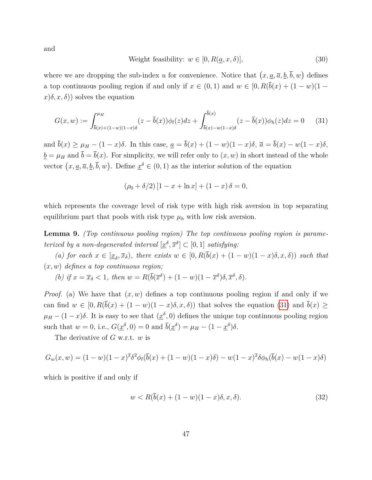and

<span id="page-46-3"></span>Weight feasibility: 
$$
w \in [0, R(\underline{a}, x, \delta)],
$$
 (30)

where we are dropping the sub-index u for convenience. Notice that  $(x, \underline{a}, \overline{a}, \underline{b}, \overline{b}, w)$  defines a top continuous pooling region if and only if  $x \in (0, 1)$  and  $w \in [0, R(\overline{b}(x) + (1 - w)(1$  $x(\delta, x, \delta)$ ) solves the equation

<span id="page-46-0"></span>
$$
G(x, w) := \int_{\bar{b}(x) + (1-w)(1-x)\delta}^{\mu_H} (z - \bar{b}(x)) \phi_l(z) dz + \int_{\bar{b}(x) - w(1-x)\delta}^{\bar{b}(x)} (z - \bar{b}(x)) \phi_h(z) dz = 0 \quad (31)
$$

and  $\bar{b}(x) \geq \mu_H - (1-x)\delta$ . In this case,  $\underline{a} = \bar{b}(x) + (1-w)(1-x)\delta$ ,  $\bar{a} = \bar{b}(x) - w(1-x)\delta$ .  $\underline{b} = \mu_H$  and  $\overline{b} = \overline{b}(x)$ . For simplicity, we will refer only to  $(x, w)$  in short instead of the whole vector  $(x, \underline{a}, \overline{a}, \underline{b}, \overline{b}, w)$ . Define  $\underline{x}^{\delta} \in (0, 1)$  as the interior solution of the equation

$$
(\rho_0 + \delta/2) [1 - x + \ln x] + (1 - x) \delta = 0,
$$

which represents the coverage level of risk type with high risk aversion in top separating equilibrium part that pools with risk type  $\mu_h$  with low risk aversion.

<span id="page-46-2"></span>**Lemma 9.** *(Top continuous pooling region) The top continuous pooling region is parameterized by a non-degenerated interval*  $[\underline{x}^{\delta}, \overline{x}^{\delta}] \subset [0, 1]$  *satisfying:* 

(a) for each  $x \in [\underline{x}_{\delta}, \overline{x}_{\delta})$ , there exists  $w \in [0, R(\overline{b}(x) + (1-w)(1-x)\delta, x, \delta))$  such that (x, w) *defines a top continuous region;*

(b) if  $x = \overline{x}_{\delta} < 1$ , then  $w = R(\overline{b}(\overline{x}^{\delta}) + (1 - w)(1 - \overline{x}^{\delta})\delta, \overline{x}^{\delta}, \delta)$ .

*Proof.* (a) We have that  $(x, w)$  defines a top continuous pooling region if and only if we can find  $w \in [0, R(\bar{b}(x) + (1 - w)(1 - x)\delta, x, \delta))$  that solves the equation [\(31\)](#page-46-0) and  $\bar{b}(x) \ge$  $\mu_H - (1-x)\delta$ . It is easy to see that  $(\underline{x}^{\delta}, 0)$  defines the unique top continuous pooling region such that  $w = 0$ , i.e.,  $G(\underline{x}^{\delta}, 0) = 0$  and  $\overline{b}(\underline{x}^{\delta}) = \mu_H - (1 - \underline{x}^{\delta})\delta$ .

The derivative of  $G$  w.r.t.  $w$  is

$$
G_w(x, w) = (1 - w)(1 - x)^2 \delta^2 \phi_l(\overline{b}(x) + (1 - w)(1 - x)\delta) - w(1 - x)^2 \delta \phi_h(\overline{b}(x) - w(1 - x)\delta)
$$

which is positive if and only if

<span id="page-46-1"></span>
$$
w < R(\bar{b}(x) + (1 - w)(1 - x)\delta, x, \delta). \tag{32}
$$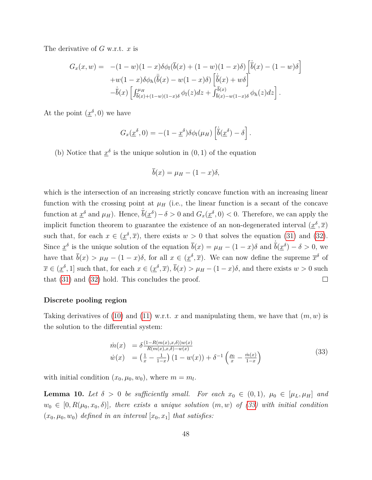The derivative of  $G$  w.r.t.  $x$  is

$$
G_x(x, w) = -(1 - w)(1 - x)\delta\phi_l(\overline{b}(x) + (1 - w)(1 - x)\delta)\left[\overline{b}(x) - (1 - w)\delta\right] + w(1 - x)\delta\phi_h(\overline{b}(x) - w(1 - x)\delta)\left[\overline{b}(x) + w\delta\right] -\overline{b}(x)\left[\int_{\overline{b}(x)+(1-w)(1-x)\delta}^{\mu_H}\phi_l(z)dz + \int_{\overline{b}(x)-w(1-x)\delta}^{\overline{b}(x)}\phi_h(z)dz\right].
$$

At the point  $(\underline{x}^{\delta},0)$  we have

$$
G_x(\underline{x}^{\delta},0) = -(1-\underline{x}^{\delta})\delta\phi_l(\mu_H) \left[\overline{b}(\underline{x}^{\delta}) - \delta\right].
$$

(b) Notice that  $\underline{x}^{\delta}$  is the unique solution in  $(0, 1)$  of the equation

$$
\overline{b}(x) = \mu_H - (1 - x)\delta,
$$

which is the intersection of an increasing strictly concave function with an increasing linear function with the crossing point at  $\mu$ <sub>H</sub> (i.e., the linear function is a secant of the concave function at  $\underline{x}^{\delta}$  and  $\mu_H$ ). Hence,  $\dot{\overline{b}}(\underline{x}^{\delta}) - \delta > 0$  and  $G_x(\underline{x}^{\delta}, 0) < 0$ . Therefore, we can apply the implicit function theorem to guarantee the existence of an non-degenerated interval  $(\underline{x}^{\delta}, \overline{x})$ such that, for each  $x \in (\underline{x}^{\delta}, \overline{x})$ , there exists  $w > 0$  that solves the equation [\(31\)](#page-46-0) and [\(32\)](#page-46-1). Since  $\underline{x}^{\delta}$  is the unique solution of the equation  $\overline{b}(x) = \mu_H - (1-x)\delta$  and  $\dot{\overline{b}}(\underline{x}^{\delta}) - \delta > 0$ , we have that  $\bar{b}(x) > \mu_H - (1-x)\delta$ , for all  $x \in (\underline{x}^{\delta}, \overline{x})$ . We can now define the supreme  $\overline{x}^{\delta}$  of  $\overline{x} \in (\underline{x}^{\delta}, 1]$  such that, for each  $x \in (\underline{x}^{\delta}, \overline{x}), \overline{b}(x) > \mu_H - (1 - x)\delta$ , and there exists  $w > 0$  such that [\(31\)](#page-46-0) and [\(32\)](#page-46-1) hold. This concludes the proof.  $\Box$ 

#### **Discrete pooling region**

Taking derivatives of [\(10\)](#page-16-2) and [\(11\)](#page-16-3) w.r.t. x and manipulating them, we have that  $(m, w)$  is the solution to the differential system:

<span id="page-47-0"></span>
$$
\dot{m}(x) = \delta \frac{(1 - R(m(x), x, \delta))w(x)}{R(m(x), x, \delta) - w(x)} \n\dot{w}(x) = \left(\frac{1}{x} - \frac{1}{1-x}\right)\left(1 - w(x)\right) + \delta^{-1}\left(\frac{\rho_0}{x} - \frac{\dot{m}(x)}{1-x}\right)
$$
\n(33)

with initial condition  $(x_0, \mu_0, w_0)$ , where  $m = m_l$ .

<span id="page-47-1"></span>**Lemma 10.** *Let*  $\delta > 0$  *be sufficiently small. For each*  $x_0 \in (0,1)$ *,*  $\mu_0 \in [\mu_L, \mu_H]$  and  $w_0 \in [0, R(\mu_0, x_0, \delta)]$ , there exists a unique solution  $(m, w)$  of [\(33\)](#page-47-0) with initial condition  $(x_0, \mu_0, w_0)$  *defined in an interval*  $[x_0, x_1]$  *that satisfies:*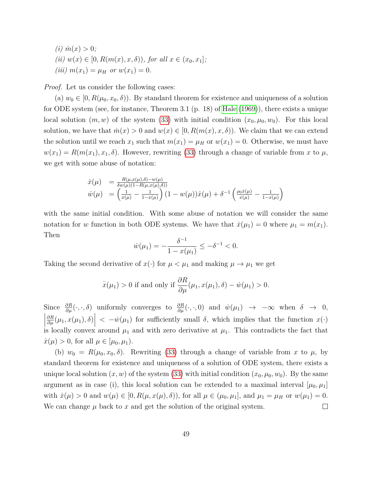$(i)$   $\dot{m}(x) > 0$ ; *(ii)*  $w(x) \in [0, R(m(x), x, \delta))$ *, for all*  $x \in (x_0, x_1]$ *; (iii)*  $m(x_1) = \mu_H$  *or*  $w(x_1) = 0$ *.* 

*Proof.* Let us consider the following cases:

(a)  $w_0 \in [0, R(\mu_0, x_0, \delta))$ . By standard theorem for existence and uniqueness of a solution for ODE system (see, for instance, Theorem 3.1 (p. 18)of [Hale \(1969\)](#page-70-1)), there exists a unique local solution  $(m, w)$  of the system [\(33\)](#page-47-0) with initial condition  $(x_0, \mu_0, w_0)$ . For this local solution, we have that  $m(x) > 0$  and  $w(x) \in [0, R(m(x), x, \delta))$ . We claim that we can extend the solution until we reach  $x_1$  such that  $m(x_1) = \mu_H$  or  $w(x_1) = 0$ . Otherwise, we must have  $w(x_1) = R(m(x_1), x_1, \delta)$ . However, rewriting [\(33\)](#page-47-0) through a change of variable from x to  $\mu$ , we get with some abuse of notation:

$$
\dot{x}(\mu) = \frac{R(\mu, x(\mu), \delta) - w(\mu)}{\delta w(\mu)(1 - R(\mu, x(\mu), \delta))} \n\dot{w}(\mu) = \left(\frac{1}{x(\mu)} - \frac{1}{1 - x(\mu)}\right) (1 - w(\mu)) \dot{x}(\mu) + \delta^{-1} \left(\frac{\rho_0 \dot{x}(\mu)}{x(\mu)} - \frac{1}{1 - x(\mu)}\right)
$$

with the same initial condition. With some abuse of notation we will consider the same notation for w function in both ODE systems. We have that  $\dot{x}(\mu_1) = 0$  where  $\mu_1 = m(x_1)$ . Then

$$
\dot{w}(\mu_1) = -\frac{\delta^{-1}}{1 - x(\mu_1)} \le -\delta^{-1} < 0.
$$

Taking the second derivative of  $x(\cdot)$  for  $\mu < \mu_1$  and making  $\mu \to \mu_1$  we get

$$
\ddot{x}(\mu_1) > 0
$$
 if and only if  $\frac{\partial R}{\partial \mu}(\mu_1, x(\mu_1), \delta) - \dot{w}(\mu_1) > 0$ .

Since  $\frac{\partial R}{\partial \mu}(\cdot,\cdot,\delta)$  uniformly converges to  $\frac{\partial R}{\partial \mu}(\cdot,\cdot,0)$  and  $\dot{w}(\mu_1) \to -\infty$  when  $\delta \to 0$ ,  $\begin{array}{c} \n\end{array}$  $\frac{\partial R}{\partial \mu}(\mu_1, x(\mu_1), \delta)$  $\langle -w(\mu_1) \rangle$  for sufficiently small  $\delta$ , which implies that the function  $x(\cdot)$ is locally convex around  $\mu_1$  and with zero derivative at  $\mu_1$ . This contradicts the fact that  $\dot{x}(\mu) > 0$ , for all  $\mu \in [\mu_0, \mu_1]$ .

(b)  $w_0 = R(\mu_0, x_0, \delta)$ . Rewriting [\(33\)](#page-47-0) through a change of variable from x to  $\mu$ , by standard theorem for existence and uniqueness of a solution of ODE system, there exists a unique local solution  $(x, w)$  of the system [\(33\)](#page-47-0) with initial condition  $(x_0, \mu_0, w_0)$ . By the same argument as in case (i), this local solution can be extended to a maximal interval  $[\mu_0, \mu_1]$ with  $\dot{x}(\mu) > 0$  and  $w(\mu) \in [0, R(\mu, x(\mu), \delta))$ , for all  $\mu \in (\mu_0, \mu_1]$ , and  $\mu_1 = \mu_H$  or  $w(\mu_1) = 0$ . We can change  $\mu$  back to x and get the solution of the original system.  $\Box$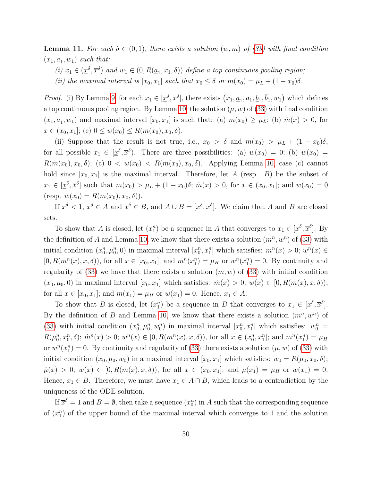<span id="page-49-0"></span>**Lemma 11.** For each  $\delta \in (0,1)$ , there exists a solution  $(w,m)$  of [\(33\)](#page-47-0) with final condition  $(x_1, \underline{a}_1, w_1)$  *such that:* 

(*i*)  $x_1 \in (\underline{x}^{\delta}, \overline{x}^{\delta})$  and  $w_1 \in (0, R(\underline{a}_1, x_1, \delta))$  *define a top continuous pooling region*;

*(ii) the maximal interval is*  $[x_0, x_1]$  *such that*  $x_0 \leq \delta$  *or*  $m(x_0) = \mu_L + (1 - x_0)\delta$ .

*Proof.* (i) By Lemma [9,](#page-46-2) for each  $x_1 \in [\underline{x}^{\delta}, \overline{x}^{\delta}]$ , there exists  $(x_1, \underline{a}_1, \overline{a}_1, \underline{b}_1, \overline{b}_1, w_1)$  which defines a top continuous pooling region. By Lemma [10,](#page-47-1) the solution  $(\mu, w)$  of [\(33\)](#page-47-0) with final condition  $(x_1, \underline{a}_1, w_1)$  and maximal interval  $[x_0, x_1]$  is such that: (a)  $m(x_0) \ge \mu_L$ ; (b)  $\dot{m}(x) > 0$ , for  $x \in (x_0, x_1];$  (c)  $0 \leq w(x_0) \leq R(m(x_0), x_0, \delta).$ 

(ii) Suppose that the result is not true, i.e.,  $x_0 > \delta$  and  $m(x_0) > \mu_L + (1 - x_0)\delta$ , for all possible  $x_1 \in [\underline{x}^{\delta}, \overline{x}^{\delta})$ . There are three possibilities: (a)  $w(x_0) = 0$ ; (b)  $w(x_0) = 0$  $R(m(x_0), x_0, \delta)$ ; (c)  $0 < w(x_0) < R(m(x_0), x_0, \delta)$ . Applying Lemma [10,](#page-47-1) case (c) cannot hold since  $[x_0, x_1]$  is the maximal interval. Therefore, let A (resp. B) be the subset of  $x_1 \in [\underline{x}^{\delta}, \overline{x}^{\delta}]$  such that  $m(x_0) > \mu_L + (1 - x_0)\delta; m(x) > 0$ , for  $x \in (x_0, x_1]$ ; and  $w(x_0) = 0$ (resp.  $w(x_0) = R(m(x_0), x_0, \delta)$ ).

If  $\overline{x}^{\delta} < 1$ ,  $\underline{x}^{\delta} \in A$  and  $\overline{x}^{\delta} \in B$ , and  $A \cup B = [\underline{x}^{\delta}, \overline{x}^{\delta}]$ . We claim that A and B are closed sets.

To show that A is closed, let  $(x_1^n)$  be a sequence in A that converges to  $x_1 \in [\underline{x}^\delta, \overline{x}^\delta]$ . By the definition of A and Lemma [10,](#page-47-1) we know that there exists a solution  $(m^n, w^n)$  of [\(33\)](#page-47-0) with initial condition  $(x_0^n, \mu_0^n, 0)$  in maximal interval  $[x_0^n, x_1^n]$  which satisfies:  $\dot{m}^n(x) > 0$ ;  $w^n(x) \in$  $[0, R(m^n(x), x, \delta)),$  for all  $x \in [x_0, x_1]$ ; and  $m^n(x_1^n) = \mu_H$  or  $w^n(x_1^n) = 0$ . By continuity and regularity of [\(33\)](#page-47-0) we have that there exists a solution  $(m, w)$  of (33) with initial condition  $(x_0, \mu_0, 0)$  in maximal interval  $[x_0, x_1]$  which satisfies:  $\dot{m}(x) > 0$ ;  $w(x) \in [0, R(m(x), x, \delta)),$ for all  $x \in [x_0, x_1]$ ; and  $m(x_1) = \mu_H$  or  $w(x_1) = 0$ . Hence,  $x_1 \in A$ .

To show that B is closed, let  $(x_1^n)$  be a sequence in B that converges to  $x_1 \in [\underline{x}^\delta, \overline{x}^\delta].$ By the definition of B and Lemma [10,](#page-47-1) we know that there exists a solution  $(m^n, w^n)$  of [\(33\)](#page-47-0) with initial condition  $(x_0^n, \mu_0^n, w_0^n)$  in maximal interval  $[x_0^n, x_1^n]$  which satisfies:  $w_0^n =$  $R(\mu_0^n, x_0^n, \delta); \, \dot{m}^n(x) > 0; \, w^n(x) \in [0, R(m^n(x), x, \delta)), \, \text{for all } x \in (x_0^n, x_1^n]; \, \text{and } m^n(x_1^n) = \mu_H$ or  $w^n(x_1^n) = 0$ . By continuity and regularity of [\(33\)](#page-47-0) there exists a solution  $(\mu, w)$  of (33) with initial condition  $(x_0, \mu_0, w_0)$  in a maximal interval  $[x_0, x_1]$  which satisfies:  $w_0 = R(\mu_0, x_0, \delta)$ ;  $\mu(x) > 0; w(x) \in [0, R(m(x), x, \delta)),$  for all  $x \in (x_0, x_1]$ ; and  $\mu(x_1) = \mu_H$  or  $w(x_1) = 0$ . Hence,  $x_1 \in B$ . Therefore, we must have  $x_1 \in A \cap B$ , which leads to a contradiction by the uniqueness of the ODE solution.

If  $\bar{x}^{\delta} = 1$  and  $B = \emptyset$ , then take a sequence  $(x_0^n)$  in A such that the corresponding sequence of  $(x_1^n)$  of the upper bound of the maximal interval which converges to 1 and the solution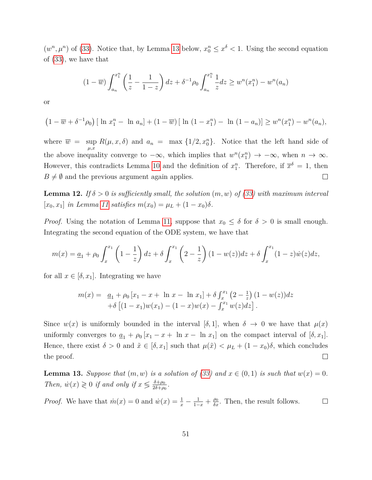$(w^n, \mu^n)$  of [\(33\)](#page-47-0). Notice that, by Lemma [13](#page-50-0) below,  $x_0^n \leq x^{\delta} < 1$ . Using the second equation of [\(33\)](#page-47-0), we have that

$$
(1 - \overline{w}) \int_{a_n}^{x_1^n} \left( \frac{1}{z} - \frac{1}{1 - z} \right) dz + \delta^{-1} \rho_0 \int_{a_n}^{x_1^n} \frac{1}{z} dz \ge w^n(x_1^n) - w^n(a_n)
$$

or

$$
(1 - \overline{w} + \delta^{-1} \rho_0) [\ln x_1^n - \ln a_n] + (1 - \overline{w}) [\ln (1 - x_1^n) - \ln (1 - a_n)] \geq w^n(x_1^n) - w^n(a_n),
$$

where  $\overline{w} = \sup$  $\sup_{\mu,x} R(\mu, x, \delta)$  and  $a_n = \max \{1/2, x_0^n\}$ . Notice that the left hand side of the above inequality converge to  $-\infty$ , which implies that  $w^n(x_1^n) \to -\infty$ , when  $n \to \infty$ . However, this contradicts Lemma [10](#page-47-1) and the definition of  $x_1^n$ . Therefore, if  $\bar{x}^{\delta} = 1$ , then  $B \neq \emptyset$  and the previous argument again applies.  $\Box$ 

<span id="page-50-1"></span>**Lemma 12.** *If*  $\delta > 0$  *is sufficiently small, the solution*  $(m, w)$  *of* [\(33\)](#page-47-0) *with maximum interval*  $[x_0, x_1]$  *in Lemma [11](#page-49-0) satisfies*  $m(x_0) = \mu_L + (1 - x_0)\delta$ .

*Proof.* Using the notation of Lemma [11,](#page-49-0) suppose that  $x_0 \leq \delta$  for  $\delta > 0$  is small enough. Integrating the second equation of the ODE system, we have that

$$
m(x) = \underline{a}_1 + \rho_0 \int_x^{x_1} \left(1 - \frac{1}{z}\right) dz + \delta \int_x^{x_1} \left(2 - \frac{1}{z}\right) (1 - w(z)) dz + \delta \int_x^{x_1} (1 - z)\dot{w}(z) dz,
$$

for all  $x \in [\delta, x_1]$ . Integrating we have

$$
m(x) = \underline{a}_1 + \rho_0 [x_1 - x + \ln x - \ln x_1] + \delta \int_x^{x_1} (2 - \frac{1}{z}) (1 - w(z)) dz
$$
  
+  $\delta [(1 - x_1)w(x_1) - (1 - x)w(x) - \int_x^{x_1} w(z) dz].$ 

Since  $w(x)$  is uniformly bounded in the interval [ $\delta$ , 1], when  $\delta \to 0$  we have that  $\mu(x)$ uniformly converges to  $\underline{a}_1 + \rho_0 [x_1 - x + \ln x - \ln x_1]$  on the compact interval of  $[\delta, x_1]$ . Hence, there exist  $\delta > 0$  and  $\tilde{x} \in [\delta, x_1]$  such that  $\mu(\tilde{x}) < \mu_L + (1 - x_0)\delta$ , which concludes  $\Box$ the proof.

<span id="page-50-0"></span>**Lemma 13.** Suppose that  $(m, w)$  is a solution of [\(33\)](#page-47-0) and  $x \in (0, 1)$  is such that  $w(x) = 0$ . *Then,*  $\dot{w}(x) \geq 0$  *if and only if*  $x \leq \frac{\delta + \rho_0}{2\delta + \rho_0}$  $\frac{\delta+\rho_0}{2\delta+\rho_0}$  .

*Proof.* We have that  $\dot{m}(x) = 0$  and  $\dot{w}(x) = \frac{1}{x} - \frac{1}{1-x} + \frac{\rho_0}{\delta x}$ . Then, the result follows.  $\Box$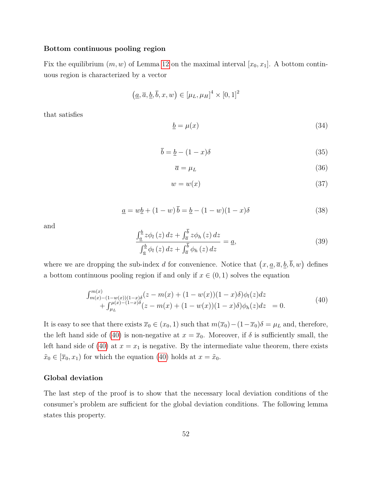#### **Bottom continuous pooling region**

Fix the equilibrium  $(m, w)$  of Lemma [12](#page-50-1) on the maximal interval  $[x_0, x_1]$ . A bottom continuous region is characterized by a vector

$$
(\underline{a}, \overline{a}, \underline{b}, \overline{b}, x, w) \in [\mu_L, \mu_H]^4 \times [0, 1]^2
$$

that satisfies

$$
\underline{b} = \mu(x) \tag{34}
$$

$$
\bar{b} = \underline{b} - (1 - x)\delta \tag{35}
$$

$$
\overline{a} = \mu_L \tag{36}
$$

$$
w = w(x) \tag{37}
$$

$$
\underline{a} = w\underline{b} + (1 - w)\overline{b} = \underline{b} - (1 - w)(1 - x)\delta
$$
 (38)

and

$$
\frac{\int_{\underline{a}}^{\underline{b}} z \phi_l(z) dz + \int_{\overline{a}}^{\overline{b}} z \phi_h(z) dz}{\int_{\underline{a}}^{\underline{b}} \phi_l(z) dz + \int_{\overline{a}}^{\overline{b}} \phi_h(z) dz} = \underline{a},
$$
\n(39)

where we are dropping the sub-index d for convenience. Notice that  $(x, \underline{a}, \overline{a}, \underline{b}, \overline{b}, w)$  defines a bottom continuous pooling region if and only if  $x \in (0,1)$  solves the equation

<span id="page-51-0"></span>
$$
\begin{aligned}\n\int_{m(x)-(1-w(x))(1-x)\delta}^{m(x)}(z-m(x)+(1-w(x))(1-x)\delta)\phi_l(z)dz \\
&+ \int_{\mu_L}^{\mu(x)-(1-x)\delta}(z-m(x)+(1-w(x))(1-x)\delta)\phi_h(z)dz = 0.\n\end{aligned} \tag{40}
$$

It is easy to see that there exists  $\overline{x}_0 \in (x_0, 1)$  such that  $m(\overline{x}_0) - (1-\overline{x}_0)\delta = \mu_L$  and, therefore, the left hand side of [\(40\)](#page-51-0) is non-negative at  $x = \overline{x}_0$ . Moreover, if  $\delta$  is sufficiently small, the left hand side of [\(40\)](#page-51-0) at  $x = x_1$  is negative. By the intermediate value theorem, there exists  $\tilde{x}_0 \in [\overline{x}_0, x_1)$  for which the equation [\(40\)](#page-51-0) holds at  $x = \tilde{x}_0$ .

#### **Global deviation**

The last step of the proof is to show that the necessary local deviation conditions of the consumer's problem are sufficient for the global deviation conditions. The following lemma states this property.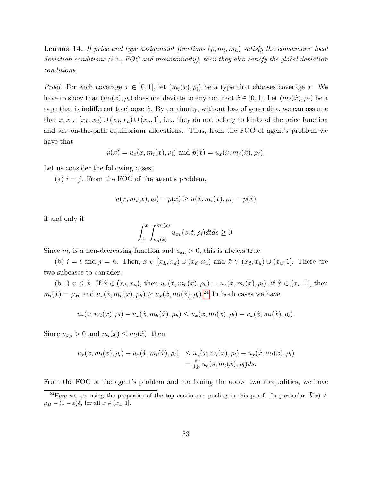**Lemma 14.** If price and type assignment functions  $(p, m_l, m_h)$  satisfy the consumers' local *deviation conditions (i.e., FOC and monotonicity), then they also satisfy the global deviation conditions.*

*Proof.* For each coverage  $x \in [0, 1]$ , let  $(m_i(x), \rho_i)$  be a type that chooses coverage x. We have to show that  $(m_i(x), \rho_i)$  does not deviate to any contract  $\hat{x} \in [0, 1]$ . Let  $(m_i(\hat{x}), \rho_i)$  be a type that is indifferent to choose  $\hat{x}$ . By continuity, without loss of generality, we can assume that  $x, \hat{x} \in [x_L, x_d) \cup (x_d, x_u) \cup (x_u, 1]$ , i.e., they do not belong to kinks of the price function and are on-the-path equilibrium allocations. Thus, from the FOC of agent's problem we have that

$$
\dot{p}(x) = u_x(x, m_i(x), \rho_i)
$$
 and  $\dot{p}(\hat{x}) = u_x(\hat{x}, m_j(\hat{x}), \rho_j)$ .

Let us consider the following cases:

(a)  $i = j$ . From the FOC of the agent's problem,

$$
u(x, m_i(x), \rho_i) - p(x) \ge u(\hat{x}, m_i(x), \rho_i) - p(\hat{x})
$$

if and only if

$$
\int_{\hat{x}}^{x} \int_{m_i(\hat{x})}^{m_i(x)} u_{x\mu}(s, t, \rho_i) dt ds \ge 0.
$$

Since  $m_i$  is a non-decreasing function and  $u_{x\mu} > 0$ , this is always true.

(b)  $i = l$  and  $j = h$ . Then,  $x \in [x_L, x_d) \cup (x_d, x_u)$  and  $\hat{x} \in (x_d, x_u) \cup (x_u, 1]$ . There are two subcases to consider:

(b.1)  $x \leq \hat{x}$ . If  $\hat{x} \in (x_d, x_u)$ , then  $u_x(\hat{x}, m_h(\hat{x}), \rho_h) = u_x(\hat{x}, m_l(\hat{x}), \rho_l)$ ; if  $\hat{x} \in (x_u, 1]$ , then  $m_l(\hat{x}) = \mu_H$  and  $u_x(\hat{x}, m_h(\hat{x}), \rho_h) \ge u_x(\hat{x}, m_l(\hat{x}), \rho_l)$ .<sup>[24](#page-71-0)</sup> In both cases we have

$$
u_x(x, m_l(x), \rho_l) - u_x(\hat{x}, m_h(\hat{x}), \rho_h) \le u_x(x, m_l(x), \rho_l) - u_x(\hat{x}, m_l(\hat{x}), \rho_l).
$$

Since  $u_{x\mu} > 0$  and  $m_l(x) \leq m_l(\hat{x})$ , then

$$
u_x(x, m_l(x), \rho_l) - u_x(\hat{x}, m_l(\hat{x}), \rho_l) \le u_x(x, m_l(x), \rho_l) - u_x(\hat{x}, m_l(x), \rho_l) = \int_{\hat{x}}^x u_x(s, m_l(x), \rho_l) ds.
$$

From the FOC of the agent's problem and combining the above two inequalities, we have

<sup>&</sup>lt;sup>24</sup>Here we are using the properties of the top continuous pooling in this proof. In particular,  $\bar{b}(x) \ge$  $\mu_H - (1 - x)\delta$ , for all  $x \in (x_u, 1]$ .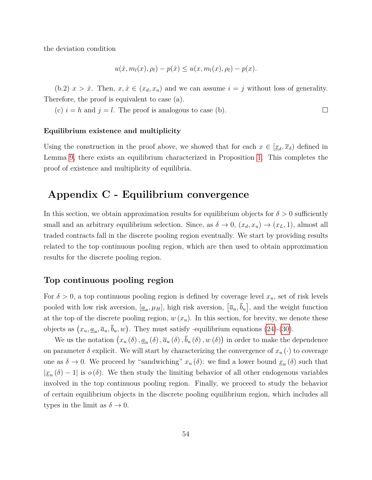the deviation condition

$$
u(\hat{x}, m_l(x), \rho_l) - p(\hat{x}) \le u(x, m_l(x), \rho_l) - p(x).
$$

(b.2)  $x > \hat{x}$ . Then,  $x, \hat{x} \in (x_d, x_u)$  and we can assume  $i = j$  without loss of generality. Therefore, the proof is equivalent to case (a).

(c)  $i = h$  and  $j = l$ . The proof is analogous to case (b).  $\Box$ 

#### **Equilibrium existence and multiplicity**

Using the construction in the proof above, we showed that for each  $x \in [\underline{x}_{\delta}, \overline{x}_{\delta})$  defined in Lemma [9,](#page-46-2) there exists an equilibrium characterized in Proposition [1.](#page-14-0) This completes the proof of existence and multiplicity of equilibria.

# **Appendix C - Equilibrium convergence**

In this section, we obtain approximation results for equilibrium objects for  $\delta > 0$  sufficiently small and an arbitrary equilibrium selection. Since, as  $\delta \to 0$ ,  $(x_d, x_u) \to (x_L, 1)$ , almost all traded contracts fall in the discrete pooling region eventually. We start by providing results related to the top continuous pooling region, which are then used to obtain approximation results for the discrete pooling region.

#### **Top continuous pooling region**

For  $\delta > 0$ , a top continuous pooling region is defined by coverage level  $x_u$ , set of risk levels pooled with low risk aversion,  $[\underline{a}_u, \mu_H]$ , high risk aversion,  $[\overline{a}_u, \overline{b}_u]$ , and the weight function at the top of the discrete pooling region,  $w(x_u)$ . In this section, for brevity, we denote these objects as  $(x_u, \underline{a}_u, \overline{a}_u, \overline{b}_u, w)$ . They must satisfy -equilibrium equations [\(24\)](#page-45-0)-[\(30\)](#page-46-3).

We us the notation  $(x_u(\delta), \underline{a}_u(\delta), \overline{a}_u(\delta), \overline{b}_u(\delta), w(\delta))$  in order to make the dependence on parameter  $\delta$  explicit. We will start by characterizing the convergence of  $x_u(\cdot)$  to coverage one as  $\delta \to 0$ . We proceed by "sandwiching"  $x_u(\delta)$ : we find a lower bound  $\underline{x}_u(\delta)$  such that  $|\underline{x}_u(\delta) - 1|$  is  $o(\delta)$ . We then study the limiting behavior of all other endogenous variables involved in the top continuous pooling region. Finally, we proceed to study the behavior of certain equilibrium objects in the discrete pooling equilibrium region, which includes all types in the limit as  $\delta \to 0$ .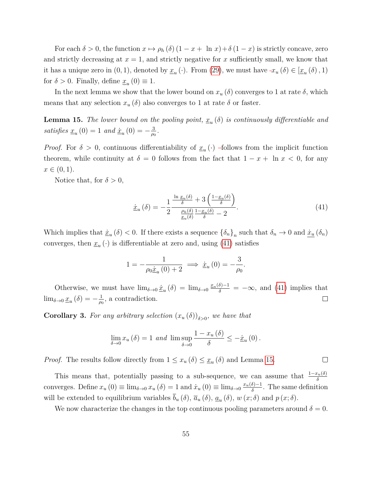For each  $\delta > 0$ , the function  $x \mapsto \rho_h(\delta) (1 - x + \ln x) + \delta (1 - x)$  is strictly concave, zero and strictly decreasing at  $x = 1$ , and strictly negative for x sufficiently small, we know that it has a unique zero in  $(0, 1)$ , denoted by  $\underline{x}_u(\cdot)$ . From  $(29)$ , we must have  $-x_u(\delta) \in [\underline{x}_u(\delta), 1)$ for  $\delta > 0$ . Finally, define  $\underline{x}_u(0) \equiv 1$ .

In the next lemma we show that the lower bound on  $x_u$  (δ) converges to 1 at rate  $\delta$ , which means that any selection  $x_u(\delta)$  also converges to 1 at rate  $\delta$  or faster.

<span id="page-54-1"></span>**Lemma 15.** The lower bound on the pooling point,  $\underline{x}_u(\delta)$  is continuously differentiable and  $satisfies \underline{x}_u(0) = 1 \text{ and } \underline{\dot{x}}_u(0) = -\frac{3}{\rho_0}$  $\frac{3}{\rho_0}$  .

*Proof.* For  $\delta > 0$ , continuous differentiability of  $\underline{x}_u(\cdot)$  -follows from the implicit function theorem, while continuity at  $\delta = 0$  follows from the fact that  $1 - x + \ln x < 0$ , for any  $x \in (0,1)$ .

Notice that, for  $\delta > 0$ ,

$$
\underline{\dot{x}}_u\left(\delta\right) = -\frac{1}{2} \frac{\frac{\ln x_u(\delta)}{\delta} + 3\left(\frac{1 - x_u(\delta)}{\delta}\right)}{\frac{\rho_h(\delta)}{x_u(\delta)} - 2}.
$$
\n(41)

<span id="page-54-0"></span> $\Box$ 

Which implies that  $\underline{\dot{x}}_u(\delta) < 0$ . If there exists a sequence  $\{\delta_n\}_n$  such that  $\delta_n \to 0$  and  $\underline{\dot{x}}_u(\delta_n)$ converges, then  $\underline{x}_u(\cdot)$  is differentiable at zero and, using [\(41\)](#page-54-0) satisfies

$$
1 = -\frac{1}{\rho_0 \dot{\underline{x}}_u(0) + 2} \implies \dot{\underline{x}}_u(0) = -\frac{3}{\rho_0}.
$$

Otherwise, we must have  $\lim_{\delta\to 0}\underline{\dot{x}}_u(\delta) = \lim_{\delta\to 0}\frac{\underline{x}_u(\delta)-1}{\delta} = -\infty$ , and [\(41\)](#page-54-0) implies that  $\lim_{\delta \to 0} \underline{x}_u(\delta) = -\frac{1}{\rho_0}$  $\frac{1}{\rho_0}$ , a contradiction.  $\Box$ 

<span id="page-54-2"></span>**Corollary 3.** For any arbitrary selection  $(x_u(\delta))_{\delta>0}$ , we have that

$$
\lim_{\delta \to 0} x_u(\delta) = 1 \text{ and } \limsup_{\delta \to 0} \frac{1 - x_u(\delta)}{\delta} \le -\dot{x}_u(0).
$$

*Proof.* The results follow directly from  $1 \leq x_u(\delta) \leq \underline{x}_u(\delta)$  and Lemma [15.](#page-54-1)

This means that, potentially passing to a sub-sequence, we can assume that  $\frac{1-x_u(\delta)}{\delta}$ converges. Define  $x_u(0) \equiv \lim_{\delta \to 0} x_u(\delta) = 1$  and  $\dot{x}_u(0) \equiv \lim_{\delta \to 0} \frac{x_u(\delta) - 1}{\delta}$  $\frac{\delta^{j-1}}{\delta}$ . The same definition will be extended to equilibrium variables  $\bar{b}_u(\delta)$ ,  $\bar{a}_u(\delta)$ ,  $\underline{a}_u(\delta)$ ,  $w(x;\delta)$  and  $p(x;\delta)$ .

We now characterize the changes in the top continuous pooling parameters around  $\delta = 0$ .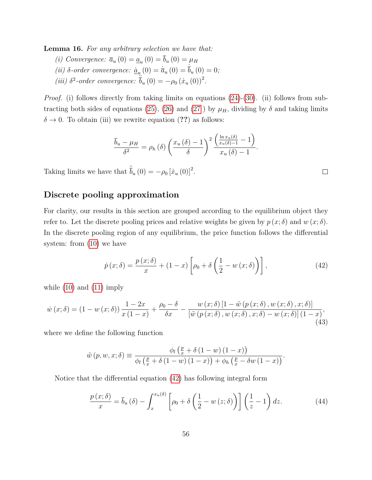<span id="page-55-2"></span>**Lemma 16.** *For any arbitrary selection we have that:*

*(i) Convergence:*  $\bar{a}_u(0) = \underline{a}_u(0) = b_u(0) = \mu_H$ *(ii)*  $\delta$ -order convergence:  $\underline{\dot{a}}_u(0) = \overline{\dot{a}}_u(0) = \overline{\dot{b}}_u(0) = 0;$ (*iii*)  $\delta^2$ -order convergence:  $\ddot{\overline{b}}_u(0) = -\rho_0 (x_u(0))^2$ .

*Proof.* (i) follows directly from taking limits on equations [\(24\)](#page-45-0)-[\(30\)](#page-46-3). (ii) follows from sub-tracting both sides of equations [\(25\)](#page-45-2), [\(26\)](#page-45-3) and [\(27](#page-45-4)) by  $\mu$ <sub>H</sub>, dividing by  $\delta$  and taking limits  $\delta \rightarrow 0$ . To obtain (iii) we rewrite equation (??) as follows:

$$
\frac{\overline{b}_u - \mu_H}{\delta^2} = \rho_h(\delta) \left( \frac{x_u(\delta) - 1}{\delta} \right)^2 \frac{\left( \frac{\ln x_u(\delta)}{x_u(\delta) - 1} - 1 \right)}{x_u(\delta) - 1}.
$$

Taking limits we have that  $\ddot{\bar{b}}_u(0) = -\rho_0 [\dot{x}_u(0)]^2$ .

## **Discrete pooling approximation**

For clarity, our results in this section are grouped according to the equilibrium object they refer to. Let the discrete pooling prices and relative weights be given by  $p(x; \delta)$  and  $w(x; \delta)$ . In the discrete pooling region of any equilibrium, the price function follows the differential system: from  $(10)$  we have

<span id="page-55-0"></span>
$$
\dot{p}(x;\delta) = \frac{p(x;\delta)}{x} + (1-x)\left[\rho_0 + \delta\left(\frac{1}{2} - w(x;\delta)\right)\right],\tag{42}
$$

 $\Box$ 

while  $(10)$  and  $(11)$  imply

<span id="page-55-3"></span>
$$
\dot{w}(x;\delta) = (1 - w(x;\delta)) \frac{1 - 2x}{x(1 - x)} + \frac{\rho_0 - \delta}{\delta x} - \frac{w(x;\delta) [1 - \tilde{w}(p(x;\delta), w(x;\delta), x;\delta)]}{[\tilde{w}(p(x;\delta), w(x;\delta), x;\delta) - w(x;\delta)] (1 - x)},
$$
\n(43)

where we define the following function

$$
\tilde{w}(p, w, x; \delta) \equiv \frac{\phi_l\left(\frac{p}{x} + \delta\left(1 - w\right)\left(1 - x\right)\right)}{\phi_l\left(\frac{p}{x} + \delta\left(1 - w\right)\left(1 - x\right)\right) + \phi_h\left(\frac{p}{x} - \delta w\left(1 - x\right)\right)}.
$$

Notice that the differential equation [\(42\)](#page-55-0) has following integral form

<span id="page-55-1"></span>
$$
\frac{p(x;\delta)}{x} = \overline{b}_u(\delta) - \int_x^{x_u(\delta)} \left[ \rho_0 + \delta \left( \frac{1}{2} - w(z;\delta) \right) \right] \left( \frac{1}{z} - 1 \right) dz.
$$
 (44)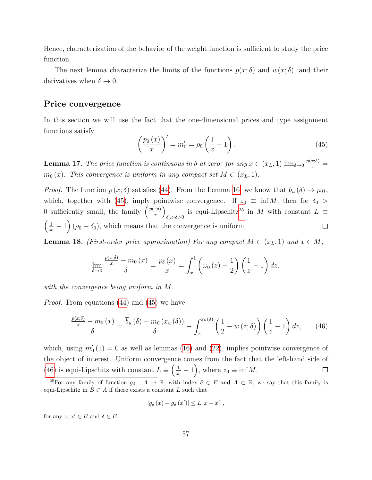Hence, characterization of the behavior of the weight function is sufficient to study the price function.

The next lemma characterize the limits of the functions  $p(x; \delta)$  and  $w(x; \delta)$ , and their derivatives when  $\delta \to 0$ .

#### **Price convergence**

In this section we will use the fact that the one-dimensional prices and type assignment functions satisfy

<span id="page-56-0"></span>
$$
\left(\frac{p_0(x)}{x}\right)' = m'_0 = \rho_0 \left(\frac{1}{x} - 1\right).
$$
\n(45)

<span id="page-56-3"></span>**Lemma 17.** *The price function is continuous in*  $\delta$  *at zero: for any*  $x \in (x_L, 1)$   $\lim_{\delta \to 0} \frac{p(x;\delta)}{x}$  $m_0(x)$ *. This convergence is uniform in any compact set*  $M \subset (x_L, 1)$ *.* 

*Proof.* The function  $p(x; \delta)$  satisfies [\(44\)](#page-55-1). From the Lemma [16,](#page-55-2) we know that  $\bar{b}_u(\delta) \to \mu_H$ , which, together with [\(45\)](#page-56-0), imply pointwise convergence. If  $z_0 \equiv \inf M$ , then for  $\delta_0$ 0 sufficiently small, the family  $\left(\frac{p(\cdot;\delta)}{x}\right)$  $\left(\frac{\cdot}{x},\delta\right)$ is equi-Lipschitz<sup>[25](#page-71-0)</sup> in M with constant  $L \equiv$  $\delta_0>\delta>0$  $\frac{1}{2}$  $\frac{1}{z_0} - 1$  ( $\rho_0 + \delta_0$ ), which means that the convergence is uniform.  $\Box$ 

<span id="page-56-2"></span>**Lemma 18.** *(First-order price approximation) For any compact*  $M \subset (x_L, 1)$  *and*  $x \in M$ *,* 

$$
\lim_{\delta \to 0} \frac{\frac{p(x;\delta)}{x} - m_0(x)}{\delta} = \frac{p_\delta(x)}{x} = \int_x^1 \left( \omega_0(z) - \frac{1}{2} \right) \left( \frac{1}{z} - 1 \right) dz.
$$

*with the convergence being uniform in* M*.*

*Proof.* From equations [\(44\)](#page-55-1) and [\(45\)](#page-56-0) we have

$$
\frac{\frac{p(x;\delta)}{x} - m_0(x)}{\delta} = \frac{\overline{b}_u(\delta) - m_0(x_u(\delta))}{\delta} - \int_x^{x_u(\delta)} \left(\frac{1}{2} - w(z;\delta)\right) \left(\frac{1}{z} - 1\right) dz,\qquad(46)
$$

which, using  $m_0'(1) = 0$  as well as lemmas [\(16\)](#page-55-2) and [\(22\)](#page-58-0), implies pointwise convergence of the object of interest. Uniform convergence comes from the fact that the left-hand side of [\(46\)](#page-56-1) is equi-Lipschitz with constant  $L \equiv \left(\frac{1}{\pi}\right)$  $(\frac{1}{z_0} - 1)$ , where  $z_0 \equiv \inf M$ .  $\Box$ 

<span id="page-56-1"></span>
$$
|g_{\delta}(x)-g_{\delta}(x')|\leq L|x-x'|,
$$

for any  $x, x' \in B$  and  $\delta \in E$ .

<sup>&</sup>lt;sup>25</sup>For any family of function  $g_{\delta}: A \mapsto \mathbb{R}$ , with index  $\delta \in E$  and  $A \subset \mathbb{R}$ , we say that this family is equi-Lipschitz in  $B \subset A$  if there exists a constant L such that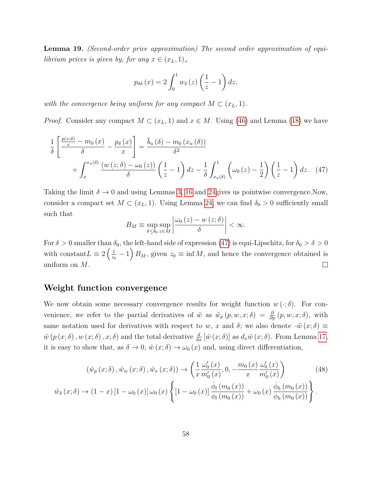**Lemma 19.** *(Second-order price approximation) The second order approximation of equilibrium prices is given by, for any*  $x \in (x_L, 1)$ ,

$$
p_{\delta\delta}\left(x\right) = 2\int_0^1 w_\delta\left(z\right)\left(\frac{1}{z} - 1\right)dz,
$$

*with the convergence being uniform for any compact*  $M \subset (x_L, 1)$ *.* 

*Proof.* Consider any compact  $M \subset (x_L, 1)$  and  $x \in M$ . Using [\(46\)](#page-56-1) and Lemma [\(18\)](#page-56-2) we have

$$
\frac{1}{\delta} \left[ \frac{\frac{p(x;\delta)}{x} - m_0(x)}{\delta} - \frac{p_\delta(x)}{x} \right] = \frac{\overline{b}_u(\delta) - m_0(x_u(\delta))}{\delta^2} + \int_x^{x_u(\delta)} \frac{(w(z;\delta) - \omega_0(z))}{\delta} \left( \frac{1}{z} - 1 \right) dz - \frac{1}{\delta} \int_{x_u(\delta)}^1 \left( \omega_0(z) - \frac{1}{2} \right) \left( \frac{1}{z} - 1 \right) dz. \tag{47}
$$

Taking the limit  $\delta \to 0$  and using Lemmas [3,](#page-54-2) [16](#page-55-2) and [24g](#page-60-0)ives us pointwise convergence. Now, consider a compact set  $M \subset (x_L, 1)$ . Using Lemma [24,](#page-60-0) we can find  $\delta_0 > 0$  sufficiently small such that

<span id="page-57-1"></span><span id="page-57-0"></span>
$$
B_M \equiv \sup_{\delta \le \delta_0} \sup_{z \in M} \left| \frac{\omega_0(z) - w(z; \delta)}{\delta} \right| < \infty.
$$

For  $\delta > 0$  smaller than  $\delta_0$ , the left-hand side of expression [\(47\)](#page-57-0) is equi-Lipschitz, for  $\delta_0 > \delta > 0$ with constant  $L \equiv 2 \left( \frac{1}{\gamma_c^2} \right)$  $\frac{1}{z_0} - 1$   $B_M$ , given  $z_0 \equiv \inf M$ , and hence the convergence obtained is  $\Box$ uniform on M.

## **Weight function convergence**

We now obtain some necessary convergence results for weight function  $w(\cdot;\delta)$ . For convenience, we refer to the partial derivatives of  $\tilde{w}$  as  $\tilde{w}_p(p, w, x; \delta) = \frac{\partial}{\partial p}(p, w, x; \delta)$ , with same notation used for derivatives with respect to w, x and  $\delta$ ; we also denote  $-\tilde{w}(x;\delta) \equiv$  $\tilde{w}(p(x;\delta), w(x;\delta), x;\delta)$  and the total derivative  $\frac{d}{dx} [\tilde{w}(x;\delta)]$  as  $d_x\tilde{w}(x;\delta)$ . From Lemma [17,](#page-56-3) it is easy to show that, as  $\delta \to 0$ ,  $\tilde{w}(x; \delta) \to \omega_0(x)$  and, using direct differentiation,

$$
\left(\tilde{w}_p\left(x;\delta\right),\tilde{w}_w\left(x;\delta\right),\tilde{w}_x\left(x;\delta\right)\right)\to\left(\frac{1}{x}\frac{\omega_0'(x)}{m_0'(x)},0,-\frac{m_0(x)}{x}\frac{\omega_0'(x)}{m_0'(x)}\right)
$$
\n
$$
\tilde{w}_\delta\left(x;\delta\right)\to\left(1-x\right)\left[1-\omega_0(x)\right]\omega_0(x)\left\{\left[1-\omega_0(x)\right]\frac{\dot{\phi}_l\left(m_0(x)\right)}{\phi_l\left(m_0(x)\right)}+\omega_0(x)\frac{\dot{\phi}_h\left(m_0(x)\right)}{\phi_h\left(m_0(x)\right)}\right\}.
$$
\n(48)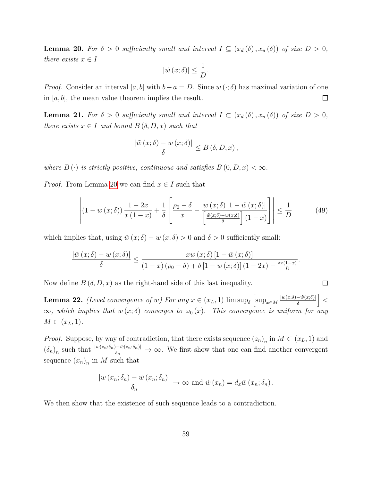<span id="page-58-1"></span>**Lemma 20.** For  $\delta > 0$  sufficiently small and interval  $I \subseteq (x_d(\delta), x_u(\delta))$  of size  $D > 0$ , *there exists*  $x \in I$ 

$$
\left|\dot{w}\left(x;\delta\right)\right| \leq \frac{1}{D}.
$$

*Proof.* Consider an interval [a, b] with  $b-a=D$ . Since  $w(\cdot; \delta)$  has maximal variation of one in  $[a, b]$ , the mean value theorem implies the result.  $\Box$ 

<span id="page-58-2"></span>**Lemma 21.** For  $\delta > 0$  sufficiently small and interval  $I \subset (x_d(\delta), x_u(\delta))$  of size  $D > 0$ , *there exists*  $x \in I$  *and bound*  $B(\delta, D, x)$  *such that* 

$$
\frac{\left|\tilde{w}\left(x;\delta\right)-w\left(x;\delta\right)\right|}{\delta}\leq B\left(\delta,D,x\right),\,
$$

*where*  $B(\cdot)$  *is strictly positive, continuous and satisfies*  $B(0, D, x) < \infty$ *.* 

*Proof.* From Lemma [20](#page-58-1) we can find  $x \in I$  such that

$$
\left| \left( 1 - w\left(x; \delta\right) \right) \frac{1 - 2x}{x\left( 1 - x \right)} + \frac{1}{\delta} \left[ \frac{\rho_0 - \delta}{x} - \frac{w\left(x; \delta\right)\left[ 1 - \tilde{w}\left(x; \delta\right) \right]}{\left[ \frac{\tilde{w}\left(x; \delta\right) - w\left(x; \delta\right)}{\delta} \right] \left( 1 - x \right)} \right] \right| \le \frac{1}{D} \tag{49}
$$

 $\Box$ 

which implies that, using  $\tilde{w}(x; \delta) - w(x; \delta) > 0$  and  $\delta > 0$  sufficiently small:

$$
\frac{|\tilde{w}(x;\delta)-w(x;\delta)|}{\delta} \leq \frac{xw(x;\delta)[1-\tilde{w}(x;\delta)]}{(1-x)(\rho_0-\delta)+\delta[1-w(x;\delta)](1-2x)-\frac{\delta x(1-x)}{D}}.
$$

Now define  $B(\delta, D, x)$  as the right-hand side of this last inequality.

<span id="page-58-0"></span>**Lemma 22.** *(Level convergence of w)* For any  $x \in (x_L, 1)$  lim  $\sup_{\delta} \left[ \sup_{x \in M} \frac{|w(x; \delta) - \tilde{w}(x; \delta)|}{\delta} \right]$  $\frac{-\tilde{w}(x;\delta)|}{\delta}\bigg] <$  $\infty$ *, which implies that*  $w(x;\delta)$  *converges to*  $\omega_0(x)$ *. This convergence is uniform for any*  $M \subset (x_L, 1)$ .

*Proof.* Suppose, by way of contradiction, that there exists sequence  $(z_n)_n$  in  $M \subset (x_L, 1)$  and  $(\delta_n)_n$  such that  $\frac{|w(z_n;\delta_n)-\tilde{w}(z_n;\delta_n)|}{\delta_n} \to \infty$ . We first show that one can find another convergent sequence  $(x_n)_n$  in M such that

$$
\frac{|w(x_n; \delta_n) - \tilde{w}(x_n; \delta_n)|}{\delta_n} \to \infty \text{ and } \dot{w}(x_n) = d_x \tilde{w}(x_n; \delta_n).
$$

We then show that the existence of such sequence leads to a contradiction.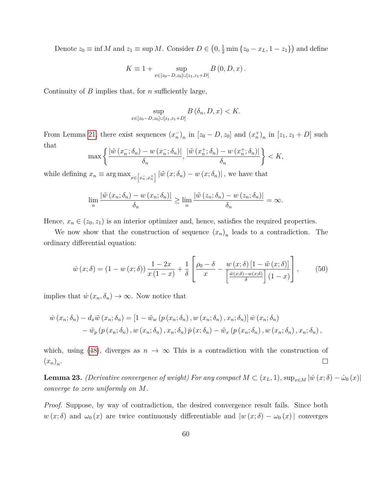Denote  $z_0 \equiv \inf M$  and  $z_1 \equiv \sup M$ . Consider  $D \in (0, \frac{1}{2} \min \{z_0 - x_L, 1 - z_1\})$  and define

$$
K \equiv 1 + \sup_{x \in [z_0 - D, z_0] \cup [z_1, z_1 + D]} B(0, D, x).
$$

Continuity of  $B$  implies that, for  $n$  sufficiently large,

$$
\sup_{x \in [z_0 - D, z_0] \cup [z_1, z_1 + D]} B(\delta_n, D, x) < K.
$$

From Lemma [21,](#page-58-2) there exist sequences  $(x_n^-)_n$  in  $[z_0 - D, z_0]$  and  $(x_n^+)_n$  in  $[z_1, z_1 + D]$  such that

$$
\max\left\{\frac{|\tilde{w}(x_n^-;\delta_n)-w(x_n^-;\delta_n)|}{\delta_n},\frac{|\tilde{w}(x_n^+;\delta_n)-w(x_n^+;\delta_n)|}{\delta_n}\right\} < K,
$$

while defining  $x_n \equiv \arg \max_{x \in [x_n^-, x_n^+]} |\tilde{w}(x; \delta_n) - w(x; \delta_n)|$ , we have that

$$
\lim_{n} \frac{|\tilde{w}(x_n;\delta_n) - w(x_n;\delta_n)|}{\delta_n} \ge \lim_{n} \frac{|\tilde{w}(z_n;\delta_n) - w(z_n;\delta_n)|}{\delta_n} = \infty.
$$

Hence,  $x_n \in (z_0, z_1)$  is an interior optimizer and, hence, satisfies the required properties.

We now show that the construction of sequence  $(x_n)_n$  leads to a contradiction. The ordinary differential equation:

$$
\dot{w}(x;\delta) = (1 - w(x;\delta)) \frac{1 - 2x}{x(1 - x)} + \frac{1}{\delta} \left[ \frac{\rho_0 - \delta}{x} - \frac{w(x;\delta) [1 - \tilde{w}(x;\delta)]}{\left[ \frac{\tilde{w}(x;\delta) - w(x;\delta)}{\delta} \right] (1 - x)} \right],
$$
(50)

implies that  $\dot{w}(x_n, \delta_n) \to \infty$ . Now notice that

$$
\dot{w}(x_n; \delta_n) - d_x \tilde{w}(x_n; \delta_n) = [1 - \tilde{w}_w(p(x_n; \delta_n), w(x_n; \delta_n), x_n; \delta_n)] \dot{w}(x_n; \delta_n) \n- \tilde{w}_p(p(x_n; \delta_n), w(x_n; \delta_n), x_n; \delta_n) \dot{p}(x; \delta_n) - \tilde{w}_x(p(x_n; \delta_n), w(x_n; \delta_n), x_n; \delta_n),
$$

which, using [\(48\)](#page-57-1), diverges as  $n \to \infty$  This is a contradiction with the construction of  $(x_n)_n$ .  $\Box$ 

<span id="page-59-0"></span>**Lemma 23.** *(Derivative convergence of weight) For any compact*  $M \subset (x_L, 1)$ ,  $\sup_{x \in M} |\dot{w}(x; \delta) - \dot{\omega}_0(x)|$ *converge to zero uniformly on* M*.*

*Proof.* Suppose, by way of contradiction, the desired convergence result fails. Since both  $w(x; \delta)$  and  $\omega_0(x)$  are twice continuously differentiable and  $|w(x; \delta) - \omega_0(x)|$  converges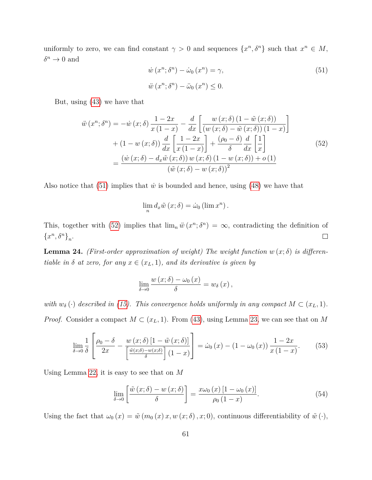uniformly to zero, we can find constant  $\gamma > 0$  and sequences  $\{x^n, \delta^n\}$  such that  $x^n \in M$ ,  $\delta^n \to 0$  and

<span id="page-60-2"></span><span id="page-60-1"></span>
$$
\dot{w}(x^n; \delta^n) - \dot{\omega}_0(x^n) = \gamma,
$$
  
\n
$$
\ddot{w}(x^n; \delta^n) - \ddot{\omega}_0(x^n) \le 0.
$$
\n(51)

But, using [\(43\)](#page-55-3) we have that

$$
\begin{split}\n\ddot{w}\left(x^{n};\delta^{n}\right) &= -\dot{w}\left(x;\delta\right)\frac{1-2x}{x\left(1-x\right)} - \frac{d}{dx}\left[\frac{w\left(x;\delta\right)\left(1-\tilde{w}\left(x;\delta\right)\right)}{\left(w\left(x;\delta\right)-\tilde{w}\left(x;\delta\right)\right)\left(1-x\right)}\right] \\
&+ \left(1-w\left(x;\delta\right)\right)\frac{d}{dx}\left[\frac{1-2x}{x\left(1-x\right)}\right] + \frac{\left(\rho_0-\delta\right)}{\delta}\frac{d}{dx}\left[\frac{1}{x}\right] \\
&= \frac{\left(\dot{w}\left(x;\delta\right)-d_x\tilde{w}\left(x;\delta\right)\right)w\left(x;\delta\right)\left(1-w\left(x;\delta\right)\right)+o\left(1\right)}{\left(\tilde{w}\left(x;\delta\right)-w\left(x;\delta\right)\right)^{2}}\n\end{split} \tag{52}
$$

Also notice that  $(51)$  implies that  $\dot{w}$  is bounded and hence, using [\(48\)](#page-57-1) we have that

$$
\lim_{n} d_x \tilde{w} (x; \delta) = \dot{\omega}_0 (\lim x^n).
$$

This, together with [\(52\)](#page-60-2) implies that  $\lim_{n} \ddot{w}(x^n; \delta^n) = \infty$ , contradicting the definition of  ${x^n, \delta^n}_n$ .  $\Box$ 

<span id="page-60-0"></span>**Lemma 24.** *(First-order approximation of weight)* The weight function  $w(x; \delta)$  is differen*tiable in*  $\delta$  *at zero, for any*  $x \in (x_L, 1)$ *, and its derivative is given by* 

$$
\lim_{\delta \to 0} \frac{w(x;\delta) - \omega_0(x)}{\delta} = w_\delta(x),
$$

*with*  $w_{\delta}(\cdot)$  *described in* [\(15\)](#page-23-0)*. This convergence holds uniformly in any compact*  $M \subset (x_L, 1)$ *. Proof.* Consider a compact  $M \subset (x_L, 1)$ . From [\(43\)](#page-55-3), using Lemma [23,](#page-59-0) we can see that on M

$$
\lim_{\delta \to 0} \frac{1}{\delta} \left[ \frac{\rho_0 - \delta}{2x} - \frac{w(x;\delta) \left[1 - \tilde{w}(x;\delta)\right]}{\left[\frac{\tilde{w}(x;\delta) - w(x;\delta)}{\delta}\right] \left(1 - x\right)} \right] = \dot{\omega}_0(x) - \left(1 - \omega_0(x)\right) \frac{1 - 2x}{x\left(1 - x\right)}.\tag{53}
$$

Using Lemma [22,](#page-58-0) it is easy to see that on  $M$ 

<span id="page-60-3"></span>
$$
\lim_{\delta \to 0} \left[ \frac{\tilde{w}(x;\delta) - w(x;\delta)}{\delta} \right] = \frac{x \omega_0(x) \left[ 1 - \omega_0(x) \right]}{\rho_0 \left( 1 - x \right)}.
$$
\n(54)

Using the fact that  $\omega_0(x) = \tilde{w}(m_0(x), x, w(x; \delta), x; 0)$ , continuous differentiability of  $\tilde{w}(\cdot)$ ,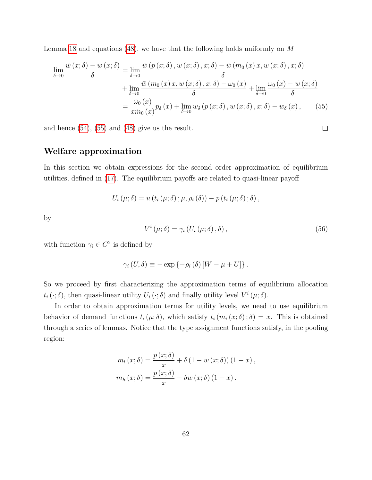Lemma [18](#page-56-2) and equations [\(48\)](#page-57-1), we have that the following holds uniformly on  $M$ 

$$
\lim_{\delta \to 0} \frac{\tilde{w}(x;\delta) - w(x;\delta)}{\delta} = \lim_{\delta \to 0} \frac{\tilde{w}(p(x;\delta), w(x;\delta), x;\delta) - \tilde{w}(m_0(x)x, w(x;\delta), x;\delta)}{\delta} \n+ \lim_{\delta \to 0} \frac{\tilde{w}(m_0(x)x, w(x;\delta), x;\delta) - \omega_0(x)}{\delta} + \lim_{\delta \to 0} \frac{\omega_0(x) - w(x;\delta)}{\delta} \n= \frac{\omega_0(x)}{x\dot{m}_0(x)} p_\delta(x) + \lim_{\delta \to 0} \tilde{w}_\delta(p(x;\delta), w(x;\delta), x;\delta) - w_\delta(x),
$$
\n(55)

and hence [\(54\)](#page-60-3), [\(55\)](#page-61-0) and [\(48\)](#page-57-1) give us the result.

## **Welfare approximation**

In this section we obtain expressions for the second order approximation of equilibrium utilities, defined in [\(17\)](#page-26-0). The equilibrium payoffs are related to quasi-linear payoff

$$
U_i(\mu;\delta) = u(t_i(\mu;\delta); \mu, \rho_i(\delta)) - p(t_i(\mu;\delta); \delta),
$$

by

<span id="page-61-1"></span>
$$
V^{i}(\mu;\delta) = \gamma_{i} \left( U_{i}(\mu;\delta),\delta \right), \qquad (56)
$$

with function  $\gamma_i \in C^2$  is defined by

$$
\gamma_i(U,\delta) \equiv -\exp\left\{-\rho_i(\delta)[W-\mu+U]\right\}.
$$

So we proceed by first characterizing the approximation terms of equilibrium allocation  $t_i(\cdot;\delta)$ , then quasi-linear utility  $U_i(\cdot;\delta)$  and finally utility level  $V^i(\mu;\delta)$ .

In order to obtain approximation terms for utility levels, we need to use equilibrium behavior of demand functions  $t_i(\mu;\delta)$ , which satisfy  $t_i(m_i(x;\delta);\delta) = x$ . This is obtained through a series of lemmas. Notice that the type assignment functions satisfy, in the pooling region:

$$
m_l(x; \delta) = \frac{p(x; \delta)}{x} + \delta (1 - w(x; \delta)) (1 - x),
$$
  

$$
m_h(x; \delta) = \frac{p(x; \delta)}{x} - \delta w(x; \delta) (1 - x).
$$

<span id="page-61-0"></span> $\Box$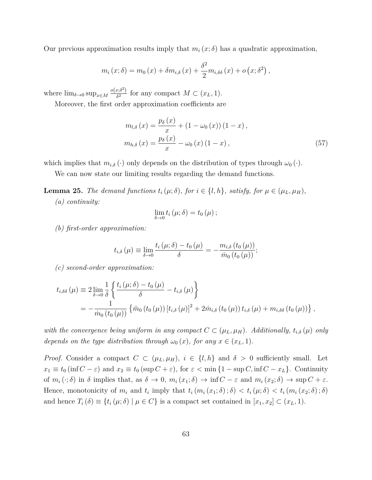Our previous approximation results imply that  $m_i(x; \delta)$  has a quadratic approximation,

$$
m_{i}(x; \delta) = m_{0}(x) + \delta m_{i, \delta}(x) + \frac{\delta^{2}}{2} m_{i, \delta\delta}(x) + o(x; \delta^{2}),
$$

where  $\lim_{\delta \to 0} \sup_{x \in M} \frac{o(x;\delta^2)}{\delta^2}$  $\frac{x;\sigma}{\delta^2}$  for any compact  $M \subset (x_L, 1)$ .

Moreover, the first order approximation coefficients are

$$
m_{l,\delta}(x) = \frac{p_{\delta}(x)}{x} + (1 - \omega_0(x))(1 - x),
$$
  
\n
$$
m_{h,\delta}(x) = \frac{p_{\delta}(x)}{x} - \omega_0(x)(1 - x),
$$
\n(57)

which implies that  $m_{i,\delta}(\cdot)$  only depends on the distribution of types through  $\omega_0(\cdot)$ .

We can now state our limiting results regarding the demand functions.

<span id="page-62-0"></span>**Lemma 25.** *The demand functions*  $t_i(\mu; \delta)$ *, for*  $i \in \{l, h\}$ *, satisfy, for*  $\mu \in (\mu_L, \mu_H)$ *, (a) continuity:*

$$
\lim_{\delta \to 0} t_i (\mu; \delta) = t_0 (\mu) ;
$$

*(b) first-order approximation:*

$$
t_{i,\delta}\left(\mu\right) \equiv \lim_{\delta \to 0} \frac{t_i\left(\mu;\delta\right) - t_0\left(\mu\right)}{\delta} = -\frac{m_{i,\delta}\left(t_0\left(\mu\right)\right)}{\dot{m}_0\left(t_0\left(\mu\right)\right)};
$$

*(c) second-order approximation:*

$$
t_{i,\delta\delta}(\mu) \equiv 2 \lim_{\delta \to 0} \frac{1}{\delta} \left\{ \frac{t_i(\mu;\delta) - t_0(\mu)}{\delta} - t_{i,\delta}(\mu) \right\}
$$
  
= 
$$
-\frac{1}{\dot{m}_0(t_0(\mu))} \left\{ \ddot{m}_0(t_0(\mu)) [t_{i,\delta}(\mu)]^2 + 2\dot{m}_{i,\delta}(t_0(\mu)) t_{i,\delta}(\mu) + m_{i,\delta\delta}(t_0(\mu)) \right\},
$$

*with the convergence being uniform in any compact*  $C \subset (\mu_L, \mu_H)$ *. Additionally,*  $t_{i,\delta}(\mu)$  *only depends on the type distribution through*  $\omega_0(x)$ *, for any*  $x \in (x_L, 1)$ *.* 

*Proof.* Consider a compact  $C \subset (\mu_L, \mu_H)$ ,  $i \in \{l, h\}$  and  $\delta > 0$  sufficiently small. Let  $x_1 \equiv t_0 \left( \inf C - \varepsilon \right)$  and  $x_2 \equiv t_0 \left( \sup C + \varepsilon \right)$ , for  $\varepsilon < \min \{1 - \sup C, \inf C - x_L \}$ . Continuity of  $m_i(\cdot; \delta)$  in  $\delta$  implies that, as  $\delta \to 0$ ,  $m_i(x_1; \delta) \to \inf C - \varepsilon$  and  $m_i(x_2; \delta) \to \sup C + \varepsilon$ . Hence, monotonicity of  $m_i$  and  $t_i$  imply that  $t_i(m_i(x_1;\delta);\delta) < t_i(\mu;\delta) < t_i(m_i(x_2;\delta);\delta)$ and hence  $T_i(\delta) \equiv \{t_i(\mu;\delta) \mid \mu \in C\}$  is a compact set contained in  $[x_1,x_2] \subset (x_L,1)$ .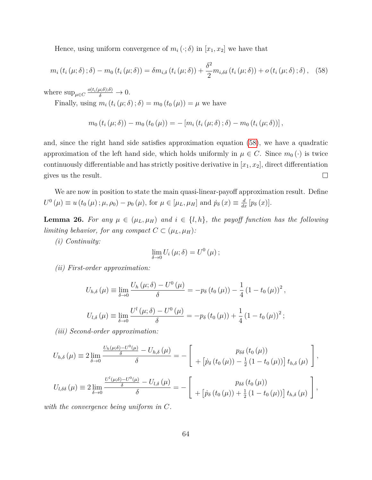Hence, using uniform convergence of  $m_i(\cdot; \delta)$  in  $[x_1, x_2]$  we have that

<span id="page-63-0"></span>
$$
m_i(t_i(\mu;\delta);\delta) - m_0(t_i(\mu;\delta)) = \delta m_{i,\delta}(t_i(\mu;\delta)) + \frac{\delta^2}{2} m_{i,\delta\delta}(t_i(\mu;\delta)) + o(t_i(\mu;\delta);\delta), \quad (58)
$$

where  $\sup_{\mu \in C} \frac{o(t_i(\mu;\delta);\delta)}{\delta} \to 0.$ 

Finally, using  $m_i(t_i(\mu;\delta);\delta) = m_0(t_0(\mu)) = \mu$  we have

$$
m_{0}\left(t_{i}\left(\mu;\delta\right)\right)-m_{0}\left(t_{0}\left(\mu\right)\right)=-\left[m_{i}\left(t_{i}\left(\mu;\delta\right);\delta\right)-m_{0}\left(t_{i}\left(\mu;\delta\right)\right)\right],
$$

and, since the right hand side satisfies approximation equation [\(58\)](#page-63-0), we have a quadratic approximation of the left hand side, which holds uniformly in  $\mu \in C$ . Since  $m_0(\cdot)$  is twice continuously differentiable and has strictly positive derivative in  $[x_1, x_2]$ , direct differentiation  $\Box$ gives us the result.

We are now in position to state the main quasi-linear-payoff approximation result. Define  $U^{0}(\mu) \equiv u(t_{0}(\mu);\mu,\rho_{0}) - p_{0}(\mu)$ , for  $\mu \in [\mu_{L}, \mu_{H}]$  and  $\dot{p}_{\delta}(x) \equiv \frac{d}{dx}[p_{\delta}(x)].$ 

<span id="page-63-1"></span>**Lemma 26.** For any  $\mu \in (\mu_L, \mu_H)$  and  $i \in \{l, h\}$ , the payoff function has the following *limiting behavior, for any compact*  $C \subset (\mu_L, \mu_H)$ *:* 

*(i) Continuity:*

$$
\lim_{\delta \to 0} U_i (\mu; \delta) = U^0 (\mu) ;
$$

*(ii) First-order approximation:*

$$
U_{h,\delta}(\mu) \equiv \lim_{\delta \to 0} \frac{U_h(\mu;\delta) - U^0(\mu)}{\delta} = -p_{\delta}(t_0(\mu)) - \frac{1}{4} (1 - t_0(\mu))^2,
$$
  

$$
U_{l,\delta}(\mu) \equiv \lim_{\delta \to 0} \frac{U^l(\mu;\delta) - U^0(\mu)}{\delta} = -p_{\delta}(t_0(\mu)) + \frac{1}{4} (1 - t_0(\mu))^2;
$$

*(iii) Second-order approximation:*

$$
U_{h,\delta}(\mu) \equiv 2 \lim_{\delta \to 0} \frac{U_{h}(\mu;\delta) - U_{0}(\mu)}{\delta} - U_{h,\delta}(\mu) = - \left[ \begin{array}{c} p_{\delta\delta} (t_{0}(\mu)) \\ + \left[ \dot{p}_{\delta} (t_{0}(\mu)) - \frac{1}{2} (1 - t_{0}(\mu)) \right] t_{h,\delta}(\mu) \end{array} \right],
$$

$$
U_{l,\delta\delta}\left(\mu\right) \equiv 2\lim_{\delta\to 0}\frac{\frac{U^{l}(\mu,\delta)-U^{0}(\mu)}{\delta}-U_{l,\delta}\left(\mu\right)}{\delta}=-\left[\begin{array}{c}p_{\delta\delta}\left(t_{0}\left(\mu\right)\right)\\+\left[p_{\delta}\left(t_{0}\left(\mu\right)\right)+\frac{1}{2}\left(1-t_{0}\left(\mu\right)\right)\right]t_{h,\delta}\left(\mu\right)\end{array}\right],
$$

*with the convergence being uniform in* C*.*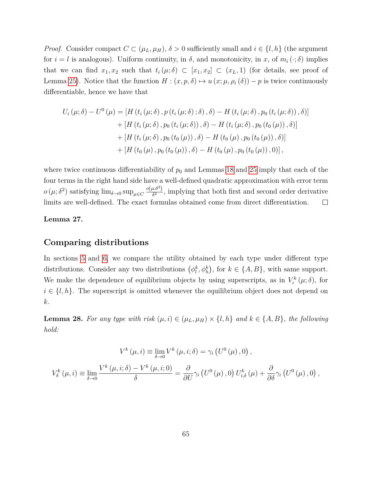*Proof.* Consider compact  $C \subset (\mu_L, \mu_H), \delta > 0$  sufficiently small and  $i \in \{l, h\}$  (the argument for  $i = l$  is analogous). Uniform continuity, in  $\delta$ , and monotonicity, in x, of  $m_i(\cdot; \delta)$  implies that we can find  $x_1, x_2$  such that  $t_i (\mu; \delta) \subset [x_1, x_2] \subset (x_L, 1)$  (for details, see proof of Lemma [25\)](#page-62-0). Notice that the function  $H : (x, p, \delta) \mapsto u(x; \mu, \rho_i(\delta)) - p$  is twice continuously differentiable, hence we have that

$$
U_{i}(\mu;\delta) - U^{0}(\mu) = [H(t_{i}(\mu;\delta), p(t_{i}(\mu;\delta); \delta), \delta) - H(t_{i}(\mu;\delta), p_{0}(t_{i}(\mu;\delta)), \delta)] + [H(t_{i}(\mu;\delta), p_{0}(t_{i}(\mu;\delta)), \delta) - H(t_{i}(\mu;\delta), p_{0}(t_{0}(\mu)), \delta)] + [H(t_{i}(\mu;\delta), p_{0}(t_{0}(\mu)), \delta) - H(t_{0}(\mu), p_{0}(t_{0}(\mu)), \delta)] + [H(t_{0}(\mu), p_{0}(t_{0}(\mu)), \delta) - H(t_{0}(\mu), p_{0}(t_{0}(\mu)), 0)],
$$

where twice continuous differentiability of  $p_0$  and Lemmas [18](#page-56-2) and [25](#page-62-0) imply that each of the four terms in the right hand side have a well-defined quadratic approximation with error term  $o(\mu;\delta^2)$  satisfying  $\lim_{\delta\to 0} \sup_{\mu\in C} \frac{o(\mu;\delta^2)}{\delta^2}$  $\frac{\partial \bar{z}}{\partial \bar{z}}$ , implying that both first and second order derivative limits are well-defined. The exact formulas obtained come from direct differentiation.  $\Box$ 

#### **Lemma 27.**

#### **Comparing distributions**

In sections [5](#page-24-0) and [6,](#page-33-0) we compare the utility obtained by each type under different type distributions. Consider any two distributions  $(\phi_l^k, \phi_h^k)$ , for  $k \in \{A, B\}$ , with same support. We make the dependence of equilibrium objects by using superscripts, as in  $V_i^k(\mu; \delta)$ , for  $i \in \{l, h\}$ . The superscript is omitted whenever the equilibrium object does not depend on k.

<span id="page-64-0"></span>**Lemma 28.** For any type with risk  $(\mu, i) \in (\mu_L, \mu_H) \times \{l, h\}$  and  $k \in \{A, B\}$ , the following *hold:*

$$
V^{k}(\mu, i) \equiv \lim_{\delta \to 0} V^{k}(\mu, i; \delta) = \gamma_{i} (U^{0}(\mu), 0),
$$
  

$$
V_{\delta}^{k}(\mu, i) \equiv \lim_{\delta \to 0} \frac{V^{k}(\mu, i; \delta) - V^{k}(\mu, i; 0)}{\delta} = \frac{\partial}{\partial U} \gamma_{i} (U^{0}(\mu), 0) U_{i, \delta}^{k}(\mu) + \frac{\partial}{\partial \delta} \gamma_{i} (U^{0}(\mu), 0),
$$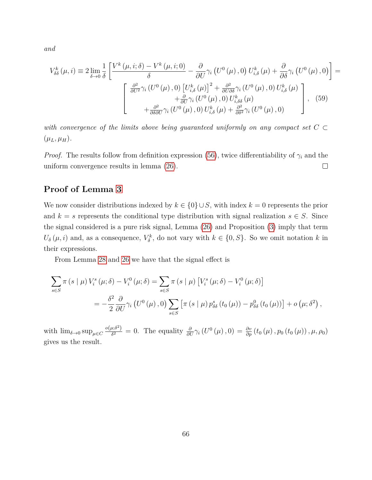*and*

$$
V_{\delta\delta}^{k}(\mu,i) \equiv 2 \lim_{\delta \to 0} \frac{1}{\delta} \left[ \frac{V^{k}(\mu,i;\delta) - V^{k}(\mu,i;0)}{\delta} - \frac{\partial}{\partial U} \gamma_{i} \left( U^{0}(\mu), 0 \right) U_{i,\delta}^{k}(\mu) + \frac{\partial}{\partial \delta} \gamma_{i} \left( U^{0}(\mu), 0 \right) \right] = \frac{\partial^{2}}{\partial U^{2}} \gamma_{i} \left( U^{0}(\mu), 0 \right) \left[ U_{i,\delta}^{k}(\mu) \right]^{2} + \frac{\partial^{2}}{\partial U \partial \delta} \gamma_{i} \left( U^{0}(\mu), 0 \right) U_{i,\delta}^{k}(\mu) + \frac{\partial}{\partial U} \gamma_{i} \left( U^{0}(\mu), 0 \right) U_{i,\delta\delta}^{k}(\mu) + \frac{\partial^{2}}{\partial U} \gamma_{i} \left( U^{0}(\mu), 0 \right) U_{i,\delta}^{k}(\mu) + \frac{\partial^{2}}{\partial \delta^{2}} \gamma_{i} \left( U^{0}(\mu), 0 \right) U_{i,\delta}^{k}(\mu) + \frac{\partial^{2}}{\partial \delta^{2}} \gamma_{i} \left( U^{0}(\mu), 0 \right)
$$
\n
$$
(59)
$$

*with convergence of the limits above being guaranteed uniformly on any compact set*  $C \subset$  $(\mu_L, \mu_H)$ .

*Proof.* The results follow from definition expression [\(56\)](#page-61-1), twice differentiability of  $\gamma_i$  and the uniform convergence results in lemma [\(26\)](#page-63-1).  $\Box$ 

## **Proof of Lemma [3](#page-28-0)**

We now consider distributions indexed by  $k \in \{0\} \cup S$ , with index  $k = 0$  represents the prior and  $k = s$  represents the conditional type distribution with signal realization  $s \in S$ . Since the signal considered is a pure risk signal, Lemma [\(26\)](#page-63-1) and Proposition [\(3\)](#page-22-0) imply that term  $U_{\delta}(\mu, i)$  and, as a consequence,  $V_{\delta}^{k}$ , do not vary with  $k \in \{0, S\}$ . So we omit notation k in their expressions.

From Lemma [28](#page-64-0) and [26](#page-63-1) we have that the signal effect is

$$
\sum_{s \in S} \pi (s | \mu) V_i^s (\mu; \delta) - V_i^0 (\mu; \delta) = \sum_{s \in S} \pi (s | \mu) [V_i^s (\mu; \delta) - V_i^0 (\mu; \delta)]
$$
  
= 
$$
-\frac{\delta^2}{2} \frac{\partial}{\partial U} \gamma_i (U^0 (\mu), 0) \sum_{s \in S} [\pi (s | \mu) p_{\delta \delta}^s (t_0 (\mu)) - p_{\delta \delta}^0 (t_0 (\mu))] + o (\mu; \delta^2),
$$

with  $\lim_{\delta \to 0} \sup_{\mu \in C} \frac{o(\mu; \delta^2)}{\delta^2}$  $\frac{d\vec{x}}{dt}^{i\hat{\sigma}^2}=0.$  The equality  $\frac{\partial}{\partial U}\gamma_i(U^0(\mu),0)=\frac{\partial v}{\partial p}(t_0(\mu),p_0(t_0(\mu)),\mu,\rho_0)$ gives us the result.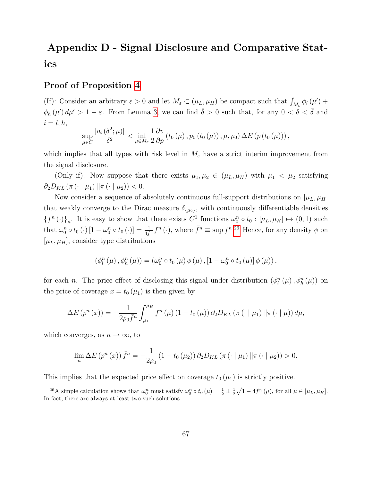# **Appendix D - Signal Disclosure and Comparative Statics**

## **Proof of Proposition [4](#page-29-0)**

(If): Consider an arbitrary  $\varepsilon > 0$  and let  $M_{\varepsilon} \subset (\mu_L, \mu_H)$  be compact such that  $\int_{M_{\varepsilon}} \phi_l(\mu')$  +  $\phi_h(\mu') d\mu' > 1 - \varepsilon$ . From Lemma [3,](#page-28-0) we can find  $\overline{\delta} > 0$  such that, for any  $0 < \overline{\delta} < \overline{\delta}$  and  $i = l, h$ ,

$$
\sup_{\mu\in C}\frac{\left|o_{i}\left(\delta^{2};\mu\right)\right|}{\delta^{2}}<\inf_{\mu\in M_{\varepsilon}}\frac{1}{2}\frac{\partial v}{\partial p}\left(t_{0}\left(\mu\right),p_{0}\left(t_{0}\left(\mu\right)\right),\mu,\rho_{0}\right)\Delta E\left(p\left(t_{0}\left(\mu\right)\right)\right),
$$

which implies that all types with risk level in  $M_{\varepsilon}$  have a strict interim improvement from the signal disclosure.

(Only if): Now suppose that there exists  $\mu_1, \mu_2 \in (\mu_L, \mu_H)$  with  $\mu_1 < \mu_2$  satisfying  $\partial_2 D_{KL} \left( \pi \left( \cdot \mid \mu_1 \right) \middle| \middle| \pi \left( \cdot \mid \mu_2 \right) \right) < 0.$ 

Now consider a sequence of absolutely continuous full-support distributions on  $[\mu_L, \mu_H]$ that weakly converge to the Dirac measure  $\delta_{\{\mu_2\}}$ , with continuously differentiable densities  ${f^n(\cdot)}_n$ . It is easy to show that there exists  $C^1$  functions  $\omega_0^n \circ t_0 : [\mu_L, \mu_H] \mapsto (0, 1)$  such that  $\omega_0^n \circ t_0 (\cdot) [1 - \omega_0^n \circ t_0 (\cdot)] = \frac{1}{4f^n} f^n (\cdot)$ , where  $\bar{f}^n \equiv \sup f^{n} \cdot e^{26}$  $\bar{f}^n \equiv \sup f^{n} \cdot e^{26}$  $\bar{f}^n \equiv \sup f^{n} \cdot e^{26}$  Hence, for any density  $\phi$  on  $[\mu_L, \mu_H]$ , consider type distributions

$$
\left(\phi_{l}^{n}\left(\mu\right),\phi_{h}^{n}\left(\mu\right)\right)=\left(\omega_{0}^{n}\circ t_{0}\left(\mu\right)\phi\left(\mu\right),\left[1-\omega_{0}^{n}\circ t_{0}\left(\mu\right)\right]\phi\left(\mu\right)\right),
$$

for each *n*. The price effect of disclosing this signal under distribution  $(\phi_l^n(\mu), \phi_h^n(\mu))$  on the price of coverage  $x = t_0(\mu_1)$  is then given by

$$
\Delta E(p^{n}(x)) = -\frac{1}{2\rho_{0}\bar{f}^{n}}\int_{\mu_{1}}^{\mu_{H}}f^{n}(\mu)(1-t_{0}(\mu))\partial_{2}D_{KL}(\pi(\cdot \mid \mu_{1})||\pi(\cdot \mid \mu)) d\mu,
$$

which converges, as  $n \to \infty$ , to

$$
\lim_{n} \Delta E(p^{n}(x)) \bar{f}^{n} = -\frac{1}{2\rho_{0}} (1 - t_{0}(\mu_{2})) \partial_{2} D_{KL}(\pi (\cdot | \mu_{1}) || \pi (\cdot | \mu_{2})) > 0.
$$

This implies that the expected price effect on coverage  $t_0(\mu_1)$  is strictly positive.

<sup>&</sup>lt;sup>26</sup>A simple calculation shows that  $\omega_0^n$  must satisfy  $\omega_0^n \circ t_0(\mu) = \frac{1}{2} \pm \frac{1}{2} \sqrt{1 - 4f^n(\mu)}$ , for all  $\mu \in [\mu_L, \mu_H]$ . In fact, there are always at least two such solutions.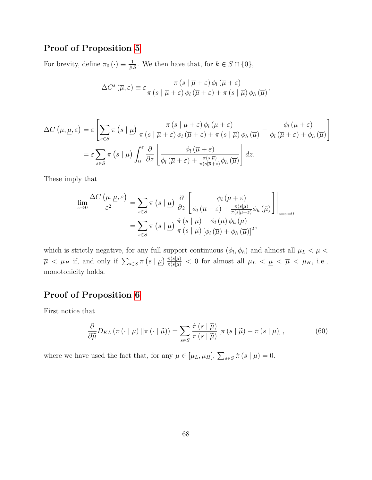## **Proof of Proposition [5](#page-31-0)**

For brevity, define  $\pi_0(\cdot) \equiv \frac{1}{\# n}$  $\frac{1}{\#S}$ . We then have that, for  $k \in S \cap \{0\}$ ,

$$
\Delta C^{s}(\overline{\mu},\varepsilon) \equiv \varepsilon \frac{\pi (s | \overline{\mu} + \varepsilon) \phi_{l}(\overline{\mu} + \varepsilon)}{\pi (s | \overline{\mu} + \varepsilon) \phi_{l}(\overline{\mu} + \varepsilon) + \pi (s | \overline{\mu}) \phi_{h}(\overline{\mu})},
$$

$$
\Delta C\left(\overline{\mu}, \underline{\mu}, \varepsilon\right) = \varepsilon \left[ \sum_{s \in S} \pi\left(s \mid \underline{\mu}\right) \frac{\pi\left(s \mid \overline{\mu} + \varepsilon\right) \phi_l\left(\overline{\mu} + \varepsilon\right)}{\pi\left(s \mid \overline{\mu} + \varepsilon\right) \phi_l\left(\overline{\mu} + \varepsilon\right) + \pi\left(s \mid \overline{\mu}\right) \phi_h\left(\overline{\mu}\right)} - \frac{\phi_l\left(\overline{\mu} + \varepsilon\right)}{\phi_l\left(\overline{\mu} + \varepsilon\right) + \phi_h\left(\overline{\mu}\right)} \right]
$$

$$
= \varepsilon \sum_{s \in S} \pi\left(s \mid \underline{\mu}\right) \int_0^\varepsilon \frac{\partial}{\partial z} \left[ \frac{\phi_l\left(\overline{\mu} + \varepsilon\right)}{\phi_l\left(\overline{\mu} + \varepsilon\right) + \frac{\pi\left(s \mid \overline{\mu}\right)}{\pi\left(s \mid \overline{\mu} + z\right)} \phi_h\left(\overline{\mu}\right)} \right] dz.
$$

These imply that

$$
\lim_{\varepsilon \to 0} \frac{\Delta C\left(\overline{\mu}, \underline{\mu}, \varepsilon\right)}{\varepsilon^2} = \sum_{s \in S} \pi\left(s \mid \underline{\mu}\right) \frac{\partial}{\partial z} \left[ \frac{\phi_l\left(\overline{\mu} + \varepsilon\right)}{\phi_l\left(\overline{\mu} + \varepsilon\right) + \frac{\pi(s|\overline{\mu})}{\pi(s|\overline{\mu} + z)} \phi_h\left(\overline{\mu}\right)} \right] \Big|_{z=\varepsilon=0}
$$
\n
$$
= \sum_{s \in S} \pi\left(s \mid \underline{\mu}\right) \frac{\pi\left(s \mid \overline{\mu}\right)}{\pi\left(s \mid \overline{\mu}\right)} \frac{\phi_l\left(\overline{\mu}\right) \phi_h\left(\overline{\mu}\right)}{\left[\phi_l\left(\overline{\mu}\right) + \phi_h\left(\overline{\mu}\right)\right]^2},
$$

which is strictly negative, for any full support continuous  $(\phi_l, \phi_h)$  and almost all  $\mu_L < \mu <$  $\overline{\mu} \leq \mu_H$  if, and only if  $\sum_{s \in S} \pi\left(s \mid \underline{\mu}\right) \frac{\dot{\pi}(s|\overline{\mu})}{\pi(s|\overline{\mu})} < 0$  for almost all  $\mu_L < \underline{\mu} < \overline{\mu} < \mu_H$ , i.e., monotonicity holds.

## **Proof of Proposition [6](#page-32-0)**

First notice that

<span id="page-67-0"></span>
$$
\frac{\partial}{\partial \widetilde{\mu}} D_{KL} \left( \pi \left( \cdot \mid \mu \right) || \pi \left( \cdot \mid \widetilde{\mu} \right) \right) = \sum_{s \in S} \frac{\dot{\pi} \left( s \mid \widetilde{\mu} \right)}{\pi \left( s \mid \widetilde{\mu} \right)} \left[ \pi \left( s \mid \widetilde{\mu} \right) - \pi \left( s \mid \mu \right) \right],\tag{60}
$$

where we have used the fact that, for any  $\mu \in [\mu_L, \mu_H]$ ,  $\sum_{s \in S} \pi(s \mid \mu) = 0$ .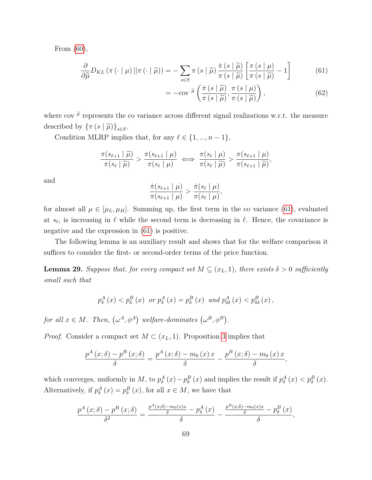From [\(60\)](#page-67-0),

$$
\frac{\partial}{\partial \widetilde{\mu}} D_{KL} \left( \pi \left( \cdot \mid \mu \right) || \pi \left( \cdot \mid \widetilde{\mu} \right) \right) = - \sum_{s \in S} \pi \left( s \mid \widetilde{\mu} \right) \frac{\dot{\pi} \left( s \mid \widetilde{\mu} \right)}{\pi \left( s \mid \widetilde{\mu} \right)} \left[ \frac{\pi \left( s \mid \mu \right)}{\pi \left( s \mid \widetilde{\mu} \right)} - 1 \right] \tag{61}
$$

<span id="page-68-1"></span>
$$
= -\mathrm{cov}\,\tilde{\mu}\left(\frac{\dot{\pi}\left(s\mid\tilde{\mu}\right)}{\pi\left(s\mid\tilde{\mu}\right)}, \frac{\pi\left(s\mid\mu\right)}{\pi\left(s\mid\tilde{\mu}\right)}\right),\tag{62}
$$

where cov  $\tilde{\mu}$  represents the co variance across different signal realizations w.r.t. the measure described by  $\{\pi(s | \tilde{\mu})\}_{s \in S}$ .

Condition MLRP implies that, for any  $\ell \in \{1, ..., n - 1\}$ ,

$$
\frac{\pi(s_{\ell+1} \mid \widetilde{\mu})}{\pi(s_{\ell} \mid \widetilde{\mu})} > \frac{\pi(s_{\ell+1} \mid \mu)}{\pi(s_{\ell} \mid \mu)} \iff \frac{\pi(s_{\ell} \mid \mu)}{\pi(s_{\ell} \mid \widetilde{\mu})} > \frac{\pi(s_{\ell+1} \mid \mu)}{\pi(s_{\ell+1} \mid \widetilde{\mu})},
$$

and

$$
\frac{\dot\pi(s_{\ell+1}\mid \mu)}{\pi(s_{\ell+1}\mid \mu)} > \frac{\dot\pi(s_\ell\mid \mu)}{\pi(s_\ell\mid \mu)},
$$

for almost all  $\mu \in [\mu_L, \mu_H]$ . Summing up, the first term in the co-variance [\(61\)](#page-68-1), evaluated at  $s_{\ell}$ , is increasing in  $\ell$  while the second term is decreasing in  $\ell$ . Hence, the covariance is negative and the expression in [\(61\)](#page-68-1) is positive.

The following lemma is an auxiliary result and shows that for the welfare comparison it suffices to consider the first- or second-order terms of the price function.

<span id="page-68-0"></span>**Lemma 29.** *Suppose that, for every compact set*  $M \subseteq (x_L, 1)$ *, there exists*  $\delta > 0$  *sufficiently small such that*

$$
p_{\delta}^{A}(x) < p_{\delta}^{B}(x)
$$
 or  $p_{\delta}^{A}(x) = p_{\delta}^{B}(x)$  and  $p_{\delta\delta}^{A}(x) < p_{\delta\delta}^{B}(x)$ ,

*for all*  $x \in M$ *. Then,*  $(\omega^A, \phi^A)$  welfare-dominates  $(\omega^B, \phi^B)$ *.* 

*Proof.* Consider a compact set  $M \subset (x_L, 1)$ . Proposition [3](#page-22-0) implies that

$$
\frac{p^{A}(x;\delta)-p^{B}(x;\delta)}{\delta}=\frac{p^{A}(x;\delta)-m_{0}(x)x}{\delta}-\frac{p^{B}(x;\delta)-m_{0}(x)x}{\delta},
$$

which converges, uniformly in M, to  $p_\delta^A(x) - p_\delta^B(x)$  and implies the result if  $p_\delta^A(x) < p_\delta^B(x)$ . Alternatively, if  $p_{\delta}^{A}(x) = p_{\delta}^{B}(x)$ , for all  $x \in M$ , we have that

$$
\frac{p^{A}(x;\delta)-p^{B}(x;\delta)}{\delta^{2}}=\frac{\frac{p^{A}(x;\delta)-m_{0}(x)x}{\delta}-p^{A}_{\delta}(x)}{\delta}-\frac{\frac{p^{B}(x;\delta)-m_{0}(x)x}{\delta}-p^{B}_{\delta}(x)}{\delta}
$$

,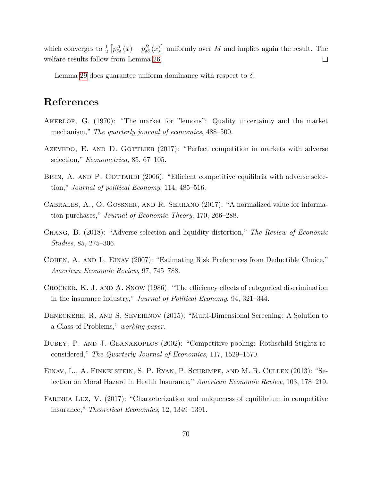which converges to  $\frac{1}{2} \left[ p_{\delta\delta}^A(x) - p_{\delta\delta}^B(x) \right]$  uniformly over M and implies again the result. The welfare results follow from Lemma [26.](#page-63-1)  $\Box$ 

Lemma [29](#page-68-0) does guarantee uniform dominance with respect to  $\delta$ .

# **References**

- AKERLOF, G. (1970): "The market for "lemons": Quality uncertainty and the market mechanism," *The quarterly journal of economics*, 488–500.
- AZEVEDO, E. AND D. GOTTLIEB (2017): "Perfect competition in markets with adverse selection," *Econometrica*, 85, 67–105.
- BISIN, A. AND P. GOTTARDI (2006): "Efficient competitive equilibria with adverse selection," *Journal of political Economy*, 114, 485–516.
- Cabrales, A., O. Gossner, and R. Serrano (2017): "A normalized value for information purchases," *Journal of Economic Theory*, 170, 266–288.
- Chang, B. (2018): "Adverse selection and liquidity distortion," *The Review of Economic Studies*, 85, 275–306.
- Cohen, A. and L. Einav (2007): "Estimating Risk Preferences from Deductible Choice," *American Economic Review*, 97, 745–788.
- Crocker, K. J. and A. Snow (1986): "The efficiency effects of categorical discrimination in the insurance industry," *Journal of Political Economy*, 94, 321–344.
- Deneckere, R. and S. Severinov (2015): "Multi-Dimensional Screening: A Solution to a Class of Problems," *working paper*.
- Dubey, P. and J. Geanakoplos (2002): "Competitive pooling: Rothschild-Stiglitz reconsidered," *The Quarterly Journal of Economics*, 117, 1529–1570.
- Einav, L., A. Finkelstein, S. P. Ryan, P. Schrimpf, and M. R. Cullen (2013): "Selection on Moral Hazard in Health Insurance," *American Economic Review*, 103, 178–219.
- FARINHA LUZ, V. (2017): "Characterization and uniqueness of equilibrium in competitive insurance," *Theoretical Economics*, 12, 1349–1391.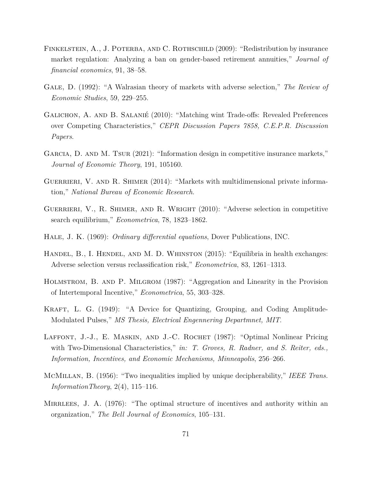- FINKELSTEIN, A., J. POTERBA, AND C. ROTHSCHILD (2009): "Redistribution by insurance market regulation: Analyzing a ban on gender-based retirement annuities," *Journal of financial economics*, 91, 38–58.
- Gale, D. (1992): "A Walrasian theory of markets with adverse selection," *The Review of Economic Studies*, 59, 229–255.
- Galichon, A. and B. Salanié (2010): "Matching wint Trade-offs: Revealed Preferences over Competing Characteristics," *CEPR Discussion Papers 7858, C.E.P.R. Discussion Papers*.
- GARCIA, D. AND M. TSUR (2021): "Information design in competitive insurance markets," *Journal of Economic Theory*, 191, 105160.
- GUERRIERI, V. AND R. SHIMER (2014): "Markets with multidimensional private information," *National Bureau of Economic Research*.
- <span id="page-70-0"></span>Guerrieri, V., R. Shimer, and R. Wright (2010): "Adverse selection in competitive search equilibrium," *Econometrica*, 78, 1823–1862.
- <span id="page-70-1"></span>Hale, J. K. (1969): *Ordinary differential equations*, Dover Publications, INC.
- HANDEL, B., I. HENDEL, AND M. D. WHINSTON (2015): "Equilibria in health exchanges: Adverse selection versus reclassification risk," *Econometrica*, 83, 1261–1313.
- Holmstrom, B. and P. Milgrom (1987): "Aggregation and Linearity in the Provision of Intertemporal Incentive," *Econometrica*, 55, 303–328.
- KRAFT, L. G. (1949): "A Device for Quantizing, Grouping, and Coding Amplitude-Modulated Pulses," *MS Thesis, Electrical Engennering Departmnet, MIT*.
- LAFFONT, J.-J., E. MASKIN, AND J.-C. ROCHET (1987): "Optimal Nonlinear Pricing with Two-Dimensional Characteristics," *in: T. Groves, R. Radner, and S. Reiter, eds.*, *Information, Incentives, and Economic Mechanisms, Minneapolis*, 256–266.
- McMillan, B. (1956): "Two inequalities implied by unique decipherability," *IEEE Trans. InformationTheory*, 2(4), 115–116.
- MIRRLEES, J. A.  $(1976)$ : "The optimal structure of incentives and authority within an organization," *The Bell Journal of Economics*, 105–131.